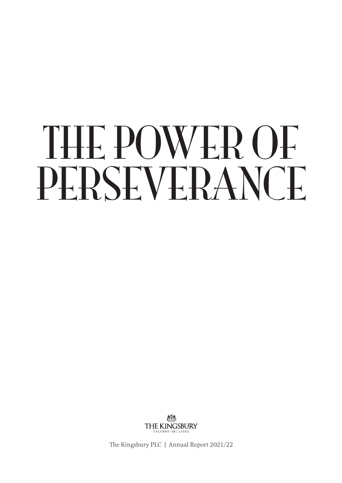# THE POWER OF PERSEVERANCE



The Kingsbury PLC | Annual Report 2021/22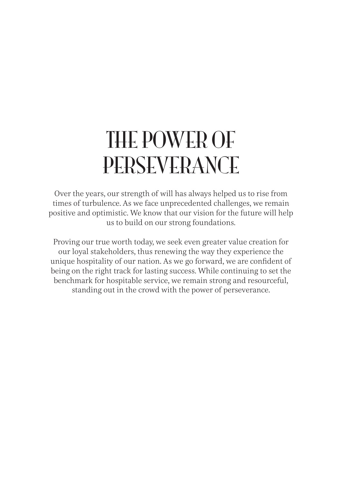# THE POWER OF PERSEVERANCE

Over the years, our strength of will has always helped us to rise from times of turbulence. As we face unprecedented challenges, we remain positive and optimistic. We know that our vision for the future will help us to build on our strong foundations.

Proving our true worth today, we seek even greater value creation for our loyal stakeholders, thus renewing the way they experience the unique hospitality of our nation. As we go forward, we are confident of being on the right track for lasting success. While continuing to set the benchmark for hospitable service, we remain strong and resourceful, standing out in the crowd with the power of perseverance.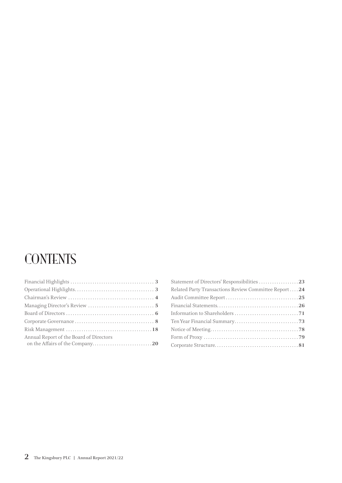# **CONTENTS**

| Annual Report of the Board of Directors |
|-----------------------------------------|

| Statement of Directors' Responsibilities 23          |  |
|------------------------------------------------------|--|
| Related Party Transactions Review Committee Report24 |  |
|                                                      |  |
|                                                      |  |
|                                                      |  |
|                                                      |  |
|                                                      |  |
|                                                      |  |
|                                                      |  |
|                                                      |  |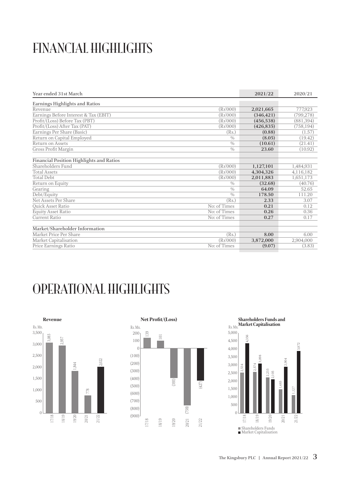### FINANCIAL HIGHLIGHTS

| Year ended 31st March                           |               | 2021/22    | 2020/21    |
|-------------------------------------------------|---------------|------------|------------|
| <b>Earnings Highlights and Ratios</b>           |               |            |            |
| Revenue                                         | (Rs'000)      | 2,021,665  | 777,923    |
| Earnings Before Interest & Tax (EBIT)           | (Rs'000)      | (346, 421) | (799,278)  |
| Profit/(Loss) Before Tax (PBT)                  | (Rs'000)      | (456, 538) | (881, 394) |
| Profit/(Loss) After Tax (PAT)                   | (Rs'000)      | (426, 835) | (758, 194) |
| Earnings Per Share (Basic)                      | (Rs.)         | (0.88)     | (1.57)     |
| Return on Capital Employed                      | $\frac{0}{0}$ | (8.05)     | (19.42)    |
| Return on Assets                                | 0/0           | (10.61)    | (21.41)    |
| Gross Profit Margin                             | $\frac{0}{0}$ | 23.60      | (10.92)    |
|                                                 |               |            |            |
| <b>Financial Position Highlights and Ratios</b> |               |            |            |
| Shareholders Fund                               | (Rs'000)      | 1,127,101  | 1,484,931  |
| <b>Total Assets</b>                             | (Rs'000)      | 4,304,326  | 4,116,182  |
| <b>Total Debt</b>                               | (Rs'000)      | 2,011,883  | 1,651,173  |
| Return on Equity                                | 0/0           | (32.68)    | (40.76)    |
| Gearing                                         | $\frac{0}{0}$ | 64.09      | 52.65      |
| Debt/Equity                                     | 0/0           | 178.50     | 111.20     |
| Net Assets Per Share                            | (Rs.)         | 2.33       | 3.07       |
| <b>Ouick Asset Ratio</b>                        | No: of Times  | 0.21       | 0.12       |
| <b>Equity Asset Ratio</b>                       | No: of Times  | 0.26       | 0.36       |
| Current Ratio                                   | No: of Times  | 0.27       | 0.17       |
|                                                 |               |            |            |
| Market/Shareholder Information                  |               |            |            |
| Market Price Per Share                          | (Rs.)         | 8.00       | 6.00       |
| Market Capitalisation                           | (Rs'000)      | 3,872,000  | 2,904,000  |
| Price Earnings Ratio                            | No: of Times  | (9.07)     | (3.83)     |

### OPERATIONAL HIGHLIGHTS







17/18

 $\sqrt{2}$ 

18/19

Shareholders Funds Market Capitalisation

19/20

20/21

21/22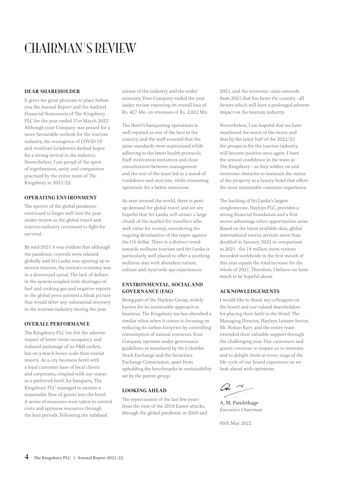### CHAIRMAN'S REVIEW

#### **DEAR SHAREHOLDER**

It gives me great pleasure to place before you the Annual Report and the Audited Financial Statements of The Kingsbury PLC for the year ended 31st March 2022. Although your Company was poised for a more favourable outlook for the tourism industry, the resurgence of COVID-19 and resultant lockdowns dashed hopes for a strong revival in the industry. Nevertheless, I am proud of the spirit of togetherness, unity and compassion practised by the entire team of The Kingsbury in 2021/22.

#### **OPERATING ENVIRONMENT**

The spectre of the global pandemic continued to linger well into the year under review as the global travel and tourism industry continued to fight for survival.

By mid-2021 it was evident that although the pandemic controls were relaxed globally and Sri Lanka was opening up to receive tourists, the nation's economy was in a downward spiral. The lack of dollars in the system coupled with shortages of fuel and cooking gas and negative reports in the global press painted a bleak picture that would deter any substantial recovery in the tourism industry during the year.

#### **OVERALL PERFORMANCE**

The Kingsbury PLC too felt the adverse impact of lower room occupancy and reduced patronage of its F&B outlets, but on a much lesser scale than tourist resorts. As a city business hotel with a loyal customer base of local clients and corporates, coupled with our status as a preferred hotel for banquets, The Kingsbury PLC managed to sustain a reasonable flow of guests into the hotel. A series of measures were taken to control costs and optimise resources through the lean periods. Following the subdued

nature of the industry and the wider economy, Your Company ended the year under review reporting an overall loss of Rs. 427 Mn. on revenues of Rs. 2,022 Mn.

The Hotel's banqueting operations is well reputed as one of the best in the country and the staff ensured that the same standards were maintained while adhering to the latest health protocols. Staff motivation initiatives and close consultations between management and the rest of the team led to a mood of confidence and stoicism, while remaining optimistic for a better tomorrow.

As seen around the world, there is pentup demand for global travel and we are hopeful that Sri Lanka will attract a large chunk of the market for travellers who seek value for money, considering the ongoing devaluation of the rupee against the US dollar. There is a distinct trend towards wellness tourism and Sri Lanka is particularly well placed to offer a soothing wellness stay with abundant nature, culture and Ayurveda spa experiences.

#### **ENVIRONMENTAL, SOCIAL AND GOVERNANCE (ESG)**

Being part of the Hayleys Group, widely known for its sustainable approach to business, The Kingsbury too has absorbed a similar ethos when it comes to focusing on reducing its carbon footprint by controlling consumption of natural resources. Your Company operates under governance guidelines as mandated by the Colombo Stock Exchange and the Securities Exchange Commission, apart from upholding the benchmarks in sustainability set by the parent group.

#### **LOOKING AHEAD**

The repercussion of the last few years from the time of the 2019 Easter attacks, through the global pandemic in 2020 and 2021, and the economic crisis onwards from 2021 that has beset the country - all factors which will have a prolonged adverse impact on the tourism industry.

Nevertheless, I am hopeful that we have weathered the worst of the storm and that by the latter half of the 2022/23 the prospects for the tourism industry will become positive once again. I have the utmost confidence in the team at The Kingsbury – as they soldier on and overcome obstacles to maintain the status of the property as a luxury hotel that offers the most memorable customer experience.

The backing of Sri Lanka's largest conglomerate, Hayleys PLC, provides a strong financial foundation and a first mover advantage when opportunities arise. Based on the latest available data, global international tourist arrivals more than doubled in January 2022 in comparison to 2021 - the 18 million more visitors recorded worldwide in the first month of this year equals the total increase for the whole of 2021. Therefore, I believe we have much to be hopeful about.

#### **ACKNOWLEDGEMENTS**

I would like to thank my colleagues on the board and our valued shareholders for placing their faith in the Hotel. The Managing Director, Hayleys Leisure Sector, Mr. Rohan Karr, and the entire team extended their valuable support through the challenging year. Our customers and guests continue to inspire us to innovate and to delight them at every stage of the life cycle of our brand experience as we look ahead with optimism.

 $\sim$ 

A. M. Pandithage *Executive Chairman*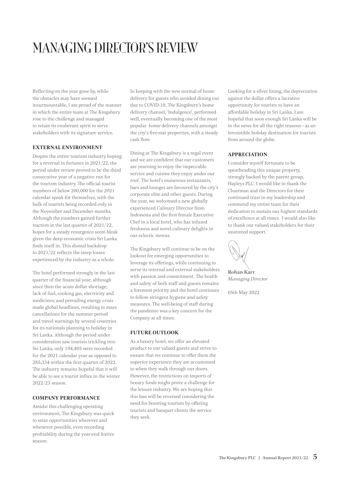### MANAGING DIRECTOR'S REVIEW

Reflecting on the year gone by, while the obstacles may have seemed insurmountable, I am proud of the manner in which the entire team at The Kingsbury rose to the challenge and managed to retain its exuberant spirit to serve stakeholders with its signature service.

#### **EXTERNAL ENVIRONMENT**

Despite the entire tourism industry hoping for a reversal in fortunes in 2021/22, the period under review proved to be the third consecutive year of a negative run for the tourism industry. The official tourist numbers of below 200,000 for the 2021 calendar speak for themselves, with the bulk of tourists being recorded only in the November and December months. Although the numbers gained further traction in the last quarter of 2021/22, hopes for a steady resurgence seem bleak given the deep economic crisis Sri Lanka finds itself in. This dismal backdrop to 2021/22 reflects the steep losses experienced by the industry as a whole.

The hotel performed strongly in the last quarter of the financial year, although since then the acute dollar shortage; lack of fuel, cooking gas, electricity and medicines; and prevailing energy crisis made global headlines, resulting in mass cancellations for the summer period and travel warnings by several countries for its nationals planning to holiday in Sri Lanka. Although the period under consideration saw tourists trickling into Sri Lanka, only 194,495 were recorded for the 2021 calendar year as opposed to 285,334 within the first quarter of 2022. The industry remains hopeful that it will be able to see a tourist influx in the winter 2022/23 season.

#### **COMPANY PERFORMANCE**

Amidst this challenging operating environment, The Kingsbury was quick to seize opportunities wherever and whenever possible, even recording profitability during the year-end festive season.

In keeping with the new normal of home delivery for guests who avoided dining out due to COVID-19, The Kingsbury's home delivery channel, 'Indulgence', performed well, eventually becoming one of the most popular home delivery channels amongst the city's five-star properties, with a steady cash flow.

Dining at The Kingsbury is a regal event and we are confident that our customers are yearning to enjoy the impeccable service and cuisine they enjoy under our roof. The hotel's numerous restaurants, bars and lounges are favoured by the city's corporate elite and other guests. During the year, we welcomed a new globally experienced Culinary Director from Indonesia and the first female Executive Chef in a local hotel, who has infused freshness and novel culinary delights in our eclectic menus.

The Kingsbury will continue to be on the lookout for emerging opportunities to leverage its offerings, while continuing to serve its internal and external stakeholders with passion and commitment. The health and safety of both staff and guests remains a foremost priority and the hotel continues to follow stringent hygiene and safety measures. The well-being of staff during the pandemic was a key concern for the Company at all times.

#### **FUTURE OUTLOOK**

As a luxury hotel, we offer an elevated product to our valued guests and strive to ensure that we continue to offer them the superior experience they are accustomed to when they walk through our doors. However, the restrictions on imports of luxury foods might prove a challenge for the leisure industry. We are hoping that this ban will be reversed considering the need for boosting tourism by offering tourists and banquet clients the service they seek.

Looking for a silver lining, the depreciation against the dollar offers a lucrative opportunity for tourists to have an affordable holiday in Sri Lanka. I am hopeful that soon enough Sri Lanka will be in the news for all the right reasons – as an irresistible holiday destination for tourists from around the globe.

#### **APPRECIATION**

I consider myself fortunate to be spearheading this unique property, strongly backed by the parent group, Hayleys PLC. I would like to thank the Chairman and the Directors for their continued trust in my leadership and commend my entire team for their dedication to sustain our highest standards of excellence at all times. I would also like to thank our valued stakeholders for their unstinted support.

Rohan Karr *Managing Director*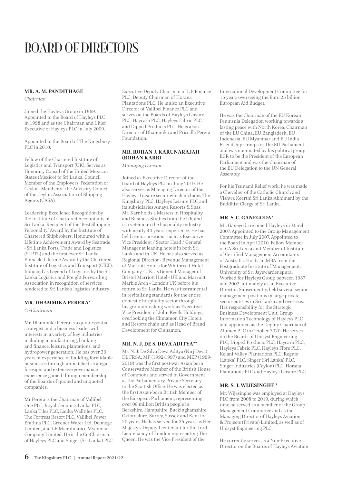### BOARD OF DIRECTORS

#### **MR. A. M. PANDITHAGE**

*Chairman*

Joined the Hayleys Group in 1969. Appointed to the Board of Hayleys PLC in 1998 and as the Chairman and Chief Executive of Hayleys PLC in July 2009.

Appointed to the Board of The Kingsbury PLC in 2010.

Fellow of the Chartered Institute of Logistics and Transport (UK). Serves as Honorary Consul of the United Mexican States (Mexico) to Sri Lanka. Council Member of the Employers' Federation of Ceylon. Member of the Advisory Council of the Ceylon Association of Shipping Agents (CASA).

Leadership Excellence Recognition by the Institute of Chartered Accountants of Sri Lanka. Recipient of the 'Best Shipping Personality' Award by the Institute of Chartered Shipbrokers. Honoured with a Lifetime Achievement Award by Seatrade - Sri Lanka Ports, Trade and Logistics (SLPTL) and the first-ever Sri Lanka Pinnacle Lifetime Award by the Chartered Institute of Logistics and Transport (CILT). Inducted as Legend of Logistics by the Sri Lanka Logistics and Freight Forwarding Association in recognition of services rendered to Sri Lanka's logistics industry.

#### **MR. DHAMMIKA PERERA\***

*Co-Chairman*

Mr. Dhammika Perera is a quintessential strategist and a business leader with interests in a variety of key industries including manufacturing, banking and finance, leisure, plantations, and hydropower generation. He has over 30 years of experience in building formidable businesses through unmatched strategic foresight and extensive governance experience gained through membership of the Boards of quoted and unquoted companies.

Mr Perera is the Chairman of Vallibel One PLC, Royal Ceramics Lanka PLC, Lanka Tiles PLC, Lanka Walltiles PLC, The Fortress Resort PLC, Vallibel Power Erathna PLC, Greener Water Ltd, Delmege Limited, and LB Microfinance Myanmar Company Limited. He is the Co-Chairman of Hayleys PLC and Singer (Sri Lanka) PLC. Executive Deputy Chairman of L B Finance PLC, Deputy Chairman of Horana Plantations PLC. He is also an Executive Director of Vallibel Finance PLC and serves on the Boards of Hayleys Leisure PLC, Haycarb PLC, Hayleys Fabric PLC and Dipped Products PLC. He is also a Director of Dhammika and Priscilla Perera Foundation.

#### **MR. ROHAN J. KARUNARAJAH (ROHAN KARR)**

*Managing Director*

Joined as Executive Director of the board of Hayleys PLC in June 2019. He also serves as Managing Director of the Hayleys Leisure sector which includes The Kingsbury PLC, Hayleys Leisure PLC and its subsidiaries Amaya Resorts & Spas. Mr. Karr holds a Masters in Hospitality and Business Studies from the UK and is a veteran in the hospitality industry with nearly 40 years' experience. He has held senior positions such as Executive Vice President / Sector Head / General Manager at leading hotels in both Sri Lanka and in UK. He has also served as Regional Director - Revenue Management of Marriott Hotels for Whitbread Hotel Company - UK, as General Manager of Bristol Marriott Hotel - UK and Marriott Marble Arch – London UK before his return to Sri Lanka. He was instrumental in revitalising standards for the entire domestic hospitality sector through his groundbreaking work as Executive Vice President of John Keells Holdings, overlooking the Cinnamon City Hotels and Resorts chain and as Head of Brand Development for Cinnamon.

#### **MR. N. J. DE S. DEVA ADITYA\*\***

Mr. N. J. De Silva Deva Aditya (Nirj Deva) DL FRSA, MP (1992-1997) and MEP (1999- 2019) was the first post-war Asian born Conservative Member of the British House of Commons and served in Government as the Parliamentary Private Secretary to the Scottish Office. He was elected as the first Asian-born British Member of the European Parliament, representing over 08 million British people in Berkshire, Hampshire, Buckinghamshire, Oxfordshire, Surrey, Sussex and Kent for 20 years. He has served for 35 years as Her Majesty's Deputy Lieutenant for the Lord Lieutenancy of London representing The Queen. He was the Vice President of the

International Development Committee for 15 years overseeing the Euro 25 billion European Aid Budget.

He was the Chairman of the EU Korean Peninsula Delegation working towards a lasting peace with North Korea, Chairman of the EU China, EU Bangladesh, EU Indonesia, EU Myanmar and EU India Friendship Groups in The EU Parliament and was nominated by his political group ECR to be the President of the European Parliament and was the Chairman of the EU Delegation to the UN General Assembly.

For his Tsunami Relief work, he was made a Chevalier of the Catholic Church and Vishwa Keerthi Sri Lanka Abhimani by the Buddhist Clergy of Sri Lanka.

#### **MR. S. C. GANEGODA\***

Mr. Ganegoda rejoined Hayleys in March 2007. Appointed to the Group Management Committee in July 2007. Appointed to the Board in April 2010. Fellow Member of CA Sri Lanka and Member of Institute of Certified Management Accountants of Australia. Holds an MBA from the Postgraduate Institute of Management, University of Sri Jayewardenepura. Worked for Hayleys Group between 1987 and 2002, ultimately as an Executive Director. Subsequently, held several senior management positions in large private sector entities in Sri Lanka and overseas. Has responsibility for the Strategic Business Development Unit, Group Information Technology of Hayleys PLC and appointed as the Deputy Chairman of Alumex PLC in October 2020. He serves on the Boards of Unisyst Engineering PLC, Dipped Products PLC, Haycarb PLC, Hayleys Fabric PLC, Hayleys Fibre PLC, Kelani Valley Plantations PLC, Regnis (Lanka) PLC, Singer (Sri Lanka) PLC, Singer Industries (Ceylon) PLC, Horana Plantations PLC and Hayleys Leisure PLC.

#### **MR. S. J. WIJESINGHE \***

Mr. Wijesinghe was employed at Hayleys PLC from 2008 to 2019, during which time he served as a member of the Group Management Committee and as the Managing Director of Hayleys Aviation & Projects (Private) Limited, as well as of Unisyst Engineering PLC.

He currently serves as a Non-Executive Director on the Boards of Hayleys Aviation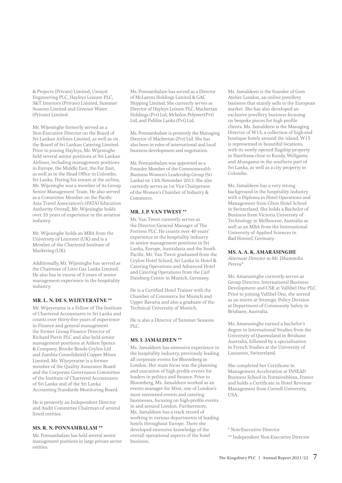& Projects (Private) Limited, Unisyst Engineering PLC, Hayleys Leisure PLC, S&T Interiors (Private) Limited, Summer Seasons Limited and Greener Water (Private) Limited.

Mr. Wijesinghe formerly served as a Non-Executive Director on the Board of Sri Lankan Airlines Limited, as well as on the Board of Sri Lankan Catering Limited. Prior to joining Hayleys, Mr. Wijesinghe held several senior positions at Sri Lankan Airlines, including management positions in Europe, the Middle East, the Far East, as well as in the Head Office in Colombo, Sri Lanka. During his tenure at the airline, Mr. Wijesinghe was a member of its Group Senior Management Team. He also served as a Committee Member on the Pacific Asia Travel Association's (PATA) Education Authority. Overall, Mr. Wijesinghe holds over 35 years of experience in the aviation industry.

Mr. Wijesinghe holds an MBA from the University of Leicester (UK) and is a Member of the Chartered Institute of Marketing (UK).

Additionally, Mr. Wijesinghe has served as the Chairman of Litro Gas Lanka Limited. He also has in excess of 5 years of senior management experience in the hospitality industry.

#### **MR. L. N. DE S. WIJEYERATNE \*\***

Mr. Wijeyeratne is a Fellow of The Institute of Chartered Accountants in Sri Lanka and counts over thirty-five years of experience in Finance and general management the former Group Finance Director of Richard Pieris PLC and also held senior management positions at Aitken Spence & Company, Brooke Bonds Ceylon Ltd and Zambia Consolidated Copper Mines Limited. Mr. Wijeyeratne is a former member of the Quality Assurance Board and the Corporate Governance Committee of the Institute of Chartered Accountants of Sri Lanka and of the Sri Lanka Accounting Standards Monitoring Board.

He is presently an Independent Director and Audit Committee Chairman of several listed entities.

#### **MS. R. N. PONNAMBALAM \*\***

Ms. Ponnambalam has held several senior management positions in large private sector entities.

Ms. Ponnambalam has served as a Director of McLarens Holdings Limited & GAC Shipping Limited. She currently serves as Director of Hayleys Leisure PLC, Macbertan Holdings (Pvt) Ltd, Mcbolon Polymer(Pvt) Ltd, and Pidilite Lanka (Pvt) Ltd.

Ms. Ponnambalam is presently the Managing Director of Macbertan (Pvt) Ltd. She has also been in roles of international and local business development and negotiation.

Ms. Ponnambalam was appointed as a Founder Member of the Commonwealth Business Women's Leadership Group (Sri Lanka) on 13th November 2013. She also currently serves as 1st Vice Chairperson of the Women's Chamber of Industry & Commerce.

#### **MR. J. P. VAN TWEST \*\***

Mr. Van Twest currently serves as the Director/General Manager of The Fortress PLC. He counts over 40 years' experience in the hospitality industry in senior management positions in Sri Lanka, Europe, Australasia and the South Pacific. Mr. Van Twest graduated from the Ceylon Hotel School, Sri Lanka in Hotel & Catering Operations and Advanced Hotel and Catering Operations from the Carl Duisburg Centre in Munich, Germany.

He is a Certified Hotel Trainer with the Chamber of Commerce for Munich and Upper Bavaria and also a graduate of the Technical University of Munich.

He is also a Director of Summer Seasons  $PTC$ 

#### **MS. I. JAMALDEEN \*\***

Ms. Jamaldeen has extensive experience in the hospitality industry, previously leading all corporate events for Bloomberg in London. Her main focus was the planning and execution of high profile events for leaders in politics and finance. Prior to Bloomberg, Ms. Jamaldeen worked as an events manager for Mint, one of London's most renowned events and catering businesses, focusing on high-profile events in and around London. Furthermore, Ms. Jamaldeen has a track record of working in various departments of leading hotels throughout Europe. There she developed extensive knowledge of the overall operational aspects of the hotel business.

Ms. Jamaldeen is the founder of Gem Atelier London, an online jewellery business that mainly sells to the European market. She has also developed an exclusive jewellery business focusing on bespoke pieces for high profile clients. Ms. Jamaldeen is the Managing Director of W15, a collection of high-end boutique hotels around the island. W15 is represented in beautiful locations, with its newly opened flagship property in Hanthana close to Kandy, Weligama and Ahangama in the southern part of Sri Lanka, as well as a city property in Colombo.

Ms. Jamaldeen has a very strong background in the hospitality industry with a Diploma in Hotel Operations and Management from Glion Hotel School in Switzerland. She holds a Bachelor of Business from Victoria University of Technology in Melbourne, Australia as well as an MBA from the International University of Applied Sciences in Bad Honnef, Germany.

#### **MS. A. A. K. AMARASINGHE**

*Alternate Director to Mr. Dhammika Perera\**

Ms. Amarasinghe currently serves as Group Director, International Business Development and CSR at Vallibel One PLC. Prior to joining Vallibel One, she served as an intern at Strategic Policy Division at Department of Community Safety in Brisbane, Australia.

Ms. Amarasinghe earned a bachelor's degree in International Studies from the University of Queensland in Brisbane Australia, followed by a specialisation in French Studies at the University of Lausanne, Switzerland.

She completed her Certificate in Management Acceleration at INSEAD Business School in Fontainebleau, France and holds a Certificate in Hotel Revenue Management from Cornell University, **IISA** 

\* Non-Executive Director

*<sup>\*\*</sup>* Independent Non-Executive Director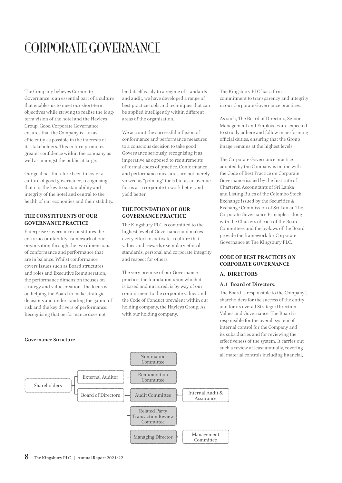# CORPORATE GOVERNANCE

The Company believes Corporate Governance is an essential part of a culture that enables us to meet our short-term objectives while striving to realise the longterm vision of the hotel and the Hayleys Group. Good Corporate Governance ensures that the Company is run as efficiently as possible in the interests of its stakeholders. This in turn promotes greater confidence within the company as well as amongst the public at large.

Our goal has therefore been to foster a culture of good governance, recognising that it is the key to sustainability and integrity of the hotel and central to the health of our economies and their stability.

#### **THE CONSTITUENTS OF OUR GOVERNANCE PRACTICE**

Enterprise Governance constitutes the entire accountability framework of our organisation through the two dimensions of conformance and performance that are in balance. Whilst conformance covers issues such as Board structures and roles and Executive Remuneration, the performance dimension focuses on strategy and value creation. The focus is on helping the Board to make strategic decisions and understanding the gamut of risk and the key drivers of performance. Recognising that performance does not

lend itself easily to a regime of standards and audit, we have developed a range of best practice tools and techniques that can be applied intelligently within different areas of the organisation.

We account the successful infusion of conformance and performance measures to a conscious decision to take good Governance seriously, recognising it as imperative as opposed to requirements of formal codes of practice. Conformance and performance measures are not merely viewed as "policing" tools but as an avenue for us as a corporate to work better and yield better.

#### **THE FOUNDATION OF OUR GOVERNANCE PRACTICE**

The Kingsbury PLC is committed to the highest level of Governance and makes every effort to cultivate a culture that values and rewards exemplary ethical standards, personal and corporate integrity and respect for others.

The very premise of our Governance practice, the foundation upon which it is based and nurtured, is by way of our commitment to the corporate values and the Code of Conduct prevalent within our holding company, the Hayleys Group. As with our holding company,

The Kingsbury PLC has a firm commitment to transparency and integrity in our Corporate Governance practices.

As such, The Board of Directors, Senior Management and Employees are expected to strictly adhere and follow in performing official duties, ensuring that the Group image remains at the highest levels.

The Corporate Governance practice adopted by the Company is in line with the Code of Best Practice on Corporate Governance issued by the Institute of Chartered Accountants of Sri Lanka and Listing Rules of the Colombo Stock Exchange issued by the Securities & Exchange Commission of Sri Lanka. The Corporate Governance Principles, along with the Charters of each of the Board Committees and the by-laws of the Board provide the framework for Corporate Governance at The Kingsbury PLC.

#### **CODE OF BEST PRACTICES ON CORPORATE GOVERNANCE**

#### **A. DIRECTORS**

#### **A.1 Board of Directors:**

The Board is responsible to the Company's shareholders for the success of the entity and for its overall Strategic Direction, Values and Governance. The Board is responsible for the overall system of internal control for the Company and its subsidiaries and for reviewing the effectiveness of the system. It carries out such a review at least annually, covering all material controls including financial,



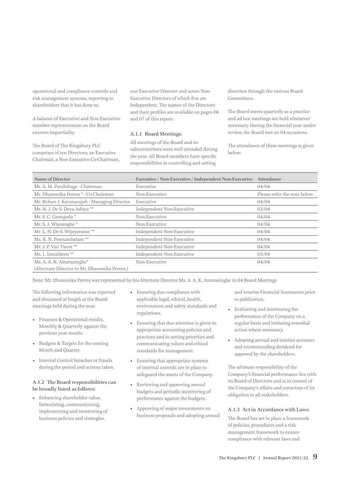operational and compliance controls and risk management systems, reporting to shareholders that it has done so.

A balance of Executive and Non-Executive member representation on the Board ensures impartiality.

The Board of The Kingsbury PLC comprises of ten Directors, an Executive Chairman, a Non-Executive Co-Chairman, one Executive Director and seven Non-Executive Directors of which five are Independent. The names of the Directors and their profiles are available on pages 06 and 07 of this report.

#### A.1.1 Board Meetings:

All meetings of the Board and its subcommittees were well attended during the year. All Board members have specific responsibilities in controlling and setting

direction through the various Board Committees.

The Board meets quarterly as a practice and ad hoc meetings are held whenever necessary. During the financial year under review, the Board met on 04 occasions.

The attendance of these meetings is given below:

| Name of Director                             | Executive / Non-Executive / Independent Non-Executive | Attendance                  |
|----------------------------------------------|-------------------------------------------------------|-----------------------------|
| Mr. A. M. Pandithage - Chairman              | Executive                                             | 04/04                       |
| Mr. Dhammika Perera * - Co-Chairman          | Non-Executive                                         | Please refer the note below |
| Mr. Rohan J. Karunarajah - Managing Director | Executive                                             | 04/04                       |
| Mr. N. J. De S. Deva Aditya **               | Independent Non-Executive                             | 03/04                       |
| Mr. S. C. Ganegoda *                         | Non-Executive                                         | 04/04                       |
| Mr. S. J. Wijesinghe *                       | Non-Executive                                         | 04/04                       |
| Mr. L. N. De S. Wijeyeratne**                | Independent Non-Executive                             | 04/04                       |
| Ms. R. N. Ponnambalam**                      | Independent Non-Executive                             | 04/04                       |
| Mr. J. P. Van Twest **                       | Independent Non-Executive                             | 04/04                       |
| Ms. I. Jamaldeen **                          | Independent Non-Executive                             | 03/04                       |
| Ms. A. A. K. Amarasinghe*                    | Non-Executive                                         | 04/04                       |
| (Alternate Director to Mr. Dhammika Perera)  |                                                       |                             |

Note: Mr. Dhammika Perera was represented by his Alternate Director Ms. A. A. K. Amarasinghe in 04 Board Meetings

The following information was reported and discussed at length at the Board meetings held during the year.

- Finances & Operational results, Monthly & Quarterly against the previous year results.
- Budgets & Targets for the coming Month and Quarter.
- Internal Control breaches or frauds during the period and actions taken.

#### A.1.2 The Board responsibilities can be broadly listed as follows:

• Enhancing shareholder value, formulating, communicating, implementing and monitoring of business policies and strategies.

- Ensuring due compliance with applicable legal, ethical, health, environment and safety standards and regulations.
- Ensuring that due attention is given to appropriate accounting policies and practices and to setting priorities and communicating values and ethical standards for management.
- Ensuring that appropriate systems of internal controls are in place to safeguard the assets of the Company.
- Reviewing and approving annual budgets and periodic monitoring of performance against the budgets.
- Approving of major investments on business proposals and adopting annual

and interim Financial Statements prior to publication.

- Evaluating and monitoring the performance of the Company on a regular basis and initiating remedial action where necessary.
- Adopting annual and interim accounts and recommending dividend for approval by the shareholders.

The ultimate responsibility of the Company's financial performance lies with its Board of Directors and is in control of the Company's affairs and conscious of its obligation to all stakeholders.

A.1.3 Act in Accordance with Laws: The Board has set in place a framework of policies, procedures and a risk management framework to ensure compliance with relevant laws and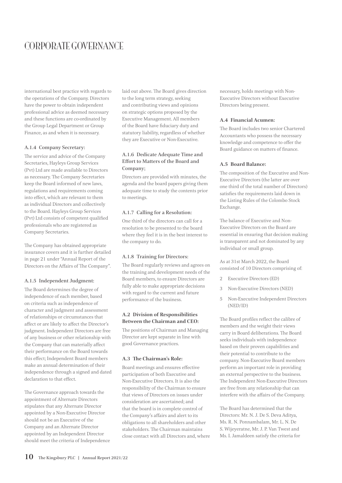### CORPORATE GOVERNANCE

international best practice with regards to the operations of the Company. Directors have the power to obtain independent professional advice as deemed necessary and these functions are co-ordinated by the Group Legal Department or Group Finance, as and when it is necessary.

#### A.1.4 Company Secretary:

The service and advice of the Company Secretaries, Hayleys Group Services (Pvt) Ltd are made available to Directors as necessary. The Company Secretaries keep the Board informed of new laws, regulations and requirements coming into effect, which are relevant to them as individual Directors and collectively to the Board. Hayleys Group Services (Pvt) Ltd consists of competent qualified professionals who are registered as Company Secretaries.

The Company has obtained appropriate insurance covers and it is further detailed in page 21 under "Annual Report of the Directors on the Affairs of The Company".

#### A.1.5 Independent Judgment:

The Board determines the degree of independence of each member, based on criteria such as independence of character and judgment and assessment of relationships or circumstances that affect or are likely to affect the Director's judgment. Independent Directors are free of any business or other relationship with the Company that can materially affect their performance on the Board towards this effect; Independent Board members make an annual determination of their independence through a signed and dated declaration to that effect.

The Governance approach towards the appointment of Alternate Directors stipulates that any Alternate Director appointed by a Non-Executive Director should not be an Executive of the Company and an Alternate Director appointed by an Independent Director should meet the criteria of Independence laid out above. The Board gives direction to the long term strategy, seeking and contributing views and opinions on strategic options proposed by the Executive Management. All members of the Board have fiduciary duty and statutory liability, regardless of whether they are Executive or Non-Executive.

#### A.1.6 Dedicate Adequate Time and Effort to Matters of the Board and Company;

Directors are provided with minutes, the agenda and the board papers giving them adequate time to study the contents prior to meetings.

#### A.1.7 Calling for a Resolution:

One third of the directors can call for a resolution to be presented to the board where they feel it is in the best interest to the company to do.

#### A.1.8 Training for Directors:

The Board regularly reviews and agrees on the training and development needs of the Board members, to ensure Directors are fully able to make appropriate decisions with regard to the current and future performance of the business.

#### **A.2 Division of Responsibilities Between the Chairman and CEO:**

The positions of Chairman and Managing Director are kept separate in line with good Governance practices.

#### **A.3 The Chairman's Role:**

Board meetings and ensures effective participation of both Executive and Non-Executive Directors. It is also the responsibility of the Chairman to ensure that views of Directors on issues under consideration are ascertained; and that the board is in complete control of the Company's affairs and alert to its obligations to all shareholders and other stakeholders. The Chairman maintains close contact with all Directors and, where necessary, holds meetings with Non-Executive Directors without Executive Directors being present.

#### **A.4 Financial Acumen:**

The Board includes two senior Chartered Accountants who possess the necessary knowledge and competence to offer the Board guidance on matters of finance.

#### **A.5 Board Balance:**

The composition of the Executive and Non-Executive Directors (the latter are over one third of the total number of Directors) satisfies the requirements laid down in the Listing Rules of the Colombo Stock Exchange.

The balance of Executive and Non-Executive Directors on the Board are essential in ensuring that decision making is transparent and not dominated by any individual or small group.

As at 31st March 2022, the Board consisted of 10 Directors comprising of:

- 2 Executive Directors (ED)
- 3 Non-Executive Directors (NED)
- 5 Non-Executive Independent Directors (NED/ID)

The Board profiles reflect the calibre of members and the weight their views carry in Board deliberations. The Board seeks individuals with independence based on their proven capabilities and their potential to contribute to the company. Non-Executive Board members perform an important role in providing an external perspective to the business. The Independent Non-Executive Directors are free from any relationship that can interfere with the affairs of the Company.

The Board has determined that the Directors: Mr. N. J. De S. Deva Aditya, Ms. R. N. Ponnambalam, Mr. L. N. De S. Wijeyeratne, Mr. J. P. Van Twest and Ms. I. Jamaldeen satisfy the criteria for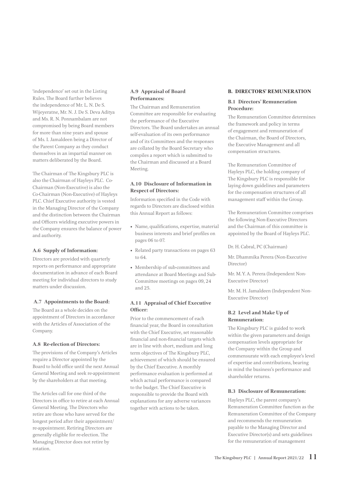'independence' set out in the Listing Rules. The Board further believes the independence of Mr. L. N. De S. Wijeyeratne, Mr. N. J. De S. Deva Aditya and Ms. R. N. Ponnambalam are not compromised by being Board members for more than nine years and spouse of Ms. I. Jamaldeen being a Director of the Parent Company as they conduct themselves in an impartial manner on matters deliberated by the Board.

The Chairman of The Kingsbury PLC is also the Chairman of Hayleys PLC. Co-Chairman (Non-Executive) is also the Co-Chairman (Non-Executive) of Hayleys PLC. Chief Executive authority is vested in the Managing Director of the Company and the distinction between the Chairman and Officers wielding executive powers in the Company ensures the balance of power and authority.

#### **A.6 Supply of Information:**

Directors are provided with quarterly reports on performance and appropriate documentation in advance of each Board meeting for individual directors to study matters under discussion.

#### **A.7 Appointments to the Board:**

The Board as a whole decides on the appointment of Directors in accordance with the Articles of Association of the Company.

#### **A.8 Re-election of Directors:**

The provisions of the Company's Articles require a Director appointed by the Board to hold office until the next Annual General Meeting and seek re-appointment by the shareholders at that meeting.

The Articles call for one third of the Directors in office to retire at each Annual General Meeting. The Directors who retire are those who have served for the longest period after their appointment/ re-appointment. Retiring Directors are generally eligible for re-election. The Managing Director does not retire by rotation.

#### **A.9 Appraisal of Board Performances:**

The Chairman and Remuneration Committee are responsible for evaluating the performance of the Executive Directors. The Board undertakes an annual self-evaluation of its own performance and of its Committees and the responses are collated by the Board Secretary who compiles a report which is submitted to the Chairman and discussed at a Board Meeting.

#### **A.10 Disclosure of Information in Respect of Directors:**

Information specified in the Code with regards to Directors are disclosed within this Annual Report as follows:

- Name, qualifications, expertise, material business interests and brief profiles on pages 06 to 07.
- Related party transactions on pages 63 to 64.
- Membership of sub-committees and attendance at Board Meetings and Sub-Committee meetings on pages 09, 24 and 25.

#### **A.11 Appraisal of Chief Executive Officer:**

Prior to the commencement of each financial year, the Board in consultation with the Chief Executive, set reasonable financial and non-financial targets which are in line with short, medium and long term objectives of The Kingsbury PLC, achievement of which should be ensured by the Chief Executive. A monthly performance evaluation is performed at which actual performance is compared to the budget. The Chief Executive is responsible to provide the Board with explanations for any adverse variances together with actions to be taken.

#### **B. DIRECTORS' REMUNERATION**

#### **B.1 Directors' Remuneration Procedure:**

The Remuneration Committee determines the framework and policy in terms of engagement and remuneration of the Chairman, the Board of Directors, the Executive Management and all compensation structures.

The Remuneration Committee of Hayleys PLC, the holding company of The Kingsbury PLC is responsible for laying down guidelines and parameters for the compensation structures of all management staff within the Group.

The Remuneration Committee comprises the following Non-Executive Directors and the Chairman of this committee is appointed by the Board of Hayleys PLC.

Dr. H. Cabral, PC (Chairman)

Mr. Dhammika Perera (Non-Executive Director)

Mr. M. Y. A. Perera (Independent Non-Executive Director)

Mr. M. H. Jamaldeen (Independent Non-Executive Director)

#### **B.2 Level and Make Up of Remuneration:**

The Kingsbury PLC is guided to work within the given parameters and design compensation levels appropriate for the Company within the Group and commensurate with each employee's level of expertise and contributions, bearing in mind the business's performance and shareholder returns.

#### **B.3 Disclosure of Remuneration:**

Hayleys PLC, the parent company's Remuneration Committee function as the Remuneration Committee of the Company and recommends the remuneration payable to the Managing Director and Executive Director(s) and sets guidelines for the remuneration of management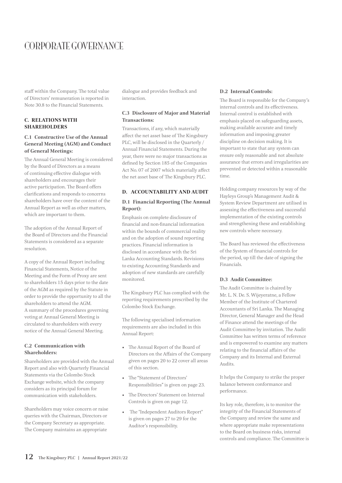### CORPORATE GOVERNANCE

staff within the Company. The total value of Directors' remuneration is reported in Note 30.8 to the Financial Statements.

#### **C. RELATIONS WITH SHAREHOLDERS**

#### **C.1 Constructive Use of the Annual General Meeting (AGM) and Conduct of General Meetings:**

The Annual General Meeting is considered by the Board of Directors as a means of continuing effective dialogue with shareholders and encourages their active participation. The Board offers clarifications and responds to concerns shareholders have over the content of the Annual Report as well as other matters, which are important to them.

The adoption of the Annual Report of the Board of Directors and the Financial Statements is considered as a separate resolution.

A copy of the Annual Report including Financial Statements, Notice of the Meeting and the Form of Proxy are sent to shareholders 15 days prior to the date of the AGM as required by the Statute in order to provide the opportunity to all the shareholders to attend the AGM. A summary of the procedures governing voting at Annual General Meeting is circulated to shareholders with every notice of the Annual General Meeting.

#### **C.2 Communication with Shareholders:**

Shareholders are provided with the Annual Report and also with Quarterly Financial Statements via the Colombo Stock Exchange website, which the company considers as its principal forum for communication with stakeholders.

Shareholders may voice concern or raise queries with the Chairman, Directors or the Company Secretary as appropriate. The Company maintains an appropriate

dialogue and provides feedback and interaction.

#### **C.3 Disclosure of Major and Material Transactions:**

Transactions, if any, which materially affect the net asset base of The Kingsbury PLC, will be disclosed in the Quarterly / Annual Financial Statements. During the year, there were no major transactions as defined by Section 185 of the Companies Act No. 07 of 2007 which materially affect the net asset base of The Kingsbury PLC.

#### **D. ACCOUNTABILITY AND AUDIT**

#### **D.1 Financial Reporting (The Annual Report):**

Emphasis on complete disclosure of financial and non-financial information within the bounds of commercial reality and on the adoption of sound reporting practices. Financial information is disclosed in accordance with the Sri Lanka Accounting Standards. Revisions to existing Accounting Standards and adoption of new standards are carefully monitored.

The Kingsbury PLC has complied with the reporting requirements prescribed by the Colombo Stock Exchange.

The following specialised information requirements are also included in this Annual Report:

- The Annual Report of the Board of Directors on the Affairs of the Company given on pages 20 to 22 cover all areas of this section.
- The "Statement of Directors' Responsibilities" is given on page 23.
- The Directors' Statement on Internal Controls is given on page 12.
- The "Independent Auditors Report" is given on pages 27 to 29 for the Auditor's responsibility.

#### **D.2 Internal Controls:**

The Board is responsible for the Company's internal controls and its effectiveness. Internal control is established with emphasis placed on safeguarding assets, making available accurate and timely information and imposing greater discipline on decision making. It is important to state that any system can ensure only reasonable and not absolute assurance that errors and irregularities are prevented or detected within a reasonable time.

Holding company resources by way of the Hayleys Group's Management Audit & System Review Department are utilised in assessing the effectiveness and successful implementation of the existing controls and strengthening these and establishing new controls where necessary.

The Board has reviewed the effectiveness of the System of financial controls for the period, up till the date of signing the Financials.

#### **D.3 Audit Committee:**

The Audit Committee is chaired by Mr. L. N. De. S. Wijeyeratne, a Fellow Member of the Institute of Chartered Accountants of Sri Lanka. The Managing Director, General Manager and the Head of Finance attend the meetings of the Audit Committee by invitation. The Audit Committee has written terms of reference and is empowered to examine any matters relating to the financial affairs of the Company and its Internal and External Audits.

It helps the Company to strike the proper balance between conformance and performance.

Its key role, therefore, is to monitor the integrity of the Financial Statements of the Company and review the same and where appropriate make representations to the Board on business risks, internal controls and compliance. The Committee is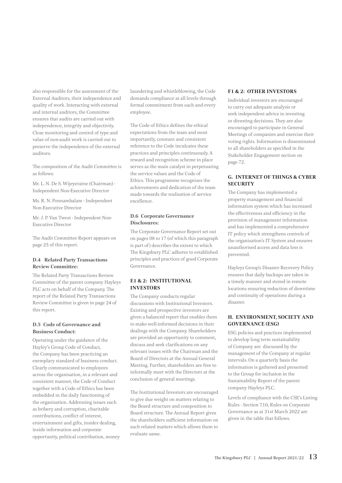also responsible for the assessment of the External Auditors, their independence and quality of work. Interacting with external and internal auditors, the Committee ensures that audits are carried out with independence, integrity and objectivity. Close monitoring and control of type and value of non-audit work is carried out to preserve the independence of the external auditors.

The composition of the Audit Committee is as follows:

Mr. L. N. De S. Wijeyeratne (Chairman) - Independent Non-Executive Director

Ms. R. N. Ponnambalam - Independent Non-Executive Director

Mr. J. P. Van Twest - Independent Non-Executive Director

The Audit Committee Report appears on page 25 of this report.

#### **D.4 Related Party Transactions Review Committee:**

The Related Party Transactions Review Committee of the parent company Hayleys PLC acts on behalf of the Company. The report of the Related Party Transactions Review Committee is given in page 24 of this report.

#### **D.5 Code of Governance and Business Conduct:**

Operating under the guidance of the Hayley's Group Code of Conduct, the Company has been practicing an exemplary standard of business conduct. Clearly communicated to employees across the organisation, in a relevant and consistent manner, the Code of Conduct together with a Code of Ethics has been embedded in the daily functioning of the organisation. Addressing issues such as bribery and corruption, charitable contributions, conflict of interest, entertainment and gifts, insider dealing, inside information and corporate opportunity, political contribution, money laundering and whistleblowing, the Code demands compliance at all levels through formal commitment from each and every employee.

The Code of Ethics defines the ethical expectations from the team and most importantly, constant and consistent reference to the Code inculcates these practices and principles continuously. A reward and recognition scheme in place serves as the main catalyst in perpetuating the service values and the Code of Ethics. This programme recognises the achievements and dedication of the team made towards the realisation of service excellence.

#### **D.6 Corporate Governance Disclosures:**

The Corporate Governance Report set out on pages 08 to 17 (of which this paragraph is part of) describes the extent to which The Kingsbury PLC adheres to established principles and practices of good Corporate Governance.

#### **E1 & 2: INSTITUTIONAL INVESTORS**

The Company conducts regular discussions with Institutional Investors. Existing and prospective investors are given a balanced report that enables them to make well-informed decisions in their dealings with the Company. Shareholders are provided an opportunity to comment, discuss and seek clarifications on any relevant issues with the Chairman and the Board of Directors at the Annual General Meeting. Further, shareholders are free to informally meet with the Directors at the conclusion of general meetings.

The Institutional Investors are encouraged to give due weight on matters relating to the Board structure and composition to Board structure. The Annual Report gives the shareholders sufficient information on such related matters which allows them to evaluate same.

#### **F1 & 2: OTHER INVESTORS**

Individual investors are encouraged to carry out adequate analysis or seek independent advice in investing or divesting decisions. They are also encouraged to participate in General Meetings of companies and exercise their voting rights. Information is disseminated to all shareholders as specified in the Stakeholder Engagement section on page 72.

#### **G. INTERNET OF THINGS & CYBER SECURITY**

The Company has implemented a property management and financial information system which has increased the effectiveness and efficiency in the provision of management information and has implemented a comprehensive IT policy which strengthens controls of the organisation's IT System and ensures unauthorised access and data loss is prevented.

Hayleys Group's Disaster Recovery Policy ensures that daily backups are taken in a timely manner and stored in remote locations ensuring reduction of downtime and continuity of operations during a disaster.

#### **H. ENVIRONMENT, SOCIETY AND GOVERNANCE (ESG)**

ESG policies and practices implemented to develop long term sustainability of Company are discussed by the management of the Company at regular intervals. On a quarterly basis the information is gathered and presented to the Group for inclusion in the Sustainability Report of the parent company Hayleys PLC.

Levels of compliance with the CSE's Listing Rules - Section 7.10, Rules on Corporate Governance as at 31st March 2022 are given in the table that follows.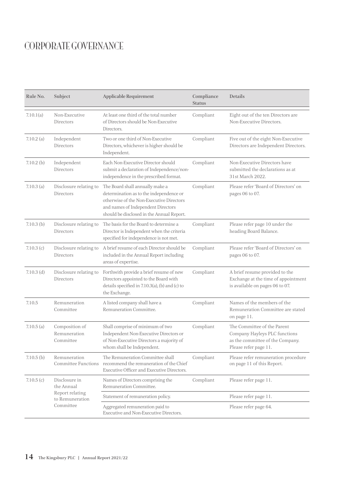### CORPORATE GOVERNANCE

| Rule No.     | Subject                                     | <b>Applicable Requirement</b>                                                                                                                                                                             | Compliance<br><b>Status</b> | Details                                                                                                                   |
|--------------|---------------------------------------------|-----------------------------------------------------------------------------------------------------------------------------------------------------------------------------------------------------------|-----------------------------|---------------------------------------------------------------------------------------------------------------------------|
| 7.10.1(a)    | Non-Executive<br>Directors                  | At least one third of the total number<br>of Directors should be Non-Executive<br>Directors.                                                                                                              | Compliant                   | Eight out of the ten Directors are<br>Non-Executive Directors.                                                            |
| $7.10.2$ (a) | Independent<br>Directors                    | Two or one third of Non-Executive<br>Directors, whichever is higher should be<br>Independent.                                                                                                             | Compliant                   | Five out of the eight Non-Executive<br>Directors are Independent Directors.                                               |
| $7.10.2$ (b) | Independent<br>Directors                    | Each Non-Executive Director should<br>submit a declaration of Independence/non-<br>independence in the prescribed format.                                                                                 | Compliant                   | Non-Executive Directors have<br>submitted the declarations as at<br>31st March 2022.                                      |
| $7.10.3$ (a) | Disclosure relating to<br>Directors         | The Board shall annually make a<br>determination as to the independence or<br>otherwise of the Non-Executive Directors<br>and names of Independent Directors<br>should be disclosed in the Annual Report. | Compliant                   | Please refer 'Board of Directors' on<br>pages 06 to 07.                                                                   |
| $7.10.3$ (b) | Disclosure relating to<br>Directors         | The basis for the Board to determine a<br>Director is Independent when the criteria<br>specified for independence is not met.                                                                             | Compliant                   | Please refer page 10 under the<br>heading Board Balance.                                                                  |
| 7.10.3(c)    | Disclosure relating to<br>Directors         | A brief resume of each Director should be<br>included in the Annual Report including<br>areas of expertise.                                                                                               | Compliant                   | Please refer 'Board of Directors' on<br>pages 06 to 07.                                                                   |
| $7.10.3$ (d) | Disclosure relating to<br>Directors         | Forthwith provide a brief resume of new<br>Directors appointed to the Board with<br>details specified in 7.10.3(a), (b) and (c) to<br>the Exchange.                                                       | Compliant                   | A brief resume provided to the<br>Exchange at the time of appointment<br>is available on pages 06 to 07.                  |
| 7.10.5       | Remuneration<br>Committee                   | A listed company shall have a<br>Remuneration Committee.                                                                                                                                                  | Compliant                   | Names of the members of the<br>Remuneration Committee are stated<br>on page 11.                                           |
| $7.10.5$ (a) | Composition of<br>Remuneration<br>Committee | Shall comprise of minimum of two<br>Independent Non-Executive Directors or<br>of Non-Executive Directors a majority of<br>whom shall be Independent.                                                      | Compliant                   | The Committee of the Parent<br>Company Hayleys PLC functions<br>as the committee of the Company.<br>Please refer page 11. |
| $7.10.5$ (b) | Remuneration<br>Committee Functions         | The Remuneration Committee shall<br>recommend the remuneration of the Chief<br>Executive Officer and Executive Directors.                                                                                 | Compliant                   | Please refer remuneration procedure<br>on page 11 of this Report.                                                         |
| 7.10.5(c)    | Disclosure in<br>the Annual                 | Names of Directors comprising the<br>Remuneration Committee.                                                                                                                                              | Compliant                   | Please refer page 11.                                                                                                     |
|              | Report relating<br>to Remuneration          | Statement of remuneration policy.                                                                                                                                                                         |                             | Please refer page 11.                                                                                                     |
| Committee    |                                             | Aggregated remuneration paid to<br>Executive and Non-Executive Directors.                                                                                                                                 |                             | Please refer page 64.                                                                                                     |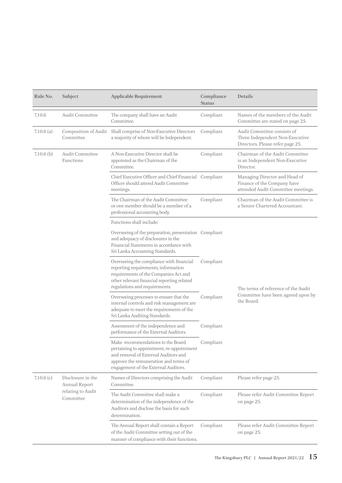| Rule No.                       | Subject                            | <b>Applicable Requirement</b>                                                                                                                                                                           | Compliance<br><b>Status</b> | Details                                                                                            |
|--------------------------------|------------------------------------|---------------------------------------------------------------------------------------------------------------------------------------------------------------------------------------------------------|-----------------------------|----------------------------------------------------------------------------------------------------|
| 7.10.6                         | Audit Committee                    | The company shall have an Audit<br>Committee.                                                                                                                                                           | Compliant                   | Names of the members of the Audit<br>Committee are stated on page 25.                              |
| 7.10.6(a)                      | Composition of Audit<br>Committee  | Shall comprise of Non-Executive Directors<br>a majority of whom will be Independent.                                                                                                                    | Compliant                   | Audit Committee consists of<br>Three Independent Non-Executive<br>Directors. Please refer page 25. |
| $7.10.6$ (b)                   | Audit Committee<br>Functions       | A Non-Executive Director shall be<br>appointed as the Chairman of the<br>Committee.                                                                                                                     | Compliant                   | Chairman of the Audit Committee<br>is an Independent Non-Executive<br>Director.                    |
|                                |                                    | Chief Executive Officer and Chief Financial Compliant<br>Officer should attend Audit Committee<br>meetings.                                                                                             |                             | Managing Director and Head of<br>Finance of the Company have<br>attended Audit Committee meetings. |
|                                |                                    | The Chairman of the Audit Committee<br>or one member should be a member of a<br>professional accounting body.                                                                                           | Compliant                   | Chairman of the Audit Committee is<br>a Senior Chartered Accountant.                               |
|                                |                                    | Functions shall include:                                                                                                                                                                                |                             |                                                                                                    |
|                                |                                    | Overseeing of the preparation, presentation Compliant<br>and adequacy of disclosures in the<br>Financial Statements in accordance with<br>Sri Lanka Accounting Standards.                               |                             |                                                                                                    |
|                                |                                    | Overseeing the compliance with financial<br>reporting requirements, information<br>requirements of the Companies Act and<br>other relevant financial reporting related<br>regulations and requirements. | Compliant                   | The terms of reference of the Audit                                                                |
|                                |                                    | Overseeing processes to ensure that the<br>internal controls and risk management are<br>adequate to meet the requirements of the<br>Sri Lanka Auditing Standards.                                       | Compliant                   | Committee have been agreed upon by<br>the Board.                                                   |
|                                |                                    | Assessment of the independence and<br>performance of the External Auditors.                                                                                                                             | Compliant                   |                                                                                                    |
|                                |                                    | Make recommendations to the Board<br>pertaining to appointment, re-appointment<br>and removal of External Auditors and<br>approve the remuneration and terms of<br>engagement of the External Auditors. | Compliant                   |                                                                                                    |
| 7.10.6(c)                      | Disclosure in the<br>Annual Report | Names of Directors comprising the Audit<br>Committee.                                                                                                                                                   | Compliant                   | Please refer page 25.                                                                              |
| relating to Audit<br>Committee |                                    | The Audit Committee shall make a<br>determination of the independence of the<br>Auditors and disclose the basis for such<br>determination.                                                              | Compliant                   | Please refer Audit Committee Report<br>on page 25.                                                 |
|                                |                                    | The Annual Report shall contain a Report<br>of the Audit Committee setting out of the<br>manner of compliance with their functions.                                                                     | Compliant                   | Please refer Audit Committee Report<br>on page 25.                                                 |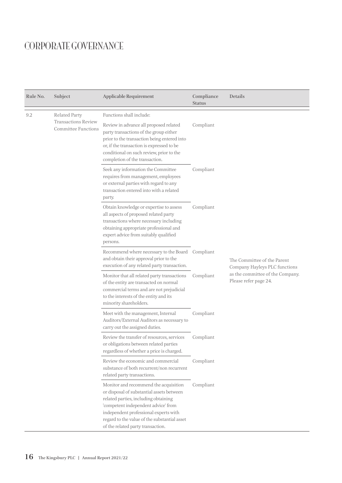### CORPORATE GOVERNANCE

| Rule No.                                          | Subject                                                                                                                                                                                                                   | <b>Applicable Requirement</b>                                                                                                                                                                                                                                                                   | Compliance<br><b>Status</b>                               | Details                                                      |
|---------------------------------------------------|---------------------------------------------------------------------------------------------------------------------------------------------------------------------------------------------------------------------------|-------------------------------------------------------------------------------------------------------------------------------------------------------------------------------------------------------------------------------------------------------------------------------------------------|-----------------------------------------------------------|--------------------------------------------------------------|
| 9.2                                               | Related Party                                                                                                                                                                                                             | Functions shall include:                                                                                                                                                                                                                                                                        |                                                           |                                                              |
| <b>Transactions Review</b><br>Committee Functions |                                                                                                                                                                                                                           | Review in advance all proposed related<br>party transactions of the group either<br>prior to the transaction being entered into<br>or, if the transaction is expressed to be<br>conditional on such review, prior to the<br>completion of the transaction.                                      | Compliant                                                 |                                                              |
|                                                   |                                                                                                                                                                                                                           | Seek any information the Committee<br>requires from management, employees<br>or external parties with regard to any<br>transaction entered into with a related<br>party.                                                                                                                        | Compliant                                                 |                                                              |
|                                                   | Obtain knowledge or expertise to assess<br>all aspects of proposed related party<br>transactions where necessary including<br>obtaining appropriate professional and<br>expert advice from suitably qualified<br>persons. | Compliant                                                                                                                                                                                                                                                                                       |                                                           |                                                              |
|                                                   |                                                                                                                                                                                                                           | Recommend where necessary to the Board Compliant<br>and obtain their approval prior to the<br>execution of any related party transaction.                                                                                                                                                       |                                                           | The Committee of the Parent<br>Company Hayleys PLC functions |
|                                                   | Monitor that all related party transactions<br>of the entity are transacted on normal<br>commercial terms and are not prejudicial<br>to the interests of the entity and its<br>minority shareholders.                     | Compliant                                                                                                                                                                                                                                                                                       | as the committee of the Company.<br>Please refer page 24. |                                                              |
|                                                   |                                                                                                                                                                                                                           | Meet with the management, Internal<br>Auditors/External Auditors as necessary to<br>carry out the assigned duties.                                                                                                                                                                              | Compliant                                                 |                                                              |
|                                                   |                                                                                                                                                                                                                           | Review the transfer of resources, services<br>or obligations between related parties<br>regardless of whether a price is charged.                                                                                                                                                               | Compliant                                                 |                                                              |
|                                                   |                                                                                                                                                                                                                           | Review the economic and commercial<br>substance of both recurrent/non recurrent<br>related party transactions.                                                                                                                                                                                  | Compliant                                                 |                                                              |
|                                                   |                                                                                                                                                                                                                           | Monitor and recommend the acquisition<br>or disposal of substantial assets between<br>related parties, including obtaining<br>'competent independent advice' from<br>independent professional experts with<br>regard to the value of the substantial asset<br>of the related party transaction. | Compliant                                                 |                                                              |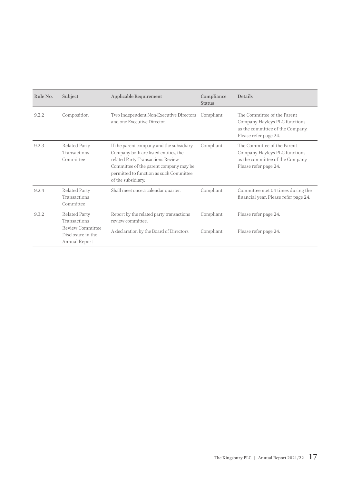| Rule No. | Subject                                                                                 | <b>Applicable Requirement</b>                                                                                                                                                                                                     | Compliance<br><b>Status</b> | Details                                                                                                                   |
|----------|-----------------------------------------------------------------------------------------|-----------------------------------------------------------------------------------------------------------------------------------------------------------------------------------------------------------------------------------|-----------------------------|---------------------------------------------------------------------------------------------------------------------------|
| 9.2.2    | Composition                                                                             | Two Independent Non-Executive Directors<br>and one Executive Director.                                                                                                                                                            | Compliant                   | The Committee of the Parent<br>Company Hayleys PLC functions<br>as the committee of the Company.<br>Please refer page 24. |
| 9.2.3    | Related Party<br>Transactions<br>Committee                                              | If the parent company and the subsidiary<br>Company both are listed entities, the<br>related Party Transactions Review<br>Committee of the parent company may be<br>permitted to function as such Committee<br>of the subsidiary. | Compliant                   | The Committee of the Parent<br>Company Hayleys PLC functions<br>as the committee of the Company.<br>Please refer page 24. |
| 9.2.4    | <b>Related Party</b><br>Transactions<br>Committee                                       | Shall meet once a calendar quarter.                                                                                                                                                                                               | Compliant                   | Committee met 04 times during the<br>financial year. Please refer page 24.                                                |
| 9.3.2    | Related Party<br>Transactions<br>Review Committee<br>Disclosure in the<br>Annual Report | Report by the related party transactions<br>review committee.                                                                                                                                                                     | Compliant                   | Please refer page 24.                                                                                                     |
|          |                                                                                         | A declaration by the Board of Directors.                                                                                                                                                                                          | Compliant                   | Please refer page 24.                                                                                                     |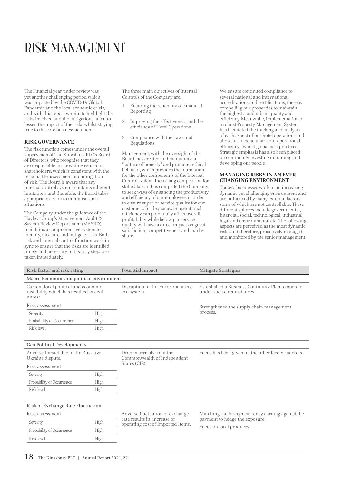### RISK MANAGEMENT

The Financial year under review was yet another challenging period which was impacted by the COVID-19 Global Pandemic and the local economic crisis, and with this report we aim to highlight the risks involved and the mitigations taken to lessen the impact of the risks whilst staying true to the core business acumen.

#### **RISK GOVERNANCE**

The risk function comes under the overall supervision of The Kingsbury PLC's Board of Directors, who recognise that they are responsible for providing return to shareholders, which is consistent with the responsible assessment and mitigation of risk. The Board is aware that any internal control systems contains inherent limitations and therefore, the Board takes appropriate action to minimise such situations.

The Company under the guidance of the Hayleys Group's Management Audit & System Review Department (MASRD) maintains a comprehensive system to identify, measure and mitigate risks. Both risk and internal control function work in sync to ensure that the risks are identified timely and necessary mitigatory steps are taken immediately.

The three main objectives of Internal Controls of the Company are,

- 1. Ensuring the reliability of Financial Reporting.
- 2. Improving the effectiveness and the efficiency of Hotel Operations.
- 3. Compliance with the Laws and Regulations.

Management, with the oversight of the Board, has created and maintained a "culture of honesty" and promotes ethical behavior, which provides the foundation for the other components of the Internal Control system. Increasing competition for skilled labour has compelled the Company to seek ways of enhancing the productivity and efficiency of our employees in order to ensure superior service quality for our customers. Inadequacies in operational efficiency can potentially affect overall profitability while below par service quality will have a direct impact on guest satisfaction, competitiveness and market share.

We ensure continued compliance to several national and international accreditations and certifications, thereby compelling our properties to maintain the highest standards in quality and efficiency. Meanwhile, implementation of a robust Property Management System has facilitated the tracking and analysis of each aspect of our hotel operations and allows us to benchmark our operational efficiency against global best practices. Strategic emphasis has also been placed on continually investing in training and developing our people

#### **MANAGING RISKS IN AN EVER CHANGING ENVIRONMENT**

Today's businesses work in an increasing dynamic yet challenging environment and are influenced by many external factors, some of which are not controllable. These different spheres include governmental, financial, social, technological, industrial, legal and environmental etc. The following aspects are perceived as the most dynamic risks and therefore, proactively managed and monitored by the senior management.

| Risk factor and risk rating                                                                |      | Potential impact                                  | <b>Mitigate Strategies</b>                                                     |
|--------------------------------------------------------------------------------------------|------|---------------------------------------------------|--------------------------------------------------------------------------------|
| Macro-Economic and political environment                                                   |      |                                                   |                                                                                |
| Current local political and economic<br>instability which has resulted in civil<br>unrest. |      | Disruption to the entire operating<br>eco system. | Established a Business Continuity Plan to operate<br>under such circumstances. |
| Risk assessment                                                                            |      |                                                   | Strengthened the supply chain management                                       |
| Severity                                                                                   | High |                                                   | process.                                                                       |
| Probability of Occurrence                                                                  | High |                                                   |                                                                                |
| Risk level                                                                                 | High |                                                   |                                                                                |
|                                                                                            |      |                                                   |                                                                                |
| Geo-Political Developments                                                                 |      |                                                   |                                                                                |

| Adverse Impact due to the Russia &<br>Ukraine dispute. |      | Drop in arrivals from the<br>Commonwealth of Independent<br>States (CIS). | Focus has been given on the other feeder markets. |
|--------------------------------------------------------|------|---------------------------------------------------------------------------|---------------------------------------------------|
| Risk assessment                                        |      |                                                                           |                                                   |
| Severity                                               | High |                                                                           |                                                   |
| Probability of Occurrence                              | High |                                                                           |                                                   |
| Risk level                                             | High |                                                                           |                                                   |
|                                                        |      |                                                                           |                                                   |
| Risk of Exchange Rate Fluctuation                      |      |                                                                           |                                                   |

| Risk of Exchange Rate Fluctuation |      |                                                                  |                                                   |  |
|-----------------------------------|------|------------------------------------------------------------------|---------------------------------------------------|--|
| Risk assessment                   |      | Adverse fluctuation of exchange                                  | Matching the foreign currency earning against the |  |
| Severity                          | High | rate results in increase of<br>operating cost of Imported Items. | payment to hedge the exposure.                    |  |
| Probability of Occurrence         | High |                                                                  | Focus on local produces.                          |  |
| Risk level                        | High |                                                                  |                                                   |  |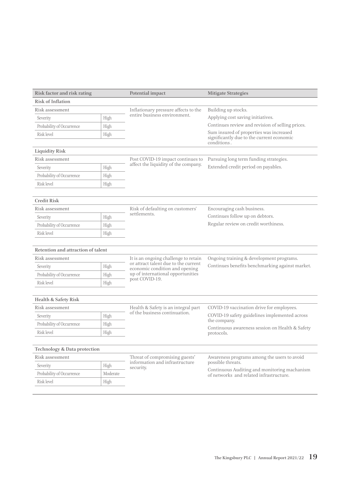| Risk factor and risk rating        |          | Potential impact                                                       | <b>Mitigate Strategies</b>                                                                          |
|------------------------------------|----------|------------------------------------------------------------------------|-----------------------------------------------------------------------------------------------------|
| <b>Risk of Inflation</b>           |          |                                                                        |                                                                                                     |
| Risk assessment                    |          | Inflationary pressure affects to the                                   | Building up stocks.                                                                                 |
| Severity                           | High     | entire business environment.                                           | Applying cost saving initiatives.                                                                   |
| Probability of Occurrence          | High     |                                                                        | Continues review and revision of selling prices.                                                    |
| Risk level                         | High     |                                                                        | Sum insured of properties was increased<br>significantly due to the current economic<br>conditions. |
| <b>Liquidity Risk</b>              |          |                                                                        |                                                                                                     |
| Risk assessment                    |          | Post COVID-19 impact continues to                                      | Pursuing long term funding strategies.                                                              |
| Severity                           | High     | affect the liquidity of the company.                                   | Extended credit period on payables.                                                                 |
| Probability of Occurrence          | High     |                                                                        |                                                                                                     |
| Risk level                         | High     |                                                                        |                                                                                                     |
| <b>Credit Risk</b>                 |          |                                                                        |                                                                                                     |
| Risk assessment                    |          | Risk of defaulting on customers'                                       | Encouraging cash business.                                                                          |
| Severity                           | High     | settlements.                                                           | Continues follow up on debtors.                                                                     |
| Probability of Occurrence          | High     |                                                                        | Regular review on credit worthiness.                                                                |
| Risk level                         | High     |                                                                        |                                                                                                     |
| Retention and attraction of talent |          |                                                                        |                                                                                                     |
| Risk assessment                    |          | It is an ongoing challenge to retain                                   | Ongoing training & development programs.                                                            |
| Severity                           | High     | or attract talent due to the current<br>economic condition and opening | Continues benefits benchmarking against market.                                                     |
| Probability of Occurrence          | High     | up of international opportunities<br>post COVID-19.                    |                                                                                                     |
| Risk level                         | High     |                                                                        |                                                                                                     |
| Health & Safety Risk               |          |                                                                        |                                                                                                     |
| Risk assessment                    |          | Health & Safety is an integral part                                    | COVID-19 vaccination drive for employees.                                                           |
| Severity                           | High     | of the business continuation.                                          | COVID-19 safety guidelines implemented across                                                       |
| Probability of Occurrence          | High     |                                                                        | the company.                                                                                        |
| Risk level                         | High     |                                                                        | Continuous awareness session on Health & Safety<br>protocols.                                       |
|                                    |          |                                                                        |                                                                                                     |
| Technology & Data protection       |          |                                                                        |                                                                                                     |
| Risk assessment                    |          | Threat of compromising guests'<br>information and infrastructure       | Awareness programs among the users to avoid<br>possible threats.                                    |
| Severity                           | High     | security.                                                              | Continuous Auditing and monitoring machanism                                                        |
| Probability of Occurrence          | Moderate |                                                                        | of networks and related infrastructure.                                                             |
| Risk level                         | High     |                                                                        |                                                                                                     |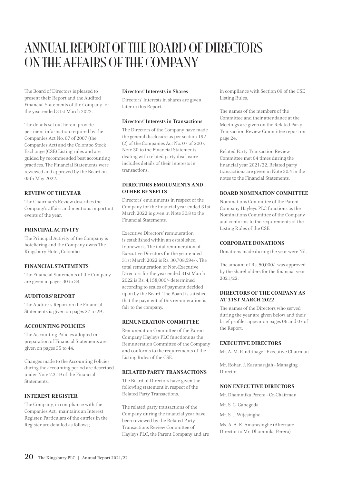### ANNUAL REPORT OF THE BOARD OF DIRECTORS ON THE AFFAIRS OF THE COMPANY

The Board of Directors is pleased to present their Report and the Audited Financial Statements of the Company for the year ended 31st March 2022.

The details set out herein provide pertinent information required by the Companies Act No. 07 of 2007 (the Companies Act) and the Colombo Stock Exchange (CSE) Listing rules and are guided by recommended best accounting practices. The Financial Statements were reviewed and approved by the Board on 05th May 2022.

#### **REVIEW OF THE YEAR**

The Chairman's Review describes the Company's affairs and mentions important events of the year.

#### **PRINCIPAL ACTIVITY**

The Principal Activity of the Company is hoteliering and the Company owns The Kingsbury Hotel, Colombo.

#### **FINANCIAL STATEMENTS**

The Financial Statements of the Company are given in pages 30 to 34.

#### **AUDITORS' REPORT**

The Auditor's Report on the Financial Statements is given on pages 27 to 29 .

#### **ACCOUNTING POLICIES**

The Accounting Policies adopted in preparation of Financial Statements are given on pages 35 to 44.

Changes made to the Accounting Policies during the accounting period are described under Note 2.3.19 of the Financial Statements.

#### **INTEREST REGISTER**

The Company, in compliance with the Companies Act, maintains an Interest Register. Particulars of the entries in the Register are detailed as follows;

#### Directors' Interests in Shares

Directors' Interests in shares are given later in this Report.

#### Directors' Interests in Transactions

The Directors of the Company have made the general disclosure as per section 192 (2) of the Companies Act No. 07 of 2007. Note 30 to the Financial Statements dealing with related party disclosure includes details of their interests in transactions.

#### **DIRECTORS EMOLUMENTS AND OTHER BENEFITS**

Directors' emoluments in respect of the Company for the financial year ended 31st March 2022 is given in Note 30.8 to the Financial Statements.

Executive Directors' remuneration is established within an established framework. The total remuneration of Executive Directors for the year ended 31st March 2022 is Rs. 30,708,594/-. The total remuneration of Non-Executive Directors for the year ended 31st March 2022 is Rs. 4,158,000/- determined according to scales of payment decided upon by the Board. The Board is satisfied that the payment of this remuneration is fair to the company.

#### **REMUNERATION COMMITTEE**

Remuneration Committee of the Parent Company Hayleys PLC functions as the Remuneration Committee of the Company and conforms to the requirements of the Listing Rules of the CSE.

#### **RELATED PARTY TRANSACTIONS**

The Board of Directors have given the following statement in respect of the Related Party Transactions.

The related party transactions of the Company during the financial year have been reviewed by the Related Party Transactions Review Committee of Hayleys PLC, the Parent Company and are in compliance with Section 09 of the CSE Listing Rules.

The names of the members of the Committee and their attendance at the Meetings are given on the Related Party Transaction Review Committee report on page 24.

Related Party Transaction Review Committee met 04 times during the financial year 2021/22. Related party transactions are given in Note 30.4 in the notes to the Financial Statements.

#### **BOARD NOMINATION COMMITTEE**

Nominations Committee of the Parent Company Hayleys PLC functions as the Nominations Committee of the Company and conforms to the requirements of the Listing Rules of the CSE.

#### **CORPORATE DONATIONS**

Donations made during the year were Nil.

The amount of Rs. 50,000/- was approved by the shareholders for the financial year 2021/22.

#### **DIRECTORS OF THE COMPANY AS AT 31ST MARCH 2022**

The names of the Directors who served during the year are given below and their brief profiles appear on pages 06 and 07 of the Report.

#### **EXECUTIVE DIRECTORS**

Mr. A. M. Pandithage - Executive Chairman

Mr. Rohan J. Karunarajah - Managing Director

#### **NON EXECUTIVE DIRECTORS**

Mr. Dhammika Perera - Co-Chairman

Mr. S. C. Ganegoda

Mr. S. J. Wijesinghe

Ms. A. A. K. Amarasinghe (Alternate Director to Mr. Dhammika Perera)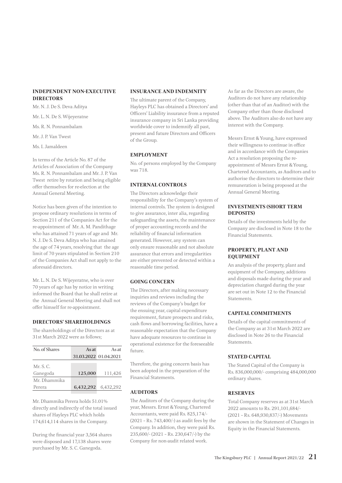#### **INDEPENDENT NON-EXECUTIVE DIRECTORS**

Mr. N. J. De S. Deva Aditya Mr. L. N. De S. Wijeyeratne

Ms. R. N. Ponnambalam

Mr. J. P. Van Twest

Ms. I. Jamaldeen

In terms of the Article No. 87 of the Articles of Association of the Company Ms. R. N. Ponnambalam and Mr. J. P. Van Twest retire by rotation and being eligible offer themselves for re-election at the Annual General Meeting.

Notice has been given of the intention to propose ordinary resolutions in terms of Section 211 of the Companies Act for the re-appointment of Mr. A. M. Pandithage who has attained 71 years of age and Mr. N. J. De S. Deva Aditya who has attained the age of 74 years, resolving that the age limit of 70 years stipulated in Section 210 of the Companies Act shall not apply to the aforesaid directors.

Mr. L. N. De S. Wijeyeratne, who is over 70 years of age has by notice in writing informed the Board that he shall retire at the Annual General Meeting and shall not offer himself for re-appointment.

#### **DIRECTORS' SHAREHOLDINGS**

The shareholdings of the Directors as at 31st March 2022 were as follows;

| No. of Shares | <b>As at</b>          | As at     |
|---------------|-----------------------|-----------|
|               | 31.03.2022 01.04.2021 |           |
| Mr. S. C.     |                       |           |
| Ganegoda      | 125,000               | 111,426   |
| Mr. Dhammika  |                       |           |
| Perera        | 6,432,292             | 6,432,292 |

Mr. Dhammika Perera holds 51.01% directly and indirectly of the total issued shares of Hayleys PLC which holds 174,614,114 shares in the Company.

During the financial year 3,564 shares were disposed and 17,138 shares were purchased by Mr. S. C. Ganegoda.

#### **INSURANCE AND INDEMNITY**

The ultimate parent of the Company, Hayleys PLC has obtained a Directors' and Officers' Liability insurance from a reputed insurance company in Sri Lanka providing worldwide cover to indemnify all past, present and future Directors and Officers of the Group.

#### **EMPLOYMENT**

No. of persons employed by the Company was 718.

#### **INTERNAL CONTROLS**

The Directors acknowledge their responsibility for the Company's system of internal controls. The system is designed to give assurance, inter alia, regarding safeguarding the assets, the maintenance of proper accounting records and the reliability of financial information generated. However, any system can only ensure reasonable and not absolute assurance that errors and irregularities are either prevented or detected within a reasonable time period.

#### **GOING CONCERN**

The Directors, after making necessary inquiries and reviews including the reviews of the Company's budget for the ensuing year, capital expenditure requirement, future prospects and risks, cash flows and borrowing facilities, have a reasonable expectation that the Company have adequate resources to continue in operational existence for the foreseeable future.

Therefore, the going concern basis has been adopted in the preparation of the Financial Statements.

#### **AUDITORS**

The Auditors of the Company during the year, Messrs. Ernst & Young, Chartered Accountants, were paid Rs. 825,174/- (2021 – Rs. 743,400/-) as audit fees by the Company. In addition, they were paid Rs. 235,600/- (2021 – Rs. 230,647/-) by the Company for non-audit related work.

As far as the Directors are aware, the Auditors do not have any relationship (other than that of an Auditor) with the Company other than those disclosed above. The Auditors also do not have any interest with the Company.

Messrs Ernst & Young, have expressed their willingness to continue in office and in accordance with the Companies Act a resolution proposing the reappointment of Messrs Ernst & Young, Chartered Accountants, as Auditors and to authorise the directors to determine their remuneration is being proposed at the Annual General Meeting.

#### **INVESTMENTS (SHORT TERM DEPOSITS)**

Details of the investments held by the Company are disclosed in Note 18 to the Financial Statements.

#### **PROPERTY, PLANT AND EQUIPMENT**

An analysis of the property, plant and equipment of the Company, additions and disposals made during the year and depreciation charged during the year are set out in Note 12 to the Financial Statements.

#### **CAPITAL COMMITMENTS**

Details of the capital commitments of the Company as at 31st March 2022 are disclosed in Note 26 to the Financial Statements.

#### **STATED CAPITAL**

The Stated Capital of the Company is Rs. 836,000,000/- comprising 484,000,000 ordinary shares.

#### **RESERVES**

Total Company reserves as at 31st March 2022 amounts to Rs. 291,101,684/- (2021 – Rs. 648,930,837/-) Movements are shown in the Statement of Changes in Equity in the Financial Statements.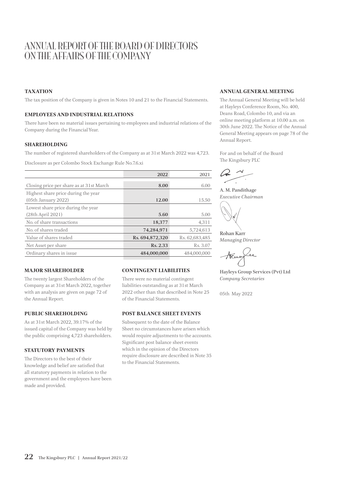### ANNUAL REPORT OF THE BOARD OF DIRECTORS ON THE AFFAIRS OF THE COMPANY

#### **TAXATION**

The tax position of the Company is given in Notes 10 and 21 to the Financial Statements.

#### **EMPLOYEES AND INDUSTRIAL RELATIONS**

There have been no material issues pertaining to employees and industrial relations of the Company during the Financial Year.

#### **SHAREHOLDING**

The number of registered shareholders of the Company as at 31st March 2022 was 4,723.

Disclosure as per Colombo Stock Exchange Rule No.7.6.xi

| 2022            | 2021           |
|-----------------|----------------|
| 8.00            | 6.00           |
|                 |                |
| 12.00           | 15.50          |
|                 |                |
| 5.60            | 5.00           |
| 18,377          | 4,311          |
| 74,284,971      | 5,724,613      |
| Rs. 694,872,320 | Rs. 62,683,485 |
| Rs. 2.33        | Rs. 3.07       |
| 484,000,000     | 484,000,000    |
|                 |                |

#### **MAJOR SHAREHOLDER**

The twenty largest Shareholders of the Company as at 31st March 2022, together with an analysis are given on page 72 of the Annual Report.

#### **PUBLIC SHAREHOLDING**

As at 31st March 2022, 39.17% of the issued capital of the Company was held by the public comprising 4,723 shareholders.

#### **STATUTORY PAYMENTS**

The Directors to the best of their knowledge and belief are satisfied that all statutory payments in relation to the government and the employees have been made and provided.

#### **CONTINGENT LIABILITIES**

There were no material contingent liabilities outstanding as at 31st March 2022 other than that described in Note 25 of the Financial Statements.

#### **POST BALANCE SHEET EVENTS**

Subsequent to the date of the Balance Sheet no circumstances have arisen which would require adjustments to the accounts. Significant post balance sheet events which in the opinion of the Directors require disclosure are described in Note 35 to the Financial Statements.

#### **ANNUAL GENERAL MEETING**

The Annual General Meeting will be held at Hayleys Conference Room, No. 400, Deans Road, Colombo 10, and via an online meeting platform at 10.00 a.m. on 30th June 2022. The Notice of the Annual General Meeting appears on page 78 of the Annual Report.

For and on behalf of the Board The Kingsbury PLC

 $Q = 1$ 

A. M. Pandithage *Executive Chairman*



Rohan Karr *Managing Director*

Henrylee

Hayleys Group Services (Pvt) Ltd *Company Secretaries*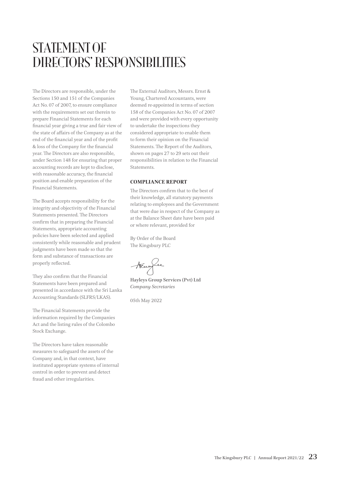### STATEMENT OF DIRECTORS' RESPONSIBILITIES

The Directors are responsible, under the Sections 150 and 151 of the Companies Act No. 07 of 2007, to ensure compliance with the requirements set out therein to prepare Financial Statements for each financial year giving a true and fair view of the state of affairs of the Company as at the end of the financial year and of the profit & loss of the Company for the financial year. The Directors are also responsible, under Section 148 for ensuring that proper accounting records are kept to disclose, with reasonable accuracy, the financial position and enable preparation of the Financial Statements.

The Board accepts responsibility for the integrity and objectivity of the Financial Statements presented. The Directors confirm that in preparing the Financial Statements, appropriate accounting policies have been selected and applied consistently while reasonable and prudent judgments have been made so that the form and substance of transactions are properly reflected.

They also confirm that the Financial Statements have been prepared and presented in accordance with the Sri Lanka Accounting Standards (SLFRS/LKAS).

The Financial Statements provide the information required by the Companies Act and the listing rules of the Colombo Stock Exchange.

The Directors have taken reasonable measures to safeguard the assets of the Company and, in that context, have instituted appropriate systems of internal control in order to prevent and detect fraud and other irregularities.

The External Auditors, Messrs. Ernst & Young, Chartered Accountants, were deemed re-appointed in terms of section 158 of the Companies Act No. 07 of 2007 and were provided with every opportunity to undertake the inspections they considered appropriate to enable them to form their opinion on the Financial Statements. The Report of the Auditors, shown on pages 27 to 29 sets out their responsibilities in relation to the Financial Statements.

#### **COMPLIANCE REPORT**

The Directors confirm that to the best of their knowledge, all statutory payments relating to employees and the Government that were due in respect of the Company as at the Balance Sheet date have been paid or where relevant, provided for

By Order of the Board The Kingsbury PLC

Henrylee

Hayleys Group Services (Pvt) Ltd *Company Secretaries*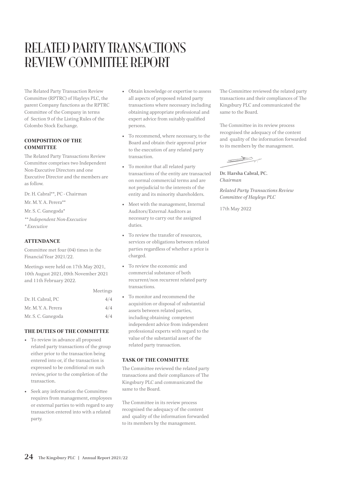### RELATED PARTY TRANSACTIONS REVIEW COMMITTEE REPORT

The Related Party Transaction Review Committee (RPTRC) of Hayleys PLC, the parent Company functions as the RPTRC Committee of the Company in terms of Section 9 of the Listing Rules of the Colombo Stock Exchange.

#### **COMPOSITION OF THE COMMITTEE**

The Related Party Transactions Review Committee comprises two Independent Non-Executive Directors and one Executive Director and the members are as follow.

Dr. H. Cabral\*\*, PC - Chairman

Mr. M. Y. A. Perera\*\*

Mr. S. C. Ganegoda\*

*\*\* Independent Non-Executive \* Executive*

#### **ATTENDANCE**

Committee met four (04) times in the Financial Year 2021/22.

Meetings were held on 17th May 2021, 10th August 2021, 09th November 2021 and 11th February 2022.

|                    | Meetings |
|--------------------|----------|
| Dr. H. Cabral, PC  | 4/4      |
| Mr. M.Y. A. Perera | 4/4      |
| Mr. S. C. Ganegoda | 4/4      |

#### **THE DUTIES OF THE COMMITTEE**

- To review in advance all proposed related party transactions of the group either prior to the transaction being entered into or, if the transaction is expressed to be conditional on such review, prior to the completion of the transaction.
- Seek any information the Committee requires from management, employees or external parties to with regard to any transaction entered into with a related party.
- Obtain knowledge or expertise to assess all aspects of proposed related party transactions where necessary including obtaining appropriate professional and expert advice from suitably qualified persons.
- To recommend, where necessary, to the Board and obtain their approval prior to the execution of any related party transaction.
- To monitor that all related party transactions of the entity are transacted on normal commercial terms and are not prejudicial to the interests of the entity and its minority shareholders.
- Meet with the management, Internal Auditors/External Auditors as necessary to carry out the assigned duties.
- To review the transfer of resources, services or obligations between related parties regardless of whether a price is charged.
- To review the economic and commercial substance of both recurrent/non recurrent related party transactions.
- To monitor and recommend the acquisition or disposal of substantial assets between related parties, including obtaining competent independent advice from independent professional experts with regard to the value of the substantial asset of the related party transaction.

#### **TASK OF THE COMMITTEE**

The Committee reviewed the related party transactions and their compliances of The Kingsbury PLC and communicated the same to the Board.

The Committee in its review process recognised the adequacy of the content and quality of the information forwarded to its members by the management.

The Committee reviewed the related party transactions and their compliances of The Kingsbury PLC and communicated the same to the Board.

The Committee in its review process recognised the adequacy of the content and quality of the information forwarded to its members by the management.

 $\rightarrow$ 

Dr. Harsha Cabral, PC. *Chairman*

*Related Party Transactions Review Committee of Hayleys PLC*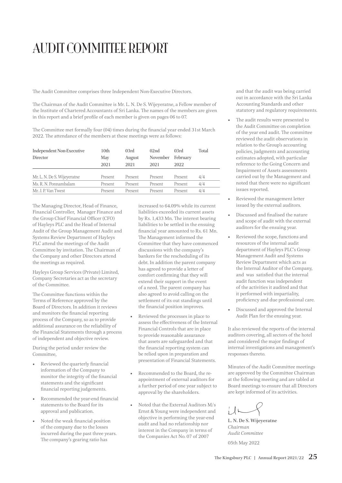### AUDIT COMMITTEE REPORT

The Audit Committee comprises three Independent Non-Executive Directors.

The Chairman of the Audit Committee is Mr. L. N. De S. Wijeyeratne, a Fellow member of the Institute of Chartered Accountants of Sri Lanka. The names of the members are given in this report and a brief profile of each member is given on pages 06 to 07.

The Committee met formally four (04) times during the financial year ended 31st March 2022. The attendance of the members at these meetings were as follows:

| Independent Non-Executive<br>Director | 10th<br>May<br>2021 | 03rd<br>August<br>2021 | 02nd<br>November<br>2021 | 03rd<br>February<br>2022 | Total |
|---------------------------------------|---------------------|------------------------|--------------------------|--------------------------|-------|
| Mr. L. N. De S. Wijeyeratne           | Present             | Present                | Present                  | Present                  | 4/4   |
| Ms. R. N. Ponnambalam                 | Present             | Present                | Present                  | Present                  | 4/4   |
| Mr. J. P. Van Twest                   | Present             | Present                | Present                  | Present                  | 4/4   |

The Managing Director, Head of Finance, Financial Controller, Manager Finance and the Group Chief Financial Officer (CFO) of Hayleys PLC and the Head of Internal Audit of the Group Management Audit and Systems Review Department of Hayleys PLC attend the meetings of the Audit Committee by invitation. The Chairman of the Company and other Directors attend the meetings as required.

Hayleys Group Services (Private) Limited, Company Secretaries act as the secretary of the Committee.

The Committee functions within the Terms of Reference approved by the Board of Directors. In addition it reviews and monitors the financial reporting process of the Company, so as to provide additional assurance on the reliability of the Financial Statements through a process of independent and objective review.

During the period under review the Committee,

- Reviewed the quarterly financial information of the Company to monitor the integrity of the financial statements and the significant financial reporting judgements.
- Recommended the year-end financial statements to the Board for its approval and publication.
- Noted the weak financial position of the company due to the losses incurred during the past three years. The company's gearing ratio has

increased to 64.09% while its current liabilities exceeded its current assets by Rs. 1,433 Mn. The interest bearing liabilities to be settled in the ensuing financial year amounted to Rs. 61 Mn. The Management informed the Committee that they have commenced discussions with the company's bankers for the rescheduling of its debt. In addition the parent company has agreed to provide a letter of comfort confirming that they will extend their support in the event of a need. The parent company has also agreed to avoid calling on the settlement of its out standings until the financial position improves.

- Reviewed the processes in place to assess the effectiveness of the Internal Financial Controls that are in place to provide reasonable assurance that assets are safeguarded and that the financial reporting system can be relied upon in preparation and presentation of Financial Statements.
- Recommended to the Board, the reappointment of external auditors for a further period of one year subject to approval by the shareholders.
- Noted that the External Auditors M/s Ernst & Young were independent and objective in performing the year-end audit and had no relationship nor interest in the Company in terms of the Companies Act No. 07 of 2007

and that the audit was being carried out in accordance with the Sri Lanka Accounting Standards and other statutory and regulatory requirements.

- The audit results were presented to the Audit Committee on completion of the year end audit. The committee reviewed the audit observations in relation to the Group's accounting policies, judgments and accounting estimates adopted, with particular reference to the Going Concern and Impairment of Assets assessments carried out by the Management and noted that there were no significant issues reported.
- Reviewed the management letter issued by the external auditors.
- Discussed and finalised the nature and scope of audit with the external auditors for the ensuing year.
- Reviewed the scope, functions and resources of the internal audit department of Hayleys PLC's Group Management Audit and Systems Review Department which acts as the Internal Auditor of the Company, and was satisfied that the internal audit function was independent of the activities it audited and that it performed with impartiality, proficiency and due professional care.
- Discussed and approved the Internal Audit Plan for the ensuing year.

It also reviewed the reports of the internal auditors covering, all sectors of the hotel and considered the major findings of internal investigations and management's responses thereto.

Minutes of the Audit Committee meetings are approved by the Committee Chairman at the following meeting and are tabled at Board meetings to ensure that all Directors are kept informed of its activities.

L. N. De S. Wijeyeratne *Chairman Audit Committee*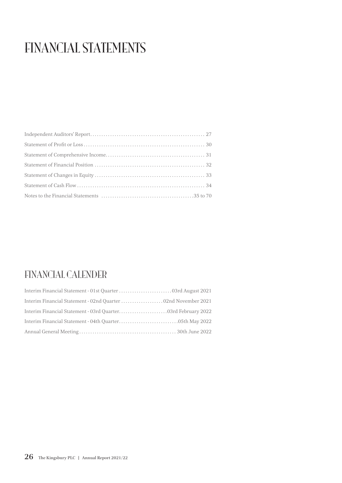# FINANCIAL STATEMENTS

### FINANCIAL CALENDER

| Interim Financial Statement - 01st Quarter 03rd August 2021   |  |
|---------------------------------------------------------------|--|
| Interim Financial Statement - 02nd Quarter 02nd November 2021 |  |
| Interim Financial Statement - 03rd Quarter03rd February 2022  |  |
|                                                               |  |
|                                                               |  |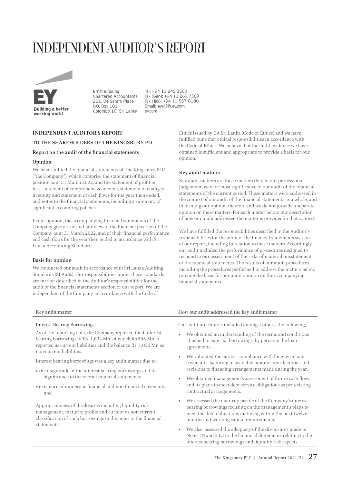### INDEPENDENT AUDITOR'S REPORT



Ernst & Young Chartered Accountants 201, De Saram Place P.O. Box 101 Colombo 10, Sri Lanka

Tel: +94 11 246 3500 Fax (Gen): +94 11 269 7369 Fax (Tax): +94 11 557 8180 Email: eysl@lk.ey.com ey.com

#### **INDEPENDENT AUDITOR'S REPORT** TO THE SHAREHOLDERS OF THE KINGSBURY PLC Report on the audit of the financial statements

#### Opinion

We have audited the financial statements of The Kingsbury PLC ("the Company"), which comprise the statement of financial position as at 31 March 2022, and the statement of profit or loss, statement of comprehensive income, statement of changes in equity and statement of cash flows for the year then ended, and notes to the financial statements, including a summary of significant accounting policies.

In our opinion, the accompanying financial statements of the Company give a true and fair view of the financial position of the Company as at 31 March 2022, and of their financial performance and cash flows for the year then ended in accordance with Sri Lanka Accounting Standards.

#### Basis for opinion

We conducted our audit in accordance with Sri Lanka Auditing Standards (SLAuSs). Our responsibilities under those standards are further described in the Auditor's responsibilities for the audit of the financial statements section of our report. We are independent of the Company in accordance with the Code of

Ethics issued by CA Sri Lanka (Code of Ethics) and we have fulfilled our other ethical responsibilities in accordance with the Code of Ethics. We believe that the audit evidence we have obtained is sufficient and appropriate to provide a basis for our opinion.

#### Key audit matters

Key audit matters are those matters that, in our professional judgement, were of most significance in our audit of the financial statements of the current period. These matters were addressed in the context of our audit of the financial statements as a whole, and in forming our opinion thereon, and we do not provide a separate opinion on these matters. For each matter below, our description of how our audit addressed the matter is provided in that context.

We have fulfilled the responsibilities described in the Auditor's responsibilities for the audit of the financial statements section of our report, including in relation to these matters. Accordingly, our audit included the performance of procedures designed to respond to our assessment of the risks of material misstatement of the financial statements. The results of our audit procedures, including the procedures performed to address the matters below, provide the basis for our audit opinion on the accompanying financial statements.

#### Interest Bearing Borrowings:

As of the reporting date, the Company reported total interest bearing borrowings of Rs. 1,634 Mn, of which Rs.598 Mn is reported as current liabilities and the balance Rs. 1,036 Mn as non-current liabilities.

Interest bearing borrowings was a key audit matter due to:

- the magnitude of the interest bearing borrowings and its significance to the overall financial statements;
- existence of numerous financial and non-financial covenants; and

Appropriateness of disclosures including liquidity risk management, maturity profile and current vs non-current classification of such borrowings in the notes to the financial statements.

#### Key audit matter **How our audit addressed the key audit matter** How our audit addressed the key audit matter

Our audit procedures included amongst others, the following;

- We obtained an understanding of the terms and conditions attached to external borrowings, by perusing the loan agreements,
- We validated the entity's compliance with long term loan covenants, factoring in available moratoriums facilities and revisions to financing arrangements made during the year,
- We obtained management's assessment of future cash flows and its plans to meet debt service obligations as per existing contractual arrangements.
- We assessed the maturity profile of the Company's interestbearing borrowings focusing on the management's plans to meet the debt obligations maturing within the next twelve months and working capital requirements.
- We also, assessed the adequacy of the disclosures made in Notes 19 and 33.3 to the Financial Statements relating to the interest-bearing borrowings and liquidity risk aspects.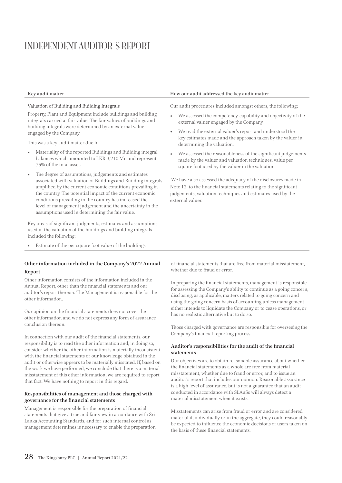### INDEPENDENT AUDITOR'S REPORT

#### Valuation of Building and Building Integrals

Property, Plant and Equipment include buildings and building integrals carried at fair value. The fair values of buildings and building integrals were determined by an external valuer engaged by the Company

This was a key audit matter due to:

- Materiality of the reported Buildings and Building integral balances which amounted to LKR 3,210 Mn and represent 75% of the total asset.
- The degree of assumptions, judgements and estimates associated with valuation of Buildings and Building integrals amplified by the current economic conditions prevailing in the country. The potential impact of the current economic conditions prevailing in the country has increased the level of management judgement and the uncertainty in the assumptions used in determining the fair value.

Key areas of significant judgments, estimates and assumptions used in the valuation of the buildings and building integrals included the following:

Estimate of the per square foot value of the buildings

#### Other information included in the Company's 2022 Annual Report

Other information consists of the information included in the Annual Report, other than the financial statements and our auditor's report thereon. The Management is responsible for the other information.

Our opinion on the financial statements does not cover the other information and we do not express any form of assurance conclusion thereon.

In connection with our audit of the financial statements, our responsibility is to read the other information and, in doing so, consider whether the other information is materially inconsistent with the financial statements or our knowledge obtained in the audit or otherwise appears to be materially misstated. If, based on the work we have performed, we conclude that there is a material misstatement of this other information, we are required to report that fact. We have nothing to report in this regard.

#### Responsibilities of management and those charged with governance for the financial statements

Management is responsible for the preparation of financial statements that give a true and fair view in accordance with Sri Lanka Accounting Standards, and for such internal control as management determines is necessary to enable the preparation

#### Key audit matter **How our audit addressed the key audit matter**

Our audit procedures included amongst others, the following;

- We assessed the competency, capability and objectivity of the external valuer engaged by the Company.
- We read the external valuer's report and understood the key estimates made and the approach taken by the valuer in determining the valuation.
- We assessed the reasonableness of the significant judgements made by the valuer and valuation techniques, value per square foot used by the valuer in the valuation.

 We have also assessed the adequacy of the disclosures made in Note 12 to the financial statements relating to the significant judgements, valuation techniques and estimates used by the external valuer.

of financial statements that are free from material misstatement, whether due to fraud or error.

In preparing the financial statements, management is responsible for assessing the Company's ability to continue as a going concern, disclosing, as applicable, matters related to going concern and using the going concern basis of accounting unless management either intends to liquidate the Company or to cease operations, or has no realistic alternative but to do so.

Those charged with governance are responsible for overseeing the Company's financial reporting process.

#### Auditor's responsibilities for the audit of the financial statements

Our objectives are to obtain reasonable assurance about whether the financial statements as a whole are free from material misstatement, whether due to fraud or error, and to issue an auditor's report that includes our opinion. Reasonable assurance is a high level of assurance, but is not a guarantee that an audit conducted in accordance with SLAuSs will always detect a material misstatement when it exists.

Misstatements can arise from fraud or error and are considered material if, individually or in the aggregate, they could reasonably be expected to influence the economic decisions of users taken on the basis of these financial statements.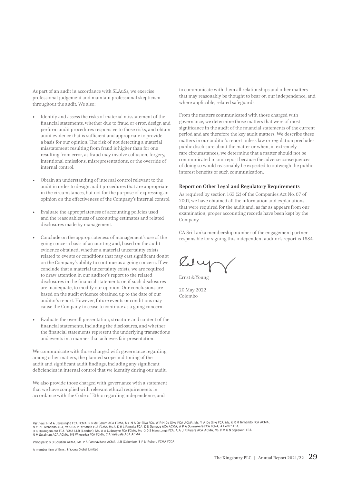As part of an audit in accordance with SLAuSs, we exercise professional judgement and maintain professional skepticism throughout the audit. We also:

- Identify and assess the risks of material misstatement of the financial statements, whether due to fraud or error, design and perform audit procedures responsive to those risks, and obtain audit evidence that is sufficient and appropriate to provide a basis for our opinion. The risk of not detecting a material misstatement resulting from fraud is higher than for one resulting from error, as fraud may involve collusion, forgery, intentional omissions, misrepresentations, or the override of internal control.
- Obtain an understanding of internal control relevant to the audit in order to design audit procedures that are appropriate in the circumstances, but not for the purpose of expressing an opinion on the effectiveness of the Company's internal control.
- Evaluate the appropriateness of accounting policies used and the reasonableness of accounting estimates and related disclosures made by management.
- Conclude on the appropriateness of management's use of the going concern basis of accounting and, based on the audit evidence obtained, whether a material uncertainty exists related to events or conditions that may cast significant doubt on the Company's ability to continue as a going concern. If we conclude that a material uncertainty exists, we are required to draw attention in our auditor's report to the related disclosures in the financial statements or, if such disclosures are inadequate, to modify our opinion. Our conclusions are based on the audit evidence obtained up to the date of our auditor's report. However, future events or conditions may cause the Company to cease to continue as a going concern.
- Evaluate the overall presentation, structure and content of the financial statements, including the disclosures, and whether the financial statements represent the underlying transactions and events in a manner that achieves fair presentation.

We communicate with those charged with governance regarding, among other matters, the planned scope and timing of the audit and significant audit findings, including any significant deficiencies in internal control that we identify during our audit.

We also provide those charged with governance with a statement that we have complied with relevant ethical requirements in accordance with the Code of Ethic regarding independence, and

to communicate with them all relationships and other matters that may reasonably be thought to bear on our independence, and where applicable, related safeguards.

From the matters communicated with those charged with governance, we determine those matters that were of most significance in the audit of the financial statements of the current period and are therefore the key audit matters. We describe these matters in our auditor's report unless law or regulation precludes public disclosure about the matter or when, in extremely rare circumstances, we determine that a matter should not be communicated in our report because the adverse consequences of doing so would reasonably be expected to outweigh the public interest benefits of such communication.

#### Report on Other Legal and Regulatory Requirements

As required by section 163 (2) of the Companies Act No. 07 of 2007, we have obtained all the information and explanations that were required for the audit and, as far as appears from our examination, proper accounting records have been kept by the Company.

CA Sri Lanka membership number of the engagement partner responsible for signing this independent auditor's report is 1884.

auy

Ernst & Young

20 May 2022 Colombo

Partners: H M A Javesinghe FCA FCMA, R N de Saram ACA FCMA, Ms N A De Silva FCA, W R H De Silva FCA ACMA, Ms. Y A De Silva FCA, Ms. K R M Fernando FCA ACMA, Partners: H M A Jayesingne PCA FUMA, K W QB Salam ACA FUMA, WS W A DE SING TOR, W R THE SING TO RECONSIDENT AN<br>N Y R L Fernando ACA, W K B S P Fernando FCA FCMA, MS. L K H L Fonseka FCA, D N Gamage ACA ACMA, A P A Gunaseke

Principals: G B Goudian ACMA, Ms P S Paranavitane ACMA LLB (Colombo), T P M Ruberu FCMA FCCA

A member firm of Ernst & Young Global Limited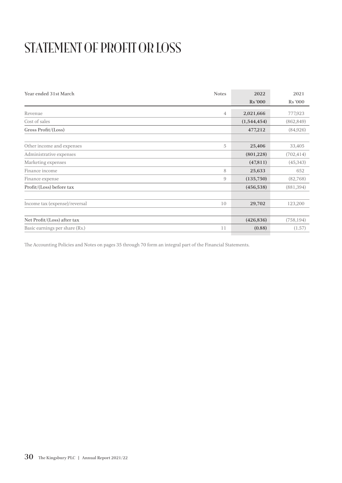# STATEMENT OF PROFIT OR LOSS

| Year ended 31st March          | <b>Notes</b>   | 2022           | 2021           |
|--------------------------------|----------------|----------------|----------------|
|                                |                | <b>Rs</b> '000 | <b>Rs</b> '000 |
| Revenue                        | $\overline{4}$ | 2,021,666      | 777,923        |
| Cost of sales                  |                | (1,544,454)    | (862, 849)     |
| Gross Profit/(Loss)            |                | 477,212        | (84,926)       |
|                                |                |                |                |
| Other income and expenses      | 5              | 25,406         | 33,405         |
| Administrative expenses        |                | (801,228)      | (702, 414)     |
| Marketing expenses             |                | (47, 811)      | (45,343)       |
| Finance income                 | 8              | 25,633         | 652            |
| Finance expense                | 9              | (135,750)      | (82,768)       |
| Profit/(Loss) before tax       |                | (456, 538)     | (881, 394)     |
|                                |                |                |                |
| Income tax (expense)/reversal  | 10             | 29,702         | 123,200        |
|                                |                |                |                |
| Net Profit/(Loss) after tax    |                | (426, 836)     | (758, 194)     |
| Basic earnings per share (Rs.) | 11             | (0.88)         | (1.57)         |

The Accounting Policies and Notes on pages 35 through 70 form an integral part of the Financial Statements.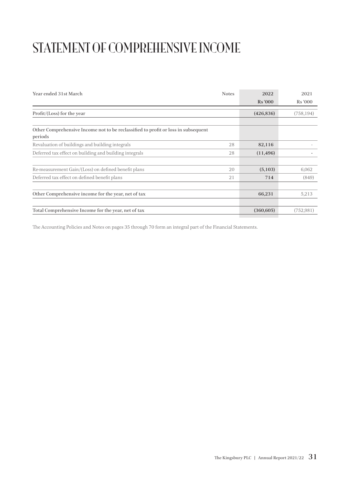# STATEMENT OF COMPREHENSIVE INCOME

| Year ended 31st March                                                                        | <b>Notes</b> | 2022           | 2021           |
|----------------------------------------------------------------------------------------------|--------------|----------------|----------------|
|                                                                                              |              | <b>Rs</b> '000 | <b>Rs</b> '000 |
| Profit/(Loss) for the year                                                                   |              | (426, 836)     | (758, 194)     |
|                                                                                              |              |                |                |
| Other Comprehensive Income not to be reclassified to profit or loss in subsequent<br>periods |              |                |                |
| Revaluation of buildings and building integrals                                              | 28           | 82,116         |                |
| Deferred tax effect on building and building integrals                                       | 28           | (11, 496)      |                |
|                                                                                              |              |                |                |
| Re-measurement Gain/(Loss) on defined benefit plans                                          | 20           | (5,103)        | 6,062          |
| Deferred tax effect on defined benefit plans                                                 | 21           | 714            | (849)          |
|                                                                                              |              |                |                |
| Other Comprehensive income for the year, net of tax                                          |              | 66,231         | 5,213          |
|                                                                                              |              |                |                |
| Total Comprehensive Income for the year, net of tax                                          |              | (360, 605)     | (752,981)      |

The Accounting Policies and Notes on pages 35 through 70 form an integral part of the Financial Statements.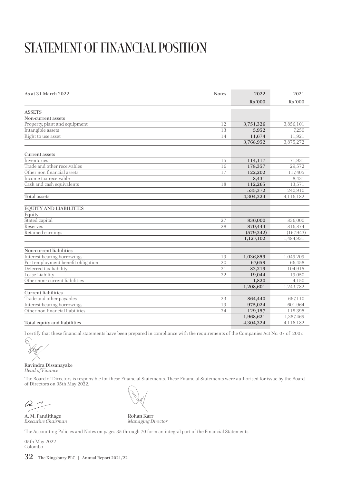# STATEMENT OF FINANCIAL POSITION

| As at 31 March 2022                | <b>Notes</b> | 2022           | 2021           |
|------------------------------------|--------------|----------------|----------------|
|                                    |              | <b>Rs</b> '000 | <b>Rs</b> '000 |
| <b>ASSETS</b>                      |              |                |                |
| Non-current assets                 |              |                |                |
| Property, plant and equipment      | 12           | 3,751,326      | 3,856,101      |
| Intangible assets                  | 13           | 5,952          | 7.250          |
| Right to use asset                 | 14           | 11,674         | 11,921         |
|                                    |              | 3,768,952      | 3,875,272      |
| Current assets                     |              |                |                |
| Inventories                        | 15           | 114,117        | 71,931         |
| Trade and other receivables        | 16           | 178,357        | 29,572         |
| Other non financial assets         | 17           | 122,202        | 117,405        |
| Income tax receivable              |              | 8,431          | 8,431          |
| Cash and cash equivalents          | 18           | 112,265        | 13,571         |
|                                    |              | 535,372        | 240,910        |
| <b>Total assets</b>                |              | 4,304,324      | 4,116,182      |
| <b>EQUITY AND LIABILITIES</b>      |              |                |                |
| Equity                             |              |                |                |
| Stated capital                     | 27           | 836,000        | 836,000        |
| Reserves                           | 28           | 870,444        | 816,874        |
| Retained earnings                  |              | (579, 342)     | (167,943)      |
|                                    |              | 1,127,102      | 1,484,931      |
| Non-current liabilities            |              |                |                |
| Interest-bearing borrowings        | 19           | 1,036,859      | 1,049,209      |
| Post employment benefit obligation | 20           | 67,659         | 66,458         |
| Deferred tax liability             | 21           | 83,219         | 104,915        |
| Lease Liability                    | 22           | 19,044         | 19,050         |
| Other non-current liabilities      |              | 1,820          | 4,150          |
|                                    |              | 1,208,601      | 1,243,782      |
| <b>Current liabilities</b>         |              |                |                |
| Trade and other payables           | 23           | 864,440        | 667,110        |
| Interest-bearing borrowings        | 19           | 975,024        | 601,964        |
| Other non financial liabilities    | 24           | 129,157        | 118,395        |
|                                    |              | 1,968,621      | 1,387,469      |
| Total equity and liabilities       |              | 4,304,324      | 4,116,182      |

I certify that these financial statements have been prepared in compliance with the requirements of the Companies Act No. 07 of 2007.

6

Ravindra Dissanayake *Head of Finance*

The Board of Directors is responsible for these Financial Statements. These Financial Statements were authorised for issue by the Board of Directors on 05th May 2022.

 $\varpi$  $\overline{\phantom{a}}$ 

A. M. Pandithage Rohan Karr<br>Executive Chairman Managing Director  $Executive$ *Chairman* 

The Accounting Policies and Notes on pages 35 through 70 form an integral part of the Financial Statements.

05th May 2022 Colombo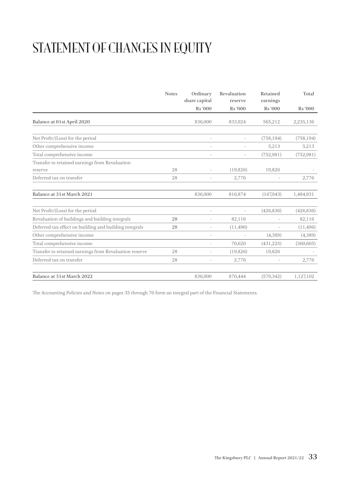# STATEMENT OF CHANGES IN EQUITY

|                                                        | <b>Notes</b> | Ordinary<br>share capital | Revaluation<br>reserve | Retained<br>earnings | Total          |
|--------------------------------------------------------|--------------|---------------------------|------------------------|----------------------|----------------|
|                                                        |              | <b>Rs</b> '000            | <b>Rs</b> '000         | <b>Rs</b> '000       | <b>Rs</b> '000 |
| Balance at 01st April 2020                             |              | 836,000                   | 833,924                | 565,212              | 2,235,136      |
| Net Profit/(Loss) for the period                       |              |                           |                        | (758, 194)           | (758, 194)     |
| Other comprehensive income                             |              |                           |                        | 5,213                | 5,213          |
| Total comprehensive income                             |              |                           |                        | (752,981)            | (752,981)      |
| Transfer to retained earnings from Revaluation         |              |                           |                        |                      |                |
| reserve                                                | 28           |                           | (19, 826)              | 19,826               |                |
| Deferred tax on transfer                               | 28           |                           | 2,776                  |                      | 2,776          |
| Balance at 31st March 2021                             |              | 836,000                   | 816,874                | (167,943)            | 1,484,931      |
| Net Profit/(Loss) for the period                       |              |                           |                        | (426, 836)           | (426, 836)     |
| Revaluation of buildings and building integrals        | 28           |                           | 82,116                 |                      | 82,116         |
| Deferred tax effect on building and building integrals | 28           |                           | (11, 496)              |                      | (11, 496)      |
| Other comprehensive income                             |              |                           | $\overline{a}$         | (4,389)              | (4,389)        |
| Total comprehensive income                             |              |                           | 70,620                 | (431, 225)           | (360, 605)     |
| Transfer to retained earnings from Revaluation reserve | 28           |                           | (19, 826)              | 19,826               |                |
| Deferred tax on transfer                               | 28           |                           | 2,776                  |                      | 2,776          |
| Balance at 31st March 2022                             |              | 836,000                   | 870,444                | (579, 342)           | 1,127,102      |

The Accounting Policies and Notes on pages 35 through 70 form an integral part of the Financial Statements.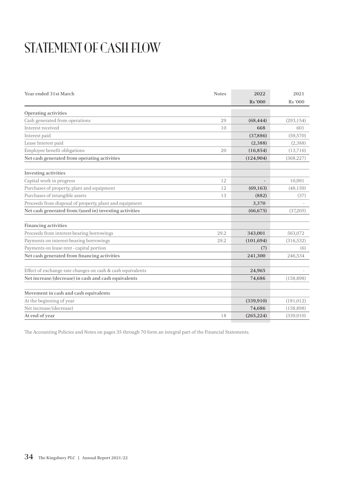# STATEMENT OF CASH FLOW

| Year ended 31st March                                      | <b>Notes</b> | 2022           | 2021       |
|------------------------------------------------------------|--------------|----------------|------------|
|                                                            |              | <b>Rs</b> '000 | Rs '000    |
| Operating activities                                       |              |                |            |
| Cash generated from operations                             | 29           | (68, 444)      | (293, 154) |
| Interest received                                          | 10           | 668            | 601        |
| Interest paid                                              |              | (37,886)       | (59, 570)  |
| Lease Interest paid                                        |              | (2,388)        | (2,388)    |
| Employee benefit obligations                               | 20           | (16, 854)      | (13,716)   |
| Net cash generated from operating activities               |              | (124, 904)     | (368, 227) |
| <b>Investing activities</b>                                |              |                |            |
| Capital work in progress                                   | 12           |                | 10,991     |
| Purchases of property, plant and equipment                 | 12           | (69, 163)      | (48, 159)  |
| Purchases of intangible assets                             | 13           | (882)          | (37)       |
| Proceeds from disposal of property, plant and equipment    |              | 3,370          |            |
| Net cash generated from/(used in) investing activities     |              | (66, 675)      | (37,205)   |
| Financing activities                                       |              |                |            |
| Proceeds from interest-bearing borrowings                  | 29.2         | 343,001        | 563,072    |
| Payments on interest-bearing borrowings                    | 29.2         | (101, 694)     | (316,532)  |
| Payments on lease rent - capital portion                   |              | (7)            | (6)        |
| Net cash generated from financing activities               |              | 241,300        | 246,534    |
| Effect of exchange rate changes on cash & cash equivalents |              | 24,965         |            |
| Net increase/(decrease) in cash and cash equivalents       |              | 74,686         | (158, 898) |
|                                                            |              |                |            |
| Movement in cash and cash equivalents                      |              |                |            |
| At the beginning of year                                   |              | (339, 910)     | (181, 012) |
| Net increase/(decrease)                                    |              | 74,686         | (158, 898) |
| At end of year                                             | 18           | (265, 224)     | (339,910)  |

The Accounting Policies and Notes on pages 35 through 70 form an integral part of the Financial Statements.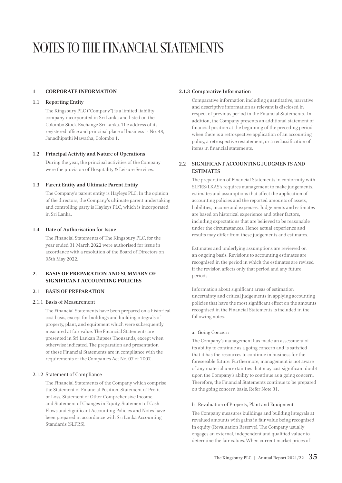## **1 CORPORATE INFORMATION**

## 1.1 Reporting Entity

The Kingsbury PLC ("Company") is a limited liability company incorporated in Sri Lanka and listed on the Colombo Stock Exchange Sri Lanka. The address of its registered office and principal place of business is No. 48, Janadhipathi Mawatha, Colombo 1.

## 1.2 Principal Activity and Nature of Operations

During the year, the principal activities of the Company were the provision of Hospitality & Leisure Services.

## 1.3 Parent Entity and Ultimate Parent Entity

The Company's parent entity is Hayleys PLC. In the opinion of the directors, the Company's ultimate parent undertaking and controlling party is Hayleys PLC, which is incorporated in Sri Lanka.

## 1.4 Date of Authorisation for Issue

The Financial Statements of The Kingsbury PLC, for the year ended 31 March 2022 were authorised for issue in accordance with a resolution of the Board of Directors on 05th May 2022.

## **2. BASIS OF PREPARATION AND SUMMARY OF SIGNIFICANT ACCOUNTING POLICIES**

## 2.1 BASIS OF PREPARATION

## 2.1.1 Basis of Measurement

The Financial Statements have been prepared on a historical cost basis, except for buildings and building integrals of property, plant, and equipment which were subsequently measured at fair value. The Financial Statements are presented in Sri Lankan Rupees Thousands, except when otherwise indicated. The preparation and presentation of these Financial Statements are in compliance with the requirements of the Companies Act No. 07 of 2007.

## 2.1.2 Statement of Compliance

The Financial Statements of the Company which comprise the Statement of Financial Position, Statement of Profit or Loss, Statement of Other Comprehensive Income, and Statement of Changes in Equity, Statement of Cash Flows and Significant Accounting Policies and Notes have been prepared in accordance with Sri Lanka Accounting Standards (SLFRS).

## 2.1.3 Comparative Information

Comparative information including quantitative, narrative and descriptive information as relevant is disclosed in respect of previous period in the Financial Statements. In addition, the Company presents an additional statement of financial position at the beginning of the preceding period when there is a retrospective application of an accounting policy, a retrospective restatement, or a reclassification of items in financial statements.

## 2.2 SIGNIFICANT ACCOUNTING JUDGMENTS AND ESTIMATES

The preparation of Financial Statements in conformity with SLFRS/LKAS's requires management to make judgements, estimates and assumptions that affect the application of accounting policies and the reported amounts of assets, liabilities, income and expenses. Judgements and estimates are based on historical experience and other factors, including expectations that are believed to be reasonable under the circumstances. Hence actual experience and results may differ from these judgements and estimates.

Estimates and underlying assumptions are reviewed on an ongoing basis. Revisions to accounting estimates are recognised in the period in which the estimates are revised if the revision affects only that period and any future periods.

Information about significant areas of estimation uncertainty and critical judgements in applying accounting policies that have the most significant effect on the amounts recognised in the Financial Statements is included in the following notes.

## a. Going Concern

The Company's management has made an assessment of its ability to continue as a going concern and is satisfied that it has the resources to continue in business for the foreseeable future. Furthermore, management is not aware of any material uncertainties that may cast significant doubt upon the Company's ability to continue as a going concern. Therefore, the Financial Statements continue to be prepared on the going concern basis. Refer Note 31.

#### b. Revaluation of Property, Plant and Equipment

The Company measures buildings and building integrals at revalued amounts with gains in fair value being recognised in equity (Revaluation Reserve). The Company usually engages an external, independent and qualified valuer to determine the fair values. When current market prices of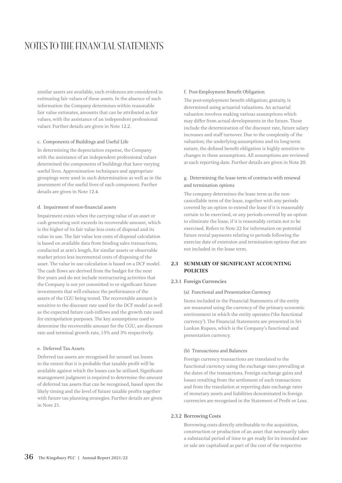similar assets are available, such evidences are considered in estimating fair values of these assets. In the absence of such information the Company determines within reasonable fair value estimates, amounts that can be attributed as fair values, with the assistance of an independent professional valuer. Further details are given in Note 12.2.

#### c. Components of Buildings and Useful Life

In determining the depreciation expense, the Company with the assistance of an independent professional valuer determined the components of buildings that have varying useful lives. Approximation techniques and appropriate groupings were used in such determination as well as in the assessment of the useful lives of each component. Further details are given in Note 12.4.

#### d. Impairment of non-financial assets

Impairment exists when the carrying value of an asset or cash generating unit exceeds its recoverable amount, which is the higher of its fair value less costs of disposal and its value in use. The fair value less costs of disposal calculation is based on available data from binding sales transactions, conducted at arm's length, for similar assets or observable market prices less incremental costs of disposing of the asset. The value in use calculation is based on a DCF model. The cash flows are derived from the budget for the next five years and do not include restructuring activities that the Company is not yet committed to or significant future investments that will enhance the performance of the assets of the CGU being tested. The recoverable amount is sensitive to the discount rate used for the DCF model as well as the expected future cash-inflows and the growth rate used for extrapolation purposes. The key assumptions used to determine the recoverable amount for the CGU, are discount rate and terminal growth rate, 15% and 3% respectively.

## e. Deferred Tax Assets

Deferred tax assets are recognised for unused tax losses to the extent that it is probable that taxable profit will be available against which the losses can be utilised. Significant management judgment is required to determine the amount of deferred tax assets that can be recognised, based upon the likely timing and the level of future taxable profits together with future tax planning strategies. Further details are given in Note 21.

#### f. Post-Employment Benefit Obligation

The post-employment benefit obligation; gratuity, is determined using actuarial valuations. An actuarial valuation involves making various assumptions which may differ from actual developments in the future. These include the determination of the discount rate, future salary increases and staff turnover. Due to the complexity of the valuation; the underlying assumptions and its long-term nature, the defined benefit obligation is highly sensitive to changes in these assumptions. All assumptions are reviewed at each reporting date. Further details are given in Note 20.

## g. Determining the lease term of contracts with renewal and termination options

The company determines the lease term as the noncancellable term of the lease, together with any periods covered by an option to extend the lease if it is reasonably certain to be exercised, or any periods covered by an option to eliminate the lease, if it is reasonably certain not to be exercised. Refers to Note 22 for information on potential future rental payments relating to periods following the exercise date of extension and termination options that are not included in the lease term.

## **2.3 SUMMARY OF SIGNIFICANT ACCOUNTING POLICIES**

### 2.3.1 Foreign Currencies

#### (a) Functional and Presentation Currency

Items included in the Financial Statements of the entity are measured using the currency of the primary economic environment in which the entity operates ('the functional currency'). The Financial Statements are presented in Sri Lankan Rupees, which is the Company's functional and presentation currency.

#### (b) Transactions and Balances

Foreign currency transactions are translated to the functional currency using the exchange rates prevailing at the dates of the transactions. Foreign exchange gains and losses resulting from the settlement of such transactions and from the translation at reporting date exchange rates of monetary assets and liabilities denominated in foreign currencies are recognised in the Statement of Profit or Loss.

### 2.3.2 Borrowing Costs

Borrowing costs directly attributable to the acquisition, construction or production of an asset that necessarily takes a substantial period of time to get ready for its intended use or sale are capitalised as part of the cost of the respective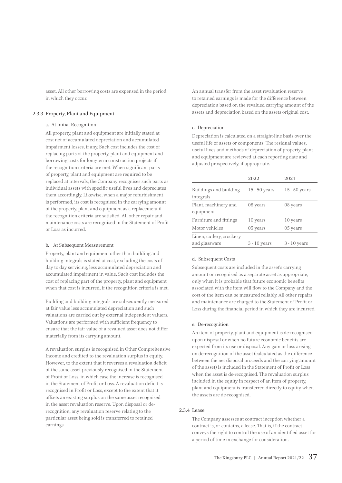asset. All other borrowing costs are expensed in the period in which they occur.

#### 2.3.3 Property, Plant and Equipment

## a. At Initial Recognition

All property, plant and equipment are initially stated at cost net of accumulated depreciation and accumulated impairment losses, if any. Such cost includes the cost of replacing parts of the property, plant and equipment and borrowing costs for long-term construction projects if the recognition criteria are met. When significant parts of property, plant and equipment are required to be replaced at intervals, the Company recognises such parts as individual assets with specific useful lives and depreciates them accordingly. Likewise, when a major refurbishment is performed, its cost is recognised in the carrying amount of the property, plant and equipment as a replacement if the recognition criteria are satisfied. All other repair and maintenance costs are recognised in the Statement of Profit or Loss as incurred.

### b. At Subsequent Measurement

Property, plant and equipment other than building and building integrals is stated at cost, excluding the costs of day to day servicing, less accumulated depreciation and accumulated impairment in value. Such cost includes the cost of replacing part of the property, plant and equipment when that cost is incurred, if the recognition criteria is met.

Building and building integrals are subsequently measured at fair value less accumulated depreciation and such valuations are carried out by external independent valuers. Valuations are performed with sufficient frequency to ensure that the fair value of a revalued asset does not differ materially from its carrying amount.

A revaluation surplus is recognised in Other Comprehensive Income and credited to the revaluation surplus in equity. However, to the extent that it reverses a revaluation deficit of the same asset previously recognised in the Statement of Profit or Loss, in which case the increase is recognised in the Statement of Profit or Loss. A revaluation deficit is recognised in Profit or Loss, except to the extent that it offsets an existing surplus on the same asset recognised in the asset revaluation reserve. Upon disposal or derecognition, any revaluation reserve relating to the particular asset being sold is transferred to retained earnings.

An annual transfer from the asset revaluation reserve to retained earnings is made for the difference between depreciation based on the revalued carrying amount of the assets and depreciation based on the assets original cost.

#### c. Depreciation

Depreciation is calculated on a straight-line basis over the useful life of assets or components. The residual values, useful lives and methods of depreciation of property, plant and equipment are reviewed at each reporting date and adjusted prospectively, if appropriate.

|                                           | 2022            | 2021            |
|-------------------------------------------|-----------------|-----------------|
| Buildings and building<br>integrals       | $15 - 50$ years | $15 - 50$ years |
| Plant, machinery and<br>equipment         | 08 years        | 08 years        |
| Furniture and fittings                    | 10 years        | 10 years        |
| Motor vehicles                            | 05 years        | 05 years        |
| Linen, cutlery, crockery<br>and glassware | $3 - 10$ years  | $3 - 10$ years  |

#### d. Subsequent Costs

Subsequent costs are included in the asset's carrying amount or recognised as a separate asset as appropriate, only when it is probable that future economic benefits associated with the item will flow to the Company and the cost of the item can be measured reliably. All other repairs and maintenance are charged to the Statement of Profit or Loss during the financial period in which they are incurred.

#### e. De-recognition

An item of property, plant and equipment is de-recognised upon disposal or when no future economic benefits are expected from its use or disposal. Any gain or loss arising on de-recognition of the asset (calculated as the difference between the net disposal proceeds and the carrying amount of the asset) is included in the Statement of Profit or Loss when the asset is de-recognised. The revaluation surplus included in the equity in respect of an item of property, plant and equipment is transferred directly to equity when the assets are de-recognised.

## 2.3.4 Lease

The Company assesses at contract inception whether a contract is, or contains, a lease. That is, if the contract conveys the right to control the use of an identified asset for a period of time in exchange for consideration.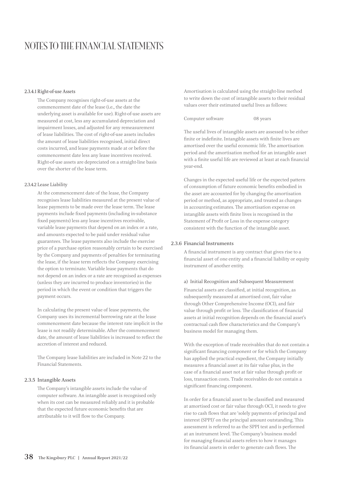#### 2.3.4.1Right-of-use Assets

The Company recognises right-of-use assets at the commencement date of the lease (i.e., the date the underlying asset is available for use). Right-of-use assets are measured at cost, less any accumulated depreciation and impairment losses, and adjusted for any remeasurement of lease liabilities. The cost of right-of-use assets includes the amount of lease liabilities recognised, initial direct costs incurred, and lease payments made at or before the commencement date less any lease incentives received. Right-of-use assets are depreciated on a straight-line basis over the shorter of the lease term.

#### 2.3.4.2 Lease Liability

At the commencement date of the lease, the Company recognises lease liabilities measured at the present value of lease payments to be made over the lease term. The lease payments include fixed payments (including in-substance fixed payments) less any lease incentives receivable, variable lease payments that depend on an index or a rate, and amounts expected to be paid under residual value guarantees. The lease payments also include the exercise price of a purchase option reasonably certain to be exercised by the Company and payments of penalties for terminating the lease, if the lease term reflects the Company exercising the option to terminate. Variable lease payments that do not depend on an index or a rate are recognised as expenses (unless they are incurred to produce inventories) in the period in which the event or condition that triggers the payment occurs.

In calculating the present value of lease payments, the Company uses its incremental borrowing rate at the lease commencement date because the interest rate implicit in the lease is not readily determinable. After the commencement date, the amount of lease liabilities is increased to reflect the accretion of interest and reduced.

The Company lease liabilities are included in Note 22 to the Financial Statements.

### 2.3.5 Intangible Assets

The Company's intangible assets include the value of computer software. An intangible asset is recognised only when its cost can be measured reliably and it is probable that the expected future economic benefits that are attributable to it will flow to the Company.

Amortisation is calculated using the straight-line method to write down the cost of intangible assets to their residual values over their estimated useful lives as follows:

Computer software 08 years

The useful lives of intangible assets are assessed to be either finite or indefinite. Intangible assets with finite lives are amortised over the useful economic life. The amortisation period and the amortisation method for an intangible asset with a finite useful life are reviewed at least at each financial year-end.

Changes in the expected useful life or the expected pattern of consumption of future economic benefits embodied in the asset are accounted for by changing the amortisation period or method, as appropriate, and treated as changes in accounting estimates. The amortisation expense on intangible assets with finite lives is recognised in the Statement of Profit or Loss in the expense category consistent with the function of the intangible asset.

## 2.3.6 Financial Instruments

A financial instrument is any contract that gives rise to a financial asset of one entity and a financial liability or equity instrument of another entity.

#### a) Initial Recognition and Subsequent Measurement

Financial assets are classified, at initial recognition, as subsequently measured at amortised cost, fair value through Other Comprehensive Income (OCI), and fair value through profit or loss. The classification of financial assets at initial recognition depends on the financial asset's contractual cash flow characteristics and the Company's business model for managing them.

With the exception of trade receivables that do not contain a significant financing component or for which the Company has applied the practical expedient, the Company initially measures a financial asset at its fair value plus, in the case of a financial asset not at fair value through profit or loss, transaction costs. Trade receivables do not contain a significant financing component.

In order for a financial asset to be classified and measured at amortised cost or fair value through OCI, it needs to give rise to cash flows that are 'solely payments of principal and interest (SPPI)' on the principal amount outstanding. This assessment is referred to as the SPPI test and is performed at an instrument level. The Company's business model for managing financial assets refers to how it manages its financial assets in order to generate cash flows. The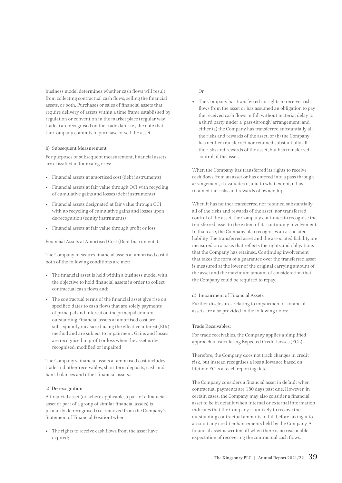business model determines whether cash flows will result from collecting contractual cash flows, selling the financial assets, or both. Purchases or sales of financial assets that require delivery of assets within a time frame established by regulation or convention in the market place (regular way trades) are recognised on the trade date, i.e., the date that the Company commits to purchase or sell the asset.

#### b) Subsequent Measurement

For purposes of subsequent measurement, financial assets are classified in four categories:

- Financial assets at amortised cost (debt instruments)
- Financial assets at fair value through OCI with recycling of cumulative gains and losses (debt instruments)
- Financial assets designated at fair value through OCI with no recycling of cumulative gains and losses upon de-recognition (equity instruments)
- Financial assets at fair value through profit or loss

Financial Assets at Amortised Cost (Debt Instruments)

The Company measures financial assets at amortised cost if both of the following conditions are met:

- The financial asset is held within a business model with the objective to hold financial assets in order to collect contractual cash flows and;
- The contractual terms of the financial asset give rise on specified dates to cash flows that are solely payments of principal and interest on the principal amount outstanding Financial assets at amortised cost are subsequently measured using the effective interest (EIR) method and are subject to impairment. Gains and losses are recognised in profit or loss when the asset is derecognised, modified or impaired

The Company's financial assets at amortised cost includes trade and other receivables, short term deposits, cash and bank balances and other financial assets..

## c) De-recognition

A financial asset (or, where applicable, a part of a financial asset or part of a group of similar financial assets) is primarily de-recognised (i.e. removed from the Company's Statement of Financial Position) when:

• The rights to receive cash flows from the asset have expired;

### Or

• The Company has transferred its rights to receive cash flows from the asset or has assumed an obligation to pay the received cash flows in full without material delay to a third party under a 'pass-through' arrangement; and either (a) the Company has transferred substantially all the risks and rewards of the asset, or (b) the Company has neither transferred nor retained substantially all the risks and rewards of the asset, but has transferred control of the asset.

When the Company has transferred its rights to receive cash flows from an asset or has entered into a pass through arrangement, it evaluates if, and to what extent, it has retained the risks and rewards of ownership.

When it has neither transferred nor retained substantially all of the risks and rewards of the asset, nor transferred control of the asset, the Company continues to recognise the transferred asset to the extent of its continuing involvement. In that case, the Company also recognises an associated liability. The transferred asset and the associated liability are measured on a basis that reflects the rights and obligations that the Company has retained. Continuing involvement that takes the form of a guarantee over the transferred asset is measured at the lower of the original carrying amount of the asset and the maximum amount of consideration that the Company could be required to repay.

## d) Impairment of Financial Assets

Further disclosures relating to impairment of financial assets are also provided in the following notes:

#### Trade Receivables:

For trade receivables, the Company applies a simplified approach in calculating Expected Credit Losses (ECL).

Therefore, the Company does not track changes in credit risk, but instead recognises a loss allowance based on lifetime ECLs at each reporting date.

The Company considers a financial asset in default when contractual payments are 180 days past due. However, in certain cases, the Company may also consider a financial asset to be in default when internal or external information indicates that the Company is unlikely to receive the outstanding contractual amounts in full before taking into account any credit enhancements held by the Company. A financial asset is written off when there is no reasonable expectation of recovering the contractual cash flows.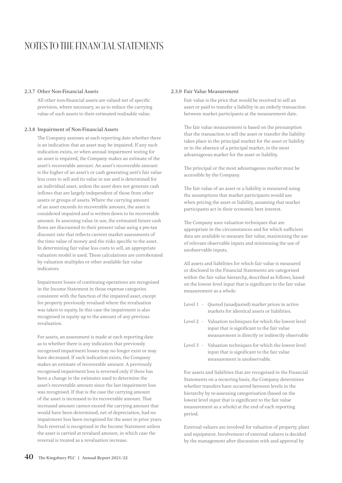### 2.3.7 Other Non-Financial Assets

All other non-financial assets are valued net of specific provision, where necessary, so as to reduce the carrying value of such assets to their estimated realisable value.

## 2.3.8 Impairment of Non-Financial Assets

The Company assesses at each reporting date whether there is an indication that an asset may be impaired. If any such indication exists, or when annual impairment testing for an asset is required, the Company makes an estimate of the asset's recoverable amount. An asset's recoverable amount is the higher of an asset's or cash generating unit's fair value less costs to sell and its value in use and is determined for an individual asset, unless the asset does not generate cash inflows that are largely independent of those from other assets or groups of assets. Where the carrying amount of an asset exceeds its recoverable amount, the asset is considered impaired and is written down to its recoverable amount. In assessing value in use, the estimated future cash flows are discounted to their present value using a pre-tax discount rate that reflects current market assessments of the time value of money and the risks specific to the asset. In determining fair value less costs to sell, an appropriate valuation model is used. These calculations are corroborated by valuation multiples or other available fair value indicators.

Impairment losses of continuing operations are recognised in the Income Statement in those expense categories consistent with the function of the impaired asset, except for property previously revalued where the revaluation was taken to equity. In this case the impairment is also recognised in equity up to the amount of any previous revaluation.

For assets, an assessment is made at each reporting date as to whether there is any indication that previously recognised impairment losses may no longer exist or may have decreased. If such indication exists, the Company makes an estimate of recoverable amount. A previously recognised impairment loss is reversed only if there has been a change in the estimates used to determine the asset's recoverable amount since the last impairment loss was recognised. If that is the case the carrying amount of the asset is increased to its recoverable amount. That increased amount cannot exceed the carrying amount that would have been determined, net of depreciation, had no impairment loss been recognised for the asset in prior years. Such reversal is recognised in the Income Statement unless the asset is carried at revalued amount, in which case the reversal is treated as a revaluation increase.

#### 2.3.9 Fair Value Measurement

Fair value is the price that would be received to sell an asset or paid to transfer a liability in an orderly transaction between market participants at the measurement date.

The fair value measurement is based on the presumption that the transaction to sell the asset or transfer the liability takes place in the principal market for the asset or liability or in the absence of a principal market, in the most advantageous market for the asset or liability.

The principal or the most advantageous market must be accessible by the Company.

The fair value of an asset or a liability is measured using the assumptions that market participants would use when pricing the asset or liability, assuming that market participants act in their economic best interest.

The Company uses valuation techniques that are appropriate in the circumstances and for which sufficient data are available to measure fair value, maximising the use of relevant observable inputs and minimising the use of unobservable inputs.

All assets and liabilities for which fair value is measured or disclosed in the Financial Statements are categorised within the fair value hierarchy, described as follows, based on the lowest level input that is significant to the fair value measurement as a whole:

- Level 1 Quoted (unadjusted) market prices in active markets for identical assets or liabilities.
- Level 2 Valuation techniques for which the lowest level input that is significant to the fair value measurement is directly or indirectly observable
- Level 3 Valuation techniques for which the lowest level input that is significant to the fair value measurement is unobservable.

For assets and liabilities that are recognised in the Financial Statements on a recurring basis, the Company determines whether transfers have occurred between levels in the hierarchy by re-assessing categorisation (based on the lowest level input that is significant to the fair value measurement as a whole) at the end of each reporting period.

External valuers are involved for valuation of property, plant and equipment. Involvement of external valuers is decided by the management after discussion with and approval by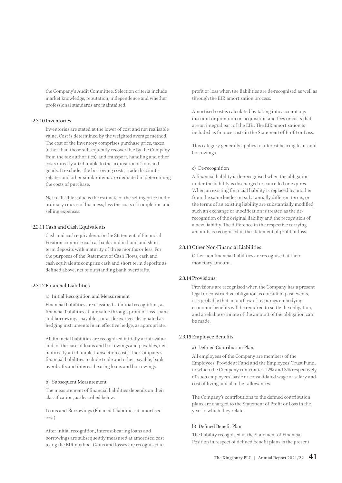the Company's Audit Committee. Selection criteria include market knowledge, reputation, independence and whether professional standards are maintained.

#### 2.3.10Inventories

Inventories are stated at the lower of cost and net realisable value. Cost is determined by the weighted average method. The cost of the inventory comprises purchase price, taxes (other than those subsequently recoverable by the Company from the tax authorities), and transport, handling and other costs directly attributable to the acquisition of finished goods. It excludes the borrowing costs, trade discounts, rebates and other similar items are deducted in determining the costs of purchase.

Net realisable value is the estimate of the selling price in the ordinary course of business, less the costs of completion and selling expenses.

#### 2.3.11Cash and Cash Equivalents

Cash and cash equivalents in the Statement of Financial Position comprise cash at banks and in hand and short term deposits with maturity of three months or less. For the purposes of the Statement of Cash Flows, cash and cash equivalents comprise cash and short term deposits as defined above, net of outstanding bank overdrafts.

### 2.3.12Financial Liabilities

#### a) Initial Recognition and Measurement

Financial liabilities are classified, at initial recognition, as financial liabilities at fair value through profit or loss, loans and borrowings, payables, or as derivatives designated as hedging instruments in an effective hedge, as appropriate.

All financial liabilities are recognised initially at fair value and, in the case of loans and borrowings and payables, net of directly attributable transaction costs. The Company's financial liabilities include trade and other payable, bank overdrafts and interest bearing loans and borrowings.

### b) Subsequent Measurement

The measurement of financial liabilities depends on their classification, as described below:

Loans and Borrowings (Financial liabilities at amortised cost)

After initial recognition, interest-bearing loans and borrowings are subsequently measured at amortised cost using the EIR method. Gains and losses are recognised in

profit or loss when the liabilities are de-recognised as well as through the EIR amortisation process.

Amortised cost is calculated by taking into account any discount or premium on acquisition and fees or costs that are an integral part of the EIR. The EIR amortisation is included as finance costs in the Statement of Profit or Loss.

This category generally applies to interest-bearing loans and borrowings

#### c) De-recognition

A financial liability is de-recognised when the obligation under the liability is discharged or cancelled or expires. When an existing financial liability is replaced by another from the same lender on substantially different terms, or the terms of an existing liability are substantially modified, such an exchange or modification is treated as the derecognition of the original liability and the recognition of a new liability. The difference in the respective carrying amounts is recognised in the statement of profit or loss.

## 2.3.13Other Non-Financial Liabilities

Other non-financial liabilities are recognised at their monetary amount.

#### 2.3.14Provisions

Provisions are recognised when the Company has a present legal or constructive obligation as a result of past events, it is probable that an outflow of resources embodying economic benefits will be required to settle the obligation, and a reliable estimate of the amount of the obligation can be made.

### 2.3.15Employee Benefits

### a) Defined Contribution Plans

All employees of the Company are members of the Employees' Provident Fund and the Employees' Trust Fund, to which the Company contributes 12% and 3% respectively of such employees' basic or consolidated wage or salary and cost of living and all other allowances.

The Company's contributions to the defined contribution plans are charged to the Statement of Profit or Loss in the year to which they relate.

### b) Defined Benefit Plan

The liability recognised in the Statement of Financial Position in respect of defined benefit plans is the present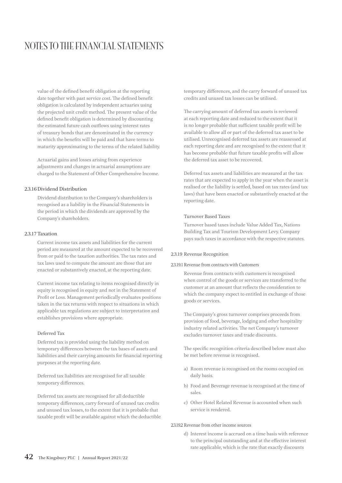value of the defined benefit obligation at the reporting date together with past service cost. The defined benefit obligation is calculated by independent actuaries using the projected unit credit method. The present value of the defined benefit obligation is determined by discounting the estimated future cash outflows using interest rates of treasury bonds that are denominated in the currency in which the benefits will be paid and that have terms to maturity approximating to the terms of the related liability.

Actuarial gains and losses arising from experience adjustments and changes in actuarial assumptions are charged to the Statement of Other Comprehensive Income.

#### 2.3.16Dividend Distribution

Dividend distribution to the Company's shareholders is recognised as a liability in the Financial Statements in the period in which the dividends are approved by the Company's shareholders.

#### 2.3.17Taxation

Current income tax assets and liabilities for the current period are measured at the amount expected to be recovered from or paid to the taxation authorities. The tax rates and tax laws used to compute the amount are those that are enacted or substantively enacted, at the reporting date.

Current income tax relating to items recognised directly in equity is recognised in equity and not in the Statement of Profit or Loss. Management periodically evaluates positions taken in the tax returns with respect to situations in which applicable tax regulations are subject to interpretation and establishes provisions where appropriate.

#### Deferred Tax

Deferred tax is provided using the liability method on temporary differences between the tax bases of assets and liabilities and their carrying amounts for financial reporting purposes at the reporting date.

Deferred tax liabilities are recognised for all taxable temporary differences.

Deferred tax assets are recognised for all deductible temporary differences, carry forward of unused tax credits and unused tax losses, to the extent that it is probable that taxable profit will be available against which the deductible temporary differences, and the carry forward of unused tax credits and unused tax losses can be utilised.

The carrying amount of deferred tax assets is reviewed at each reporting date and reduced to the extent that it is no longer probable that sufficient taxable profit will be available to allow all or part of the deferred tax asset to be utilised. Unrecognised deferred tax assets are reassessed at each reporting date and are recognised to the extent that it has become probable that future taxable profits will allow the deferred tax asset to be recovered.

Deferred tax assets and liabilities are measured at the tax rates that are expected to apply in the year when the asset is realised or the liability is settled, based on tax rates (and tax laws) that have been enacted or substantively enacted at the reporting date.

## Turnover Based Taxes

Turnover based taxes include Value Added Tax, Nations Building Tax and Tourism Development Levy. Company pays such taxes in accordance with the respective statutes.

#### 2.3.19 Revenue Recognition

#### 2.3.19.1 Revenue from contracts with Customers

Revenue from contracts with customers is recognised when control of the goods or services are transferred to the customer at an amount that reflects the consideration to which the company expect to entitled in exchange of those goods or services.

The Company's gross turnover comprises proceeds from provision of food, beverage, lodging and other hospitality industry related activities. The net Company's turnover excludes turnover taxes and trade discounts.

The specific recognition criteria described below must also be met before revenue is recognised.

- a) Room revenue is recognised on the rooms occupied on daily basis.
- b) Food and Beverage revenue is recognised at the time of sales.
- c) Other Hotel Related Revenue is accounted when such service is rendered.

## 2.3.19.2 Revenue from other income sources

d) Interest income is accrued on a time basis with reference to the principal outstanding and at the effective interest rate applicable, which is the rate that exactly discounts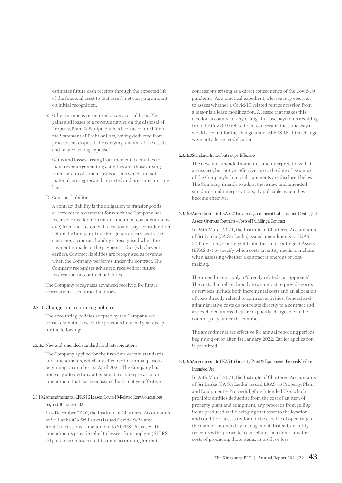estimates future cash receipts through the expected life of the financial asset to that asset's net carrying amount on initial recognition.

e) Other income is recognised on an accrual basis. Net gains and losses of a revenue nature on the disposal of Property, Plant & Equipment has been accounted for in the Statement of Profit or Loss, having deducted from proceeds on disposal, the carrying amount of the assets and related selling expense

Gains and losses arising from incidental activities to main revenue generating activities and those arising from a group of similar transactions which are not material, are aggregated, reported and presented on a net basis.

f) Contract liabilities

A contract liability is the obligation to transfer goods or services to a customer for which the Company has received consideration (or an amount of consideration is due) from the customer. If a customer pays consideration before the Company transfers goods or services to the customer, a contract liability is recognised when the payment is made or the payment is due (whichever is earlier). Contract liabilities are recognised as revenue when the Company performs under the contract. The Company recognises advanced received for future reservations as contract liabilities.

The Company recognises advanced received for future reservations as contract liabilities.

## 2.3.19Changes in accounting policies

The accounting policies adopted by the Company are consistent with those of the previous financial year except for the following;

#### 2.3.19.1 New and amended standards and interpretations

The Company applied for the first-time certain standards and amendments, which are effective for annual periods beginning on or after 1st April 2021. The Company has not early adopted any other standard, interpretation or amendment that has been issued but is not yet effective.

## 2.3.19.2Amendments to SLFRS 16 Leases: Covid-19-Related Rent Concessions beyond 30th June 2021

In 4 December 2020, the Institute of Chartered Accountants of Sri Lanka (CA Sri Lanka) issued Covid-19-Related Rent Concessions - amendment to SLFRS 16 Leases. The amendments provide relief to lessees from applying SLFRS 16 guidance on lease modification accounting for rent

concessions arising as a direct consequence of the Covid-19 pandemic. As a practical expedient, a lessee may elect not to assess whether a Covid-19 related rent concession from a lessor is a lease modification. A lessee that makes this election accounts for any change in lease payments resulting from the Covid-19 related rent concession the same way it would account for the change under SLFRS 16, if the change were not a lease modification

#### 2.3.19.3Standards Issued but not yet Effective

The new and amended standards and interpretations that are issued, but not yet effective, up to the date of issuance of the Company's financial statements are disclosed below. The Company intends to adopt these new and amended standards and interpretations, if applicable, when they become effective.

## 2.3.19.4Amendments to LKAS 37 Provisions, Contingent Liabilities and Contingent Assets: Onerous Contracts – Costs of Fulfilling a Contract

In 25th March 2021, the Institute of Chartered Accountants of Sri Lanka (CA Sri Lanka) issued amendments to LKAS 37 Provisions, Contingent Liabilities and Contingent Assets (LKAS 37) to specify which costs an entity needs to include when assessing whether a contract is onerous or lossmaking.

The amendments apply a "directly related cost approach". The costs that relate directly to a contract to provide goods or services include both incremental costs and an allocation of costs directly related to contract activities. General and administrative costs do not relate directly to a contract and are excluded unless they are explicitly chargeable to the counterparty under the contract.

The amendments are effective for annual reporting periods beginning on or after 1st January 2022. Earlier application is permitted.

## 2.3.19.5Amendments to LKAS 16 Property, Plant & Equipment: Proceeds before Intended Use

In 25th March 2021, the Institute of Chartered Accountants of Sri Lanka (CA Sri Lanka) issued LKAS 16 Property, Plant and Equipment — Proceeds before Intended Use, which prohibits entities deducting from the cost of an item of property, plant and equipment, any proceeds from selling items produced while bringing that asset to the location and condition necessary for it to be capable of operating in the manner intended by management. Instead, an entity recognises the proceeds from selling such items, and the costs of producing those items, in profit or loss.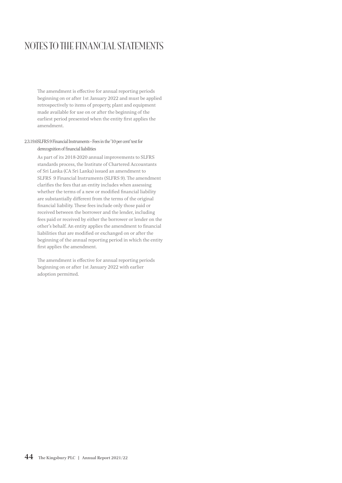The amendment is effective for annual reporting periods beginning on or after 1st January 2022 and must be applied retrospectively to items of property, plant and equipment made available for use on or after the beginning of the earliest period presented when the entity first applies the amendment.

## 2.3.19.6SLFRS 9 Financial Instruments – Fees in the '10 per cent' test for derecognition of financial liabilities

As part of its 2018-2020 annual improvements to SLFRS standards process, the Institute of Chartered Accountants of Sri Lanka (CA Sri Lanka) issued an amendment to SLFRS 9 Financial Instruments (SLFRS 9). The amendment clarifies the fees that an entity includes when assessing whether the terms of a new or modified financial liability are substantially different from the terms of the original financial liability. These fees include only those paid or received between the borrower and the lender, including fees paid or received by either the borrower or lender on the other's behalf. An entity applies the amendment to financial liabilities that are modified or exchanged on or after the beginning of the annual reporting period in which the entity first applies the amendment.

The amendment is effective for annual reporting periods beginning on or after 1st January 2022 with earlier adoption permitted.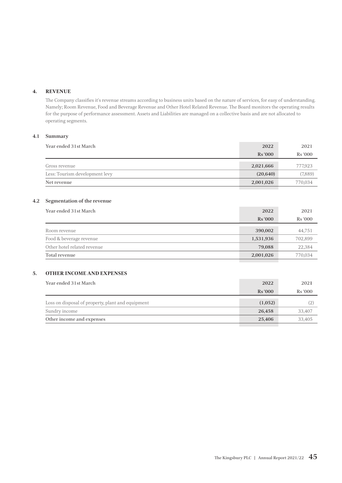## **4. REVENUE**

The Company classifies it's revenue streams according to business units based on the nature of services, for easy of understanding. Namely; Room Revenue, Food and Beverage Revenue and Other Hotel Related Revenue. The Board monitors the operating results for the purpose of performance assessment. Assets and Liabilities are managed on a collective basis and are not allocated to operating segments.

## 4.1 Summary

| Year ended 31st March          | 2022           | 2021           |
|--------------------------------|----------------|----------------|
|                                | <b>Rs</b> '000 | <b>Rs</b> '000 |
| Gross revenue                  | 2,021,666      | 777,923        |
| Less: Tourism development levy | (20, 640)      | (7,889)        |
| Net revenue                    | 2,001,026      | 770,034        |

## 4.2 Segmentation of the revenue

| Year ended 31st March       | 2022           | 2021           |
|-----------------------------|----------------|----------------|
|                             | <b>Rs</b> '000 | <b>Rs</b> '000 |
| Room revenue                | 390,002        | 44,751         |
| Food & beverage revenue     | 1,531,936      | 702,899        |
| Other hotel related revenue | 79,088         | 22,384         |
| Total revenue               | 2,001,026      | 770.034        |

## **5. OTHER INCOME AND EXPENSES**

| Year ended 31st March                             | 2022           | 2021           |
|---------------------------------------------------|----------------|----------------|
|                                                   | <b>Rs</b> '000 | <b>Rs</b> '000 |
| Loss on disposal of property, plant and equipment | (1,052)        |                |
| Sundry income                                     | 26,458         | 33,407         |
| Other income and expenses                         | 25,406         | 33,405         |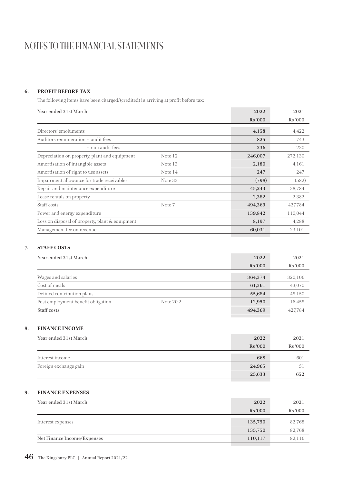## **6. PROFIT BEFORE TAX**

The following items have been charged/(credited) in arriving at profit before tax:

| Year ended 31st March                           |         | 2022           | 2021           |
|-------------------------------------------------|---------|----------------|----------------|
|                                                 |         | <b>Rs</b> '000 | <b>Rs</b> '000 |
| Directors' emoluments                           |         | 4,158          | 4,422          |
| Auditors remuneration - audit fees              |         | 825            | 743            |
| - non audit fees                                |         | 236            | 230            |
| Depreciation on property, plant and equipment   | Note 12 | 246,007        | 272,130        |
| Amortisation of intangible assets               | Note 13 | 2,180          | 4,161          |
| Amortisation of right to use assets             | Note 14 | 247            | 247            |
| Impairment allowance for trade receivables      | Note 33 | (798)          | (582)          |
| Repair and maintenance expenditure              |         | 45,243         | 38,784         |
| Lease rentals on property                       |         | 2,382          | 2,382          |
| Staff costs                                     | Note 7  | 494,369        | 427,784        |
| Power and energy expenditure                    |         | 139,842        | 110,044        |
| Loss on disposal of property, plant & equipment |         | 8,197          | 4,288          |
| Management fee on revenue                       |         | 60,031         | 23,101         |
|                                                 |         |                |                |

## **7. STAFF COSTS**

| 2022           | 2021           |
|----------------|----------------|
| <b>Rs</b> '000 | <b>Rs</b> '000 |
| 364,374        | 320,106        |
| 61,361         | 43,070         |
| 55,684         | 48,150         |
| 12,950         | 16,458         |
| 494,369        | 427,784        |
|                |                |

## **8. FINANCE INCOME**

| Year ended 31st March | 2022           | 2021           |
|-----------------------|----------------|----------------|
|                       | <b>Rs</b> '000 | <b>Rs</b> '000 |
| Interest income       | 668            | 601            |
| Foreign exchange gain | 24,965         | 51             |
|                       | 25,633         | 652            |

## **9. FINANCE EXPENSES**

| Year ended 31st March       | 2022           | 2021           |
|-----------------------------|----------------|----------------|
|                             | <b>Rs</b> '000 | <b>Rs</b> '000 |
| Interest expenses           | 135,750        | 82,768         |
|                             | 135,750        | 82,768         |
| Net Finance Income/Expenses | 110,117        | 82.116         |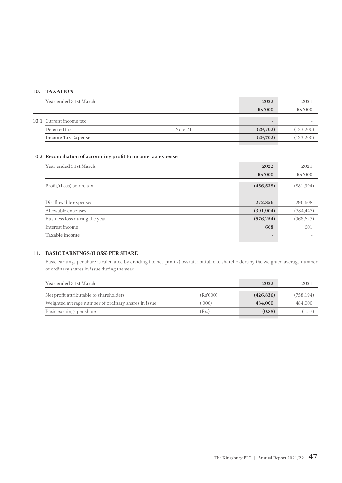## **10. TAXATION**

| Year ended 31st March     | 2022           | 2021           |
|---------------------------|----------------|----------------|
|                           | <b>Rs</b> '000 | <b>Rs</b> '000 |
| 10.1 Current income tax   | $\sim$         |                |
| Deferred tax<br>Note 21.1 | (29,702)       | (123,200)      |
| Income Tax Expense        | (29,702)       | (123,200)      |

## 10.2 Reconciliation of accounting profit to income tax expense

| Year ended 31st March         | 2022                     | 2021       |
|-------------------------------|--------------------------|------------|
|                               | <b>Rs</b> '000           | Rs '000    |
| Profit/(Loss) before tax      | (456, 538)               | (881, 394) |
|                               |                          |            |
| Disallowable expenses         | 272,856                  | 296,608    |
| Allowable expenses            | (391, 904)               | (384, 443) |
| Business loss during the year | (576, 254)               | (968, 627) |
| Interest income               | 668                      | 601        |
| Taxable income                | $\overline{\phantom{a}}$ |            |
|                               |                          |            |

## **11. BASIC EARNINGS/(LOSS) PER SHARE**

Basic earnings per share is calculated by dividing the net profit/(loss) attributable to shareholders by the weighted average number of ordinary shares in issue during the year.

| Year ended 31st March                               |          | 2022       | 2021       |
|-----------------------------------------------------|----------|------------|------------|
| Net profit attributable to shareholders             | (Rs'000) | (426, 836) | (758, 194) |
| Weighted average number of ordinary shares in issue | (000)    | 484,000    | 484,000    |
| Basic earnings per share                            | (Rs.)    | (0.88)     | (1.57)     |
|                                                     |          |            |            |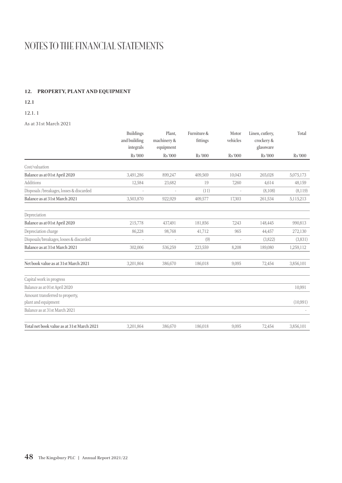## **12. PROPERTY, PLANT AND EQUIPMENT**

12.1

12.1. 1

As at 31st March 2021

|                                            | <b>Buildings</b><br>and building<br>integrals | Plant,<br>machinery &<br>equipment | Furniture &<br>fittings | Motor<br>vehicles | Linen, cutlery,<br>crockery &<br>glassware | Total          |
|--------------------------------------------|-----------------------------------------------|------------------------------------|-------------------------|-------------------|--------------------------------------------|----------------|
|                                            | <b>Rs</b> '000                                | Rs'000                             | <b>Rs</b> '000          | <b>Rs</b> '000    | <b>Rs</b> '000                             | <b>Rs</b> '000 |
| Cost/valuation                             |                                               |                                    |                         |                   |                                            |                |
| Balance as at 01st April 2020              | 3,491,286                                     | 899,247                            | 409,569                 | 10,043            | 265,028                                    | 5,075,173      |
| <b>Additions</b>                           | 12,584                                        | 23,682                             | 19                      | 7,260             | 4,614                                      | 48,159         |
| Disposals /breakages, losses & discarded   |                                               |                                    | (11)                    |                   | (8,108)                                    | (8,119)        |
| Balance as at 31st March 2021              | 3,503,870                                     | 922,929                            | 409,577                 | 17,303            | 261,534                                    | 5,115,213      |
| Depreciation                               |                                               |                                    |                         |                   |                                            |                |
| Balance as at 01st April 2020              | 215,778                                       | 437,491                            | 181,856                 | 7,243             | 148,445                                    | 990,813        |
| Depreciation charge                        | 86,228                                        | 98,768                             | 41,712                  | 965               | 44,457                                     | 272,130        |
| Disposals/breakages, losses & discarded    |                                               |                                    | (9)                     |                   | (3,822)                                    | (3,831)        |
| Balance as at 31st March 2021              | 302,006                                       | 536,259                            | 223,559                 | 8,208             | 189,080                                    | 1,259,112      |
| Net book value as at 31st March 2021       | 3,201,864                                     | 386,670                            | 186,018                 | 9,095             | 72,454                                     | 3,856,101      |
| Capital work in progress                   |                                               |                                    |                         |                   |                                            |                |
| Balance as at 01st April 2020              |                                               |                                    |                         |                   |                                            | 10,991         |
| Amount transferred to property,            |                                               |                                    |                         |                   |                                            |                |
| plant and equipment                        |                                               |                                    |                         |                   |                                            | (10,991)       |
| Balance as at 31st March 2021              |                                               |                                    |                         |                   |                                            |                |
| Total net book value as at 31st March 2021 | 3,201,864                                     | 386,670                            | 186,018                 | 9,095             | 72,454                                     | 3,856,101      |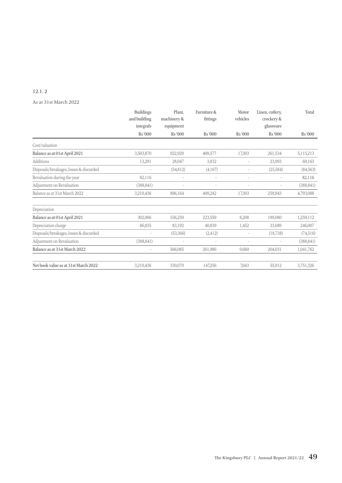## 12.1. 2

As at 31st March 2022

|                                         | <b>Buildings</b><br>and building | Plant,<br>machinery & | Furniture &<br>fittings | Motor<br>vehicles        | Linen, cutlery,<br>crockery & | Total      |
|-----------------------------------------|----------------------------------|-----------------------|-------------------------|--------------------------|-------------------------------|------------|
|                                         | integrals                        | equipment             |                         |                          | glassware                     |            |
|                                         | <b>Rs</b> '000                   | Rs '000               | Rs '000                 | <b>Rs</b> '000           | <b>Rs</b> '000                | Rs '000    |
| Cost/valuation                          |                                  |                       |                         |                          |                               |            |
| Balance as at 01st April 2021           | 3,503,870                        | 922,929               | 409,577                 | 17,303                   | 261,534                       | 5,115,213  |
| Additions                               | 13,291                           | 28,047                | 3,832                   | $\overline{\phantom{a}}$ | 23,993                        | 69,163     |
| Disposals/breakages, losses & discarded | $\overline{\phantom{a}}$         | (54, 812)             | (4,167)                 |                          | (25,584)                      | (84, 563)  |
| Revaluation during the year             | 82,116                           |                       |                         |                          | $\overline{\phantom{a}}$      | 82,116     |
| Adjustment on Revaluation               | (388, 841)                       |                       |                         |                          |                               | (388, 841) |
| Balance as at 31st March 2022           | 3,210,436                        | 896,164               | 409,242                 | 17,303                   | 259,943                       | 4,793,088  |
| Depreciation                            |                                  |                       |                         |                          |                               |            |
| Balance as at 01st April 2021           | 302,006                          | 536,259               | 223,559                 | 8,208                    | 189,080                       | 1,259,112  |
| Depreciation charge                     | 86,835                           | 83,192                | 40,839                  | 1,452                    | 33,689                        | 246,007    |
| Disposals/breakages, losses & discarded |                                  | (53,366)              | (2, 412)                |                          | (18, 738)                     | (74,516)   |
| Adjustment on Revaluation               | (388, 841)                       |                       |                         |                          |                               | (388, 841) |
| Balance as at 31st March 2022           |                                  | 566,085               | 261,986                 | 9,660                    | 204,031                       | 1,041,762  |
| Net book value as at 31st March 2022    | 3,210,436                        | 330,079               | 147,256                 | 7,643                    | 55,912                        | 3,751,326  |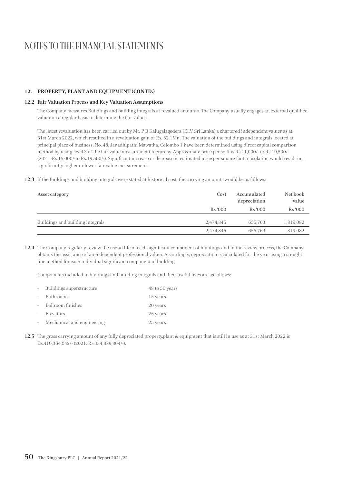## **12. PROPERTY, PLANT AND EQUIPMENT (CONTD.)**

#### 12.2 Fair Valuation Process and Key Valuation Assumptions

The Company measures Buildings and building integrals at revalued amounts. The Company usually engages an external qualified valuer on a regular basis to determine the fair values.

The latest revaluation has been carried out by Mr. P B Kalugalagedera (F.I.V Sri Lanka) a chartered independent valuer as at 31st March 2022, which resulted in a revaluation gain of Rs. 82.1Mn. The valuation of the buildings and integrals located at principal place of business, No. 48, Janadhipathi Mawatha, Colombo 1 have been determined using direct capital comparison method by using level 3 of the fair value measurement hierarchy. Approximate price per sq.ft is Rs.11,000/- to Rs.19,500/- (2021 -Rs.15,000/-to Rs.19,500/-). Significant increase or decrease in estimated price per square foot in isolation would result in a significantly higher or lower fair value measurement.

12.3 If the Buildings and building integrals were stated at historical cost, the carrying amounts would be as follows:

| Asset category                   | Cost           | Accumulated<br>depreciation | Net book<br>value |
|----------------------------------|----------------|-----------------------------|-------------------|
|                                  | <b>Rs</b> '000 | <b>Rs</b> '000              | <b>Rs</b> '000    |
| Buildings and building integrals | 2,474,845      | 655,763                     | 1,819,082         |
|                                  | 2,474,845      | 655,763                     | 1,819,082         |

12.4 The Company regularly review the useful life of each significant component of buildings and in the review process, the Company obtains the assistance of an independent professional valuer. Accordingly, depreciation is calculated for the year using a straight line method for each individual significant component of building.

Components included in buildings and building integrals and their useful lives are as follows:

| Buildings superstructure   | 48 to 50 years |
|----------------------------|----------------|
| Bathrooms                  | 15 years       |
| Ballroom finishes          | 20 years       |
| Elevators                  | 25 years       |
| Mechanical and engineering | 25 years       |

12.5 The gross carrying amount of any fully depreciated property,plant & equipment that is still in use as at 31st March 2022 is Rs.410,364,042/- (2021: Rs.384,879,804/-).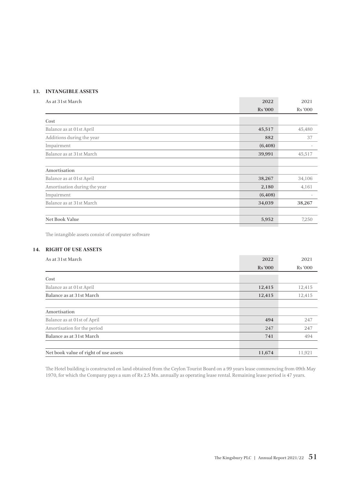## **13. INTANGIBLE ASSETS**

| As at 31st March             | 2022           | 2021           |
|------------------------------|----------------|----------------|
|                              | <b>Rs</b> '000 | <b>Rs</b> '000 |
| Cost                         |                |                |
| Balance as at 01st April     | 45,517         | 45,480         |
| Additions during the year    | 882            | 37             |
| Impairment                   | (6,408)        |                |
| Balance as at 31st March     | 39,991         | 45,517         |
|                              |                |                |
| Amortisation                 |                |                |
| Balance as at 01st April     | 38,267         | 34,106         |
| Amortisation during the year | 2,180          | 4,161          |
| Impairment                   | (6, 408)       |                |
| Balance as at 31st March     | 34,039         | 38,267         |
|                              |                |                |
| Net Book Value               | 5,952          | 7,250          |
|                              |                |                |

The intangible assets consist of computer software

## **14. RIGHT OF USE ASSETS**

| As at 31st March                      | 2022           | 2021           |
|---------------------------------------|----------------|----------------|
|                                       | <b>Rs</b> '000 | <b>Rs</b> '000 |
| Cost                                  |                |                |
| Balance as at 01st April              | 12,415         | 12,415         |
| Balance as at 31st March              | 12,415         | 12,415         |
|                                       |                |                |
| Amortisation                          |                |                |
| Balance as at 01st of April           | 494            | 247            |
| Amortisation for the period           | 247            | 247            |
| Balance as at 31st March              | 741            | 494            |
|                                       |                |                |
| Net book value of right of use assets | 11,674         | 11,921         |
|                                       |                |                |

The Hotel building is constructed on land obtained from the Ceylon Tourist Board on a 99 years lease commencing from 09th May 1970, for which the Company pays a sum of Rs 2.5 Mn. annually as operating lease rental. Remaining lease period is 47 years.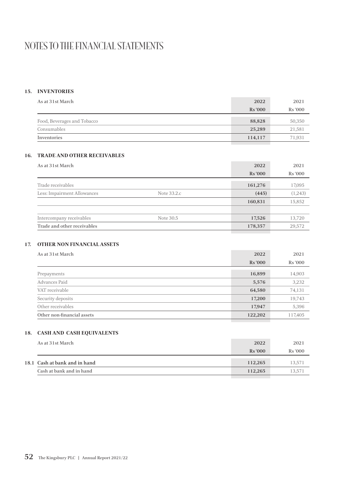## **15. INVENTORIES**

| As at 31st March            | 2022           | 2021           |
|-----------------------------|----------------|----------------|
|                             | <b>Rs</b> '000 | <b>Rs</b> '000 |
| Food, Beverages and Tobacco | 88,828         | 50,350         |
| Consumables                 | 25,289         | 21,581         |
| Inventories                 | 114,117        | 71,931         |
|                             |                |                |

## **16. TRADE AND OTHER RECEIVABLES**

| As at 31st March            |             | 2022           | 2021    |
|-----------------------------|-------------|----------------|---------|
|                             |             | <b>Rs</b> '000 | Rs'000  |
| Trade receivables           |             | 161,276        | 17,095  |
| Less: Impairment Allowances | Note 33.2.c | (445)          | (1,243) |
|                             |             | 160,831        | 15,852  |
|                             |             |                |         |
| Intercompany receivables    | Note 30.5   | 17,526         | 13,720  |
| Trade and other receivables |             | 178,357        | 29,572  |
|                             |             |                |         |

## **17. OTHER NON FINANCIAL ASSETS**

| As at 31st March           | 2022           | 2021    |
|----------------------------|----------------|---------|
|                            | <b>Rs</b> '000 | Rs '000 |
| Prepayments                | 16,899         | 14,903  |
| Advances Paid              | 5,576          | 3,232   |
| VAT receivable             | 64,580         | 74,131  |
| Security deposits          | 17,200         | 19,743  |
| Other receivables          | 17,947         | 5,396   |
| Other non-financial assets | 122,202        | 117,405 |

## **18. CASH AND CASH EQUIVALENTS**

| As at 31st March              | 2022           | 2021           |
|-------------------------------|----------------|----------------|
|                               | <b>Rs</b> '000 | <b>Rs</b> '000 |
| 18.1 Cash at bank and in hand | 112,265        | 13,571         |
| Cash at bank and in hand      | 112,265        | 13,571         |
|                               |                |                |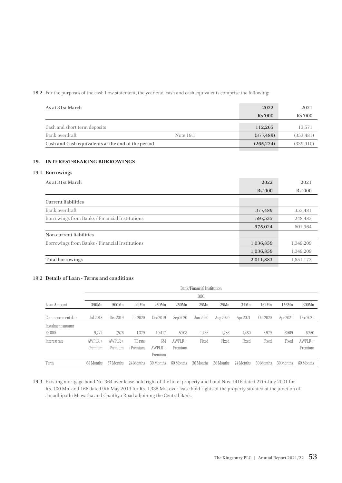## 18.2 For the purposes of the cash flow statement, the year end cash and cash equivalents comprise the following:

| As at 31st March                                   |           | 2022           | 2021           |
|----------------------------------------------------|-----------|----------------|----------------|
|                                                    |           | <b>Rs</b> '000 | <b>Rs</b> '000 |
| Cash and short term deposits                       |           | 112,265        | 13,571         |
| Bank overdraft                                     | Note 19.1 | (377, 489)     | (353, 481)     |
| Cash and Cash equivalents at the end of the period |           | (265, 224)     | (339,910)      |
|                                                    |           |                |                |

## **19. INTEREST-BEARING BORROWINGS**

## 19.1 Borrowings

| As at 31st March                               | 2022           | 2021           |
|------------------------------------------------|----------------|----------------|
|                                                | <b>Rs</b> '000 | <b>Rs</b> '000 |
| <b>Current liabilities</b>                     |                |                |
| Bank overdraft                                 | 377,489        | 353,481        |
| Borrowings from Banks / Financial Institutions | 597,535        | 248,483        |
|                                                | 975,024        | 601,964        |
| Non-current liabilities                        |                |                |
| Borrowings from Banks / Financial Institutions | 1,036,859      | 1,049,209      |
|                                                | 1,036,859      | 1,049,209      |
| Total borrowings                               | 2,011,883      | 1,651,173      |
|                                                |                |                |

## 19.2 Details of Loan - Terms and conditions

|                   |            | <b>Bank/Financial Institution</b> |             |            |           |            |           |           |           |           |            |
|-------------------|------------|-----------------------------------|-------------|------------|-----------|------------|-----------|-----------|-----------|-----------|------------|
|                   |            |                                   |             |            |           | <b>BOC</b> |           |           |           |           |            |
| Loan Amount       | 350Mn      | 500Mn                             | 29Mn        | 250Mn      | 250Mn     | 25Mn       | 25Mn      | 31Mn      | 162Mn     | 156Mn     | 300Mn      |
| Commencement date | Jul 2018   | Dec 2019                          | Jul 2020    | Dec 2019   | Sep 2020  | Jun 2020   | Aug 2020  | Apr 2021  | Oct 2020  | Apr 2021  | Dec 2021   |
| Instalment amount |            |                                   |             |            |           |            |           |           |           |           |            |
| Rs.000            | 9,722      | 7,576                             | 1,379       | 10,417     | 5,208     | 1,736      | 1,786     | 1,480     | 8,979     | 6,509     | 6,250      |
| Interest rate     | $AWPI.R +$ | $AWPI.R +$                        | TB rate     | 6M         | $AWPLR +$ | Fixed      | Fixed     | Fixed     | Fixed     | Fixed     | $AWPI.R +$ |
|                   | Premium    | Premium                           | $+$ Premium | $AWPI.R +$ | Premium   |            |           |           |           |           | Premium    |
|                   |            |                                   |             | Premium    |           |            |           |           |           |           |            |
| Term              | 68 Months  | 87 Months                         | 24 Months   | 30 Months  | 60 Months | 36 Months  | 36 Months | 24 Months | 30 Months | 30 Months | 60 Months  |

19.3 Existing mortgage bond No. 364 over lease hold right of the hotel property and bond Nos. 1416 dated 27th July 2001 for Rs. 100 Mn. and 166 dated 9th May 2013 for Rs. 1,335 Mn. over lease hold rights of the property situated at the junction of Janadhipathi Mawatha and Chaithya Road adjoining the Central Bank.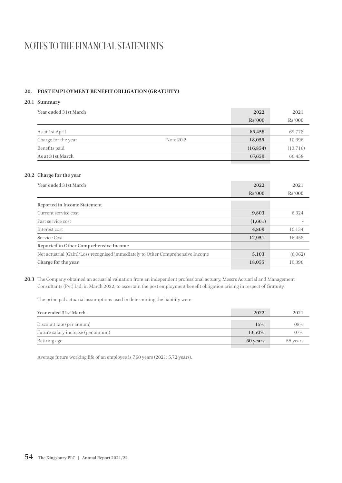## **20. POST EMPLOYMENT BENEFIT OBLIGATION (GRATUITY)**

## 20.1 Summary

| Year ended 31st March |           | 2022           | 2021           |
|-----------------------|-----------|----------------|----------------|
|                       |           | <b>Rs</b> '000 | <b>Rs</b> '000 |
| As at 1st April       |           | 66,458         | 69,778         |
| Charge for the year   | Note 20.2 | 18,055         | 10,396         |
| Benefits paid         |           | (16, 854)      | (13,716)       |
| As at 31st March      |           | 67,659         | 66,458         |
|                       |           |                |                |

## 20.2 Charge for the year

| Year ended 31st March                                                          | 2022           | 2021    |
|--------------------------------------------------------------------------------|----------------|---------|
|                                                                                | <b>Rs</b> '000 | Rs'000  |
| Reported in Income Statement                                                   |                |         |
| Current service cost                                                           | 9,803          | 6,324   |
| Past service cost                                                              | (1,661)        |         |
| Interest cost                                                                  | 4,809          | 10,134  |
| Service Cost                                                                   | 12,951         | 16,458  |
| Reported in Other Comprehensive Income                                         |                |         |
| Net actuarial (Gain)/Loss recognised immediately to Other Comprehensive Income | 5,103          | (6,062) |
| Charge for the year                                                            | 18,055         | 10,396  |

20.3 The Company obtained an actuarial valuation from an independent professional actuary, Messrs Actuarial and Management Consultants (Pvt) Ltd, in March 2022, to ascertain the post employment benefit obligation arising in respect of Gratuity.

The principal actuarial assumptions used in determining the liability were:

| Year ended 31st March              | 2022     | 2021     |
|------------------------------------|----------|----------|
| Discount rate (per annum)          | 15%      | 08%      |
| Future salary increase (per annum) | 13.50%   | 07%      |
| Retiring age                       | 60 years | 55 years |

Average future working life of an employee is 7.60 years (2021: 5.72 years).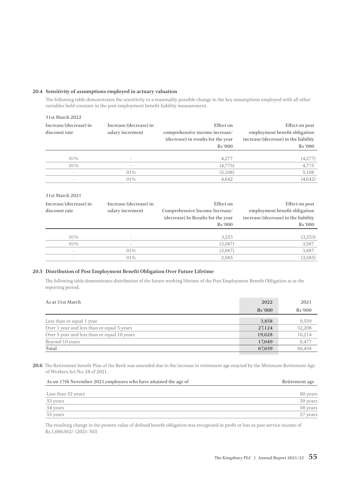## 20.4 Sensitivity of assumptions employed in actuary valuation

The following table demonstrates the sensitivity to a reasonably possible change in the key assumptions employed with all other variables held constant in the post employment benefit liability measurement.

| 31st March 2022        |                        |                                    |                                      |
|------------------------|------------------------|------------------------------------|--------------------------------------|
| Increase/(decrease) in | Increase/(decrease) in | Effect on                          | Effect on post                       |
| discount rate          | salary increment       | comprehensive income increase/     | employment benefit obligation        |
|                        |                        | (decrease) in results for the year | increase/(decrease) in the liability |
|                        |                        | <b>Rs</b> '000                     | <b>Rs</b> '000                       |
|                        |                        |                                    |                                      |
| 01%                    |                        | 4,277                              | (4,277)                              |
| 01%                    | $\sim$                 | (4,775)                            | 4,775                                |
| $\sim$                 | 01%                    | (5,108)                            | 5,108                                |
|                        | 01%                    | 4,642                              | (4,642)                              |

## 31st March 2021

| Increase/(decrease) in<br>discount rate | Increase/(decrease) in<br>salary increment | Effect on<br>Comprehensive Income Increase/<br>(decrease) In Results for the year<br>Rs '000 | Effect on post<br>employment benefit obligation<br>increase/(decrease) in the liability<br><b>Rs</b> '000 |
|-----------------------------------------|--------------------------------------------|----------------------------------------------------------------------------------------------|-----------------------------------------------------------------------------------------------------------|
| 01%                                     |                                            | 3,253                                                                                        | (3,253)                                                                                                   |
| 01%                                     | -                                          | (3,587)                                                                                      | 3,587                                                                                                     |
|                                         | 01%                                        | (3,887)                                                                                      | 3,887                                                                                                     |
|                                         | 01%                                        | 3,585                                                                                        | (3,585)                                                                                                   |

## 20.5 Distribution of Post Employment Benefit Obligation Over Future Lifetime

The following table demonstrates distribution of the future working lifetime of the Post Employment Benefit Obligation as at the reporting period.

| As at 31st March                            | 2022           | 2021           |
|---------------------------------------------|----------------|----------------|
|                                             | <b>Rs</b> '000 | <b>Rs</b> '000 |
| Less than or equal 1 year                   | 3,858          | 9,559          |
| Over 1 year and less than or equal 5 years  | 27,124         | 32,208         |
| Over 5 year and less than or equal 10 years | 19,628         | 16,214         |
| Beyond 10 years                             | 17,049         | 8,477          |
| Total                                       | 67,659         | 66,458         |

20.6 The Retirement benefit Plan of the Bank was amended due to the increase in retirement age enacted by the Minimum Retirement Age of Workers Act No: 28 of 2021.

| As on 17th November 2021, employees who have attained the age of | Retirement age |
|------------------------------------------------------------------|----------------|
| Less than 52 years                                               | 60 years       |
| 53 years                                                         | 59 years       |
| 54 years                                                         | 58 years       |
| 55 years                                                         | 57 years       |

The resulting change in the present value of defined benefit obligation was recognised in profit or loss as past service income of Rs.1,660,562/- (2021: Nil)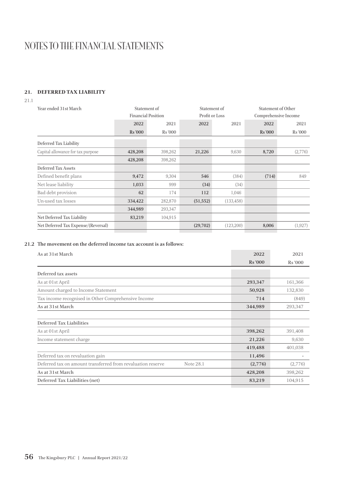## **21. DEFERRED TAX LIABILITY**

21.1

| Year ended 31st March               |                | Statement of<br><b>Financial Position</b> |           | Statement of<br>Profit or Loss |                | <b>Statement of Other</b><br>Comprehensive Income |
|-------------------------------------|----------------|-------------------------------------------|-----------|--------------------------------|----------------|---------------------------------------------------|
|                                     | 2022           | 2021                                      | 2022      | 2021                           | 2022           | 2021                                              |
|                                     | <b>Rs</b> '000 | <b>Rs</b> '000                            |           |                                | <b>Rs</b> '000 | <b>Rs</b> '000                                    |
| Deferred Tax Liability              |                |                                           |           |                                |                |                                                   |
| Capital allowance for tax purpose   | 428,208        | 398,262                                   | 21,226    | 9,630                          | 8,720          | (2,776)                                           |
|                                     | 428,208        | 398,262                                   |           |                                |                |                                                   |
| Deferred Tax Assets                 |                |                                           |           |                                |                |                                                   |
| Defined benefit plans               | 9,472          | 9,304                                     | 546       | (384)                          | (714)          | 849                                               |
| Net lease liability                 | 1,033          | 999                                       | (34)      | (34)                           |                |                                                   |
| Bad debt provision                  | 62             | 174                                       | 112       | 1,046                          |                |                                                   |
| Un-used tax losses                  | 334,422        | 282,870                                   | (51, 552) | (133, 458)                     |                |                                                   |
|                                     | 344,989        | 293,347                                   |           |                                |                |                                                   |
| Net Deferred Tax Liability          | 83,219         | 104,915                                   |           |                                |                |                                                   |
| Net Deferred Tax Expense/(Reversal) |                |                                           | (29,702)  | (123,200)                      | 8,006          | (1,927)                                           |

## 21.2 The movement on the deferred income tax account is as follows:

| As at 31st March                                                         | 2022           | 2021    |
|--------------------------------------------------------------------------|----------------|---------|
|                                                                          | <b>Rs</b> '000 | Rs '000 |
| Deferred tax assets                                                      |                |         |
| As at 01st April                                                         | 293,347        | 161,366 |
| Amount charged to Income Statement                                       | 50,928         | 132,830 |
| Tax income recognised in Other Comprehensive Income                      | 714            | (849)   |
| As at 31st March                                                         | 344,989        | 293,347 |
|                                                                          |                |         |
| Deferred Tax Liabilities                                                 |                |         |
| As at 01st April                                                         | 398,262        | 391,408 |
| Income statement charge                                                  | 21,226         | 9,630   |
|                                                                          | 419,488        | 401,038 |
| Deferred tax on revaluation gain                                         | 11,496         |         |
| Deferred tax on amount transferred from revaluation reserve<br>Note 28.1 | (2,776)        | (2,776) |
| As at 31st March                                                         | 428,208        | 398,262 |
| Deferred Tax Liabilities (net)                                           | 83,219         | 104,915 |
|                                                                          |                |         |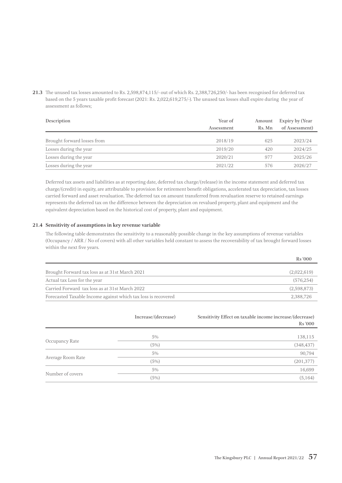21.3 The unused tax losses amounted to Rs. 2,598,874,115/- out of which Rs. 2,388,726,250/- has been recognised for deferred tax based on the 5 years taxable profit forecast (2021: Rs. 2,022,619,275/-). The unused tax losses shall expire during the year of assessment as follows;

| Description                 | Year of<br>Assessment | Amount<br>Rs. Mn | Expiry by (Year)<br>of Assessment) |  |
|-----------------------------|-----------------------|------------------|------------------------------------|--|
| Brought forward losses from | 2018/19               | 625              | 2023/24                            |  |
| Losses during the year      | 2019/20               | 420              | 2024/25                            |  |
| Losses during the year      | 2020/21               | 977              | 2025/26                            |  |
| Losses during the year      | 2021/22               | 576              | 2026/27                            |  |

Deferred tax assets and liabilities as at reporting date, deferred tax charge/(release) in the income statement and deferred tax charge/(credit) in equity, are attributable to provision for retirement benefit obligations, accelerated tax depreciation, tax losses carried forward and asset revaluation. The deferred tax on amount transferred from revaluation reserve to retained earnings represents the deferred tax on the difference between the depreciation on revalued property, plant and equipment and the equivalent depreciation based on the historical cost of property, plant and equipment.

## 21.4 Sensitivity of assumptions in key revenue variable

The following table demonstrates the sensitivity to a reasonably possible change in the key assumptions of revenue variables (Occupancy / ARR / No of covers) with all other variables held constant to assess the recoverability of tax brought forward losses within the next five years.

| Brought Forward tax loss as at 31st March 2021                | (2,022,619) |
|---------------------------------------------------------------|-------------|
| Actual tax Loss for the year                                  | (576, 254)  |
| Carried Forward tax loss as at 31st March 2022                | (2,598,873) |
| Forecasted Taxable Income against which tax loss is recovered | 2,388,726   |

|                   | Increase/(decrease) | Sensitivity Effect on taxable income increase/(decrease)<br><b>Rs</b> '000 |
|-------------------|---------------------|----------------------------------------------------------------------------|
|                   | $5\%$               | 138,115                                                                    |
| Occupancy Rate    | (5%)                | (348, 437)                                                                 |
|                   | $5\%$               | 90,794                                                                     |
| Average Room Rate | (5%)                | (201, 377)                                                                 |
| Number of covers  | $5\%$               | 16,699                                                                     |
|                   | (5%)                | (5, 164)                                                                   |

Rs '000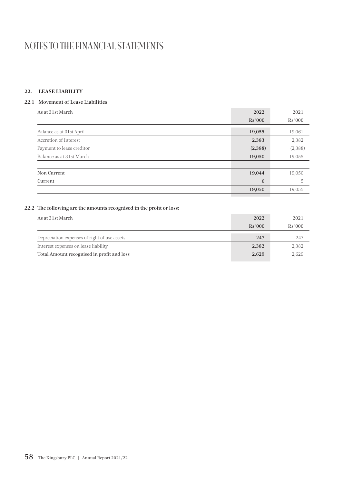## **22. LEASE LIABILITY**

## 22.1 Movement of Lease Liabilities

| As at 31st March          | 2022           | 2021           |
|---------------------------|----------------|----------------|
|                           | <b>Rs</b> '000 | <b>Rs</b> '000 |
| Balance as at 01st April  | 19,055         | 19,061         |
| Accretion of Interest     | 2,383          | 2,382          |
| Payment to lease creditor | (2,388)        | (2,388)        |
| Balance as at 31st March  | 19,050         | 19,055         |
|                           |                |                |
| <b>Non Current</b>        | 19,044         | 19,050         |
| Current                   | 6              | 5              |
|                           | 19,050         | 19,055         |
|                           |                |                |

## 22.2 The following are the amounts recognised in the profit or loss:

| As at 31st March                             | 2022           | 2021    |
|----------------------------------------------|----------------|---------|
|                                              | <b>Rs</b> '000 | Rs '000 |
| Depreciation expenses of right of use assets | 247            | 247     |
| Interest expenses on lease liability         | 2,382          | 2,382   |
| Total Amount recognised in profit and loss   | 2.629          | 2.629   |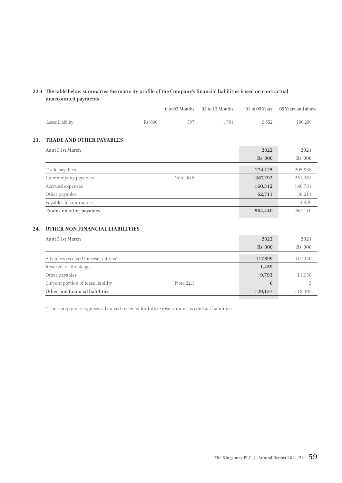## 22.4 The table below summaries the maturity profile of the Company's financial liabilities based on contractual unaccounted payments

|                                 |         | 0 to 03 Months | 03 to 12 Months | 01 to 05 Years | 05 Years and above |
|---------------------------------|---------|----------------|-----------------|----------------|--------------------|
| Lease Liability                 | Rs '000 | 597            | 1,791           | 9,552          | 100,296            |
| <b>TRADE AND OTHER PAYABLES</b> |         |                |                 |                |                    |
| As at 31st March                |         |                |                 | 2022           | 2021               |
|                                 |         |                |                 | <b>Rs</b> '000 | <b>Rs</b> '000     |
| Trade payables                  |         |                |                 | 274,125        | 205,838            |
| Intercompany payables           |         | Note 30.6      |                 | 367,292        | 251,361            |
| Accrued expenses                |         |                |                 | 160,312        | 146,761            |
| Other payables                  |         |                |                 | 62,711         | 58,211             |
| Payables to contractors         |         |                |                 |                | 4,939              |
| Trade and other payables        |         |                |                 | 864,440        | 667,110            |

## **24. OTHER NON FINANCIAL LIABILITIES**

| As at 31st March                    |           | 2022           | 2021           |
|-------------------------------------|-----------|----------------|----------------|
|                                     |           | <b>Rs</b> '000 | <b>Rs</b> '000 |
| Advances received for reservations* |           | 117,899        | 107,340        |
| Reserve for Breakages               |           | 1,459          |                |
| Other payables                      |           | 9,793          | 11,050         |
| Current portion of lease liability  | Note 22.1 | 6              | $\mathcal{D}$  |
| Other non financial liabilities     |           | 129,157        | 118,395        |
|                                     |           |                |                |

\* The Company recognises advanced received for future reservations as contract liabilities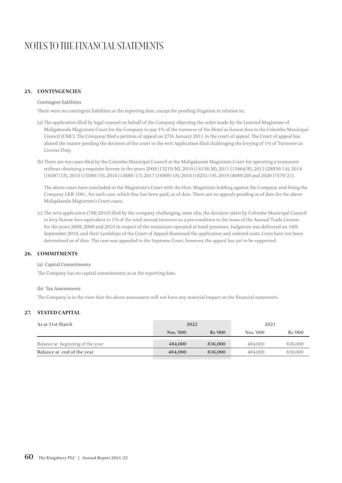## **25. CONTINGENCIES**

## Contingent liabilities

There were no contingent liabilities at the reporting date, except for pending litigation in relation to;

- (a) The application filed by legal counsel on behalf of the Company objecting the order made by the Learned Magistrate of Maligakanda Magistrate Court for the Company to pay 1% of the turnover of the Hotel as license fees to the Colombo Municipal Council (CMC). The Company filed a petition of appeal on 27th January 2011 in the court of appeal. The Court of appeal has abated the matter pending the decision of the court in the writ Application filed challenging the levying of 1% of Turnover as License Duty.
- (b) There are ten cases filed by the Colombo Municipal Council at the Maligakanda Magistrate Court for operating a restaurant without obtaining a requisite license in the years 2009 (13219/M), 2010 (14158/M), 2011 (15464/R), 2013 (28930/14), 2014 (16397/15), 2015 (15580/16), 2016 (15689/17), 2017 (16909/18), 2018 (16251/19), 2019 (4689/20) and 2020 (7579/21).

The above cases have concluded in the Magistrate's Court with the Hon. Magistrate holding against the Company and fining the Company LKR 100/-, for each case, which fine has been paid, as of date. There are no appeals pending as of date for the above Maligakanda Magistrate's Court cases.

(c) The writ application (766/2010) filed by the company challenging, inter alia, the decision taken by Colombo Municipal Council to levy license fees equivalent to 1% of the total annual turnover as a pre-condition to the issue of the Annual Trade License for the years 2008, 2009 and 2010 in respect of the restaurant operated at hotel premises. Judgment was delivered on 19th September 2019, and their Lordships of the Court of Appeal dismissed the application and ordered costs. Costs have not been determined as of date. The case was appealed to the Supreme Court, however, the appeal has yet to be supported.

## **26. COMMITMENTS**

### (a) Capital Commitments

The Company has no capital commitments as at the reporting date.

## (b) Tax Assessments

The Company is in the view that the above assessment will not have any material impact on the financial statements.

## **27. STATED CAPITAL**

| As at 31st March                 | 2022      |                | 2021      |         |
|----------------------------------|-----------|----------------|-----------|---------|
|                                  | Nos. '000 | <b>Rs</b> '000 | Nos. '000 | Rs '000 |
| Balance at beginning of the year | 484,000   | 836,000        | 484,000   | 836,000 |
| Balance at end of the year       | 484,000   | 836,000        | 484,000   | 836,000 |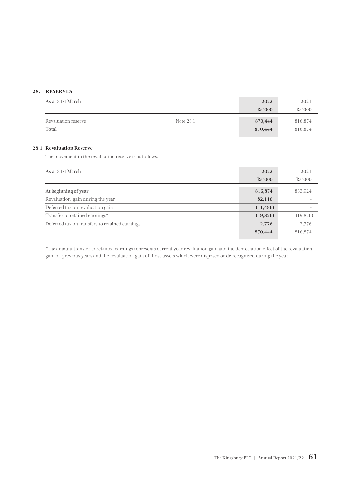## **28. RESERVES**

| As at 31st March    |           | 2022           | 2021           |
|---------------------|-----------|----------------|----------------|
|                     |           | <b>Rs</b> '000 | <b>Rs</b> '000 |
| Revaluation reserve | Note 28.1 | 870,444        | 816,874        |
| Total               |           | 870,444        | 816,874        |
|                     |           |                |                |

## 28.1 Revaluation Reserve

The movement in the revaluation reserve is as follows:

| As at 31st March                               | 2022           | 2021           |
|------------------------------------------------|----------------|----------------|
|                                                | <b>Rs</b> '000 | <b>Rs</b> '000 |
| At beginning of year                           | 816,874        | 833,924        |
| Revaluation gain during the year               | 82,116         |                |
| Deferred tax on revaluation gain               | (11, 496)      |                |
| Transfer to retained earnings*                 | (19, 826)      | (19,826)       |
| Deferred tax on transfers to retained earnings | 2,776          | 2,776          |
|                                                | 870,444        | 816,874        |

\*The amount transfer to retained earnings represents current year revaluation gain and the depreciation effect of the revaluation gain of previous years and the revaluation gain of those assets which were disposed or de-recognised during the year.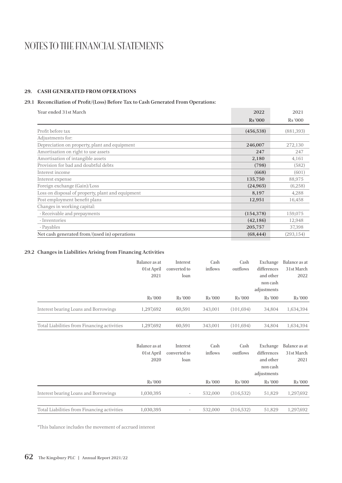## **29. CASH GENERATED FROM OPERATIONS**

## 29.1 Reconciliation of Profit/(Loss) Before Tax to Cash Generated From Operations:

| Year ended 31st March                             | 2022           | 2021       |
|---------------------------------------------------|----------------|------------|
|                                                   | <b>Rs</b> '000 | Rs '000    |
| Profit before tax                                 | (456, 538)     | (881,393)  |
| Adjustments for:                                  |                |            |
| Depreciation on property, plant and equipment     | 246,007        | 272,130    |
| Amortisation on right to use assets               | 247            | 247        |
| Amortisation of intangible assets                 | 2,180          | 4,161      |
| Provision for bad and doubtful debts              | (798)          | (582)      |
| Interest income                                   | (668)          | (601)      |
| Interest expense                                  | 135,750        | 88,975     |
| Foreign exchange (Gain)/Loss                      | (24, 965)      | (6,258)    |
| Loss on disposal of property, plant and equipment | 8,197          | 4,288      |
| Post employment benefit plans                     | 12,951         | 16,458     |
| Changes in working capital:                       |                |            |
| - Receivable and prepayments                      | (154, 378)     | 159,075    |
| - Inventories                                     | (42, 186)      | 12,948     |
| - Payables                                        | 205,757        | 37,398     |
| Net cash generated from/(used in) operations      | (68, 444)      | (293, 154) |

## 29.2 Changes in Liabilities Arising from Financing Activities

|                                             | Balance as at<br>01st April<br>2021 | Interest<br>converted to<br>loan        | Cash<br>inflows | Cash<br>outflows | Exchange<br>differences<br>and other<br>non cash<br>adjustments | Balance as at<br>31st March<br>2022 |
|---------------------------------------------|-------------------------------------|-----------------------------------------|-----------------|------------------|-----------------------------------------------------------------|-------------------------------------|
|                                             | <b>Rs</b> '000                      | <b>Rs</b> '000                          | <b>Rs</b> '000  | <b>Rs</b> '000   | <b>Rs</b> '000                                                  | <b>Rs</b> '000                      |
| Interest bearing Loans and Borrowings       | 1,297,692                           | 60,591                                  | 343,001         | (101, 694)       | 34,804                                                          | 1,634,394                           |
| Total Liabilities from Financing activities | 1,297,692                           | 60,591                                  | 343,001         | (101, 694)       | 34,804                                                          | 1,634,394                           |
|                                             | Balance as at<br>01st April<br>2020 | <b>Interest</b><br>converted to<br>loan | Cash<br>inflows | Cash<br>outflows | Exchange<br>differences<br>and other<br>non cash<br>adjustments | Balance as at<br>31st March<br>2021 |
|                                             | <b>Rs</b> '000                      |                                         | <b>Rs</b> '000  | <b>Rs</b> '000   | <b>Rs</b> '000                                                  | <b>Rs</b> '000                      |
| Interest bearing Loans and Borrowings       | 1,030,395                           | $\overline{\phantom{a}}$                | 532,000         | (316,532)        | 51,829                                                          | 1,297,692                           |
| Total Liabilities from Financing activities |                                     |                                         |                 |                  |                                                                 |                                     |

\*This balance includes the movement of accrued interest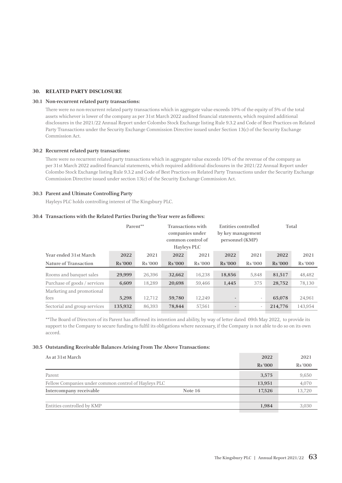### **30. RELATED PARTY DISCLOSURE**

#### 30.1 Non-recurrent related party transactions:

There were no non-recurrent related party transactions which in aggregate value exceeds 10% of the equity of 5% of the total assets whichever is lower of the company as per 31st March 2022 audited financial statements, which required additional disclosures in the 2021/22 Annual Report under Colombo Stock Exchange listing Rule 9.3.2 and Code of Best Practices on Related Party Transactions under the Security Exchange Commission Directive issued under Section 13(c) of the Security Exchange Commission Act.

#### 30.2 Recurrent related party transactions:

There were no recurrent related party transactions which in aggregate value exceeds 10% of the revenue of the company as per 31st March 2022 audited financial statements, which required additional disclosures in the 2021/22 Annual Report under Colombo Stock Exchange listing Rule 9.3.2 and Code of Best Practices on Related Party Transactions under the Security Exchange Commission Directive issued under section 13(c) of the Security Exchange Commission Act.

## 30.3 Parent and Ultimate Controlling Party

Hayleys PLC holds controlling interest of The Kingsbury PLC.

## 30.4 Transactions with the Related Parties During the Year were as follows:

|                              | Parent**       |                |                | <b>Transactions with</b><br>companies under<br>common control of<br>Hayleys PLC | Entities controlled      | by key management<br>personnel (KMP) | Total          |         |
|------------------------------|----------------|----------------|----------------|---------------------------------------------------------------------------------|--------------------------|--------------------------------------|----------------|---------|
| Year ended 31st March        | 2022           | 2021           | 2022           | 2021                                                                            | 2022                     | 2021                                 | 2022           | 2021    |
| Nature of Transaction        | <b>Rs</b> '000 | <b>Rs</b> '000 | <b>Rs</b> '000 | Rs'000                                                                          | <b>Rs</b> '000           | <b>Rs</b> '000                       | <b>Rs</b> '000 | Rs '000 |
| Rooms and banquet sales      | 29,999         | 26,396         | 32,662         | 16,238                                                                          | 18,856                   | 5,848                                | 81,517         | 48,482  |
| Purchase of goods / services | 6,609          | 18,289         | 20,698         | 59,466                                                                          | 1,445                    | 375                                  | 28,752         | 78,130  |
| Marketing and promotional    |                |                |                |                                                                                 |                          |                                      |                |         |
| fees                         | 5,298          | 12,712         | 59,780         | 12,249                                                                          | $\overline{\phantom{a}}$ | $\sim$                               | 65,078         | 24,961  |
| Sectorial and group services | 135,932        | 86,393         | 78.844         | 57,561                                                                          | ٠                        | $\overline{\phantom{a}}$             | 214,776        | 143.954 |

\*\*The Board of Directors of its Parent has affirmed its intention and ability, by way of letter dated 09th May 2022, to provide its support to the Company to secure funding to fulfil its obligations where necessary, if the Company is not able to do so on its own accord.

#### 30.5 Outstanding Receivable Balances Arising From The Above Transactions:

| As at 31st March                                     |         | 2022           | 2021           |
|------------------------------------------------------|---------|----------------|----------------|
|                                                      |         | <b>Rs</b> '000 | <b>Rs</b> '000 |
| Parent                                               |         | 3,575          | 9,650          |
| Fellow Companies under common control of Hayleys PLC |         | 13,951         | 4,070          |
| Intercompany receivable                              | Note 16 | 17,526         | 13,720         |
|                                                      |         |                |                |
| Entities controlled by KMP                           |         | 1,984          | 3.030          |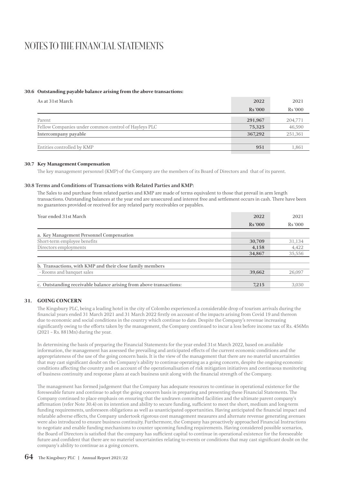### **30.6 Outstanding payable balance arising from the above transactions:**

| <b>Rs</b> '000                                                 | Rs '000 |
|----------------------------------------------------------------|---------|
|                                                                |         |
| 291,967<br>Parent                                              | 204,771 |
| Fellow Companies under common control of Hayleys PLC<br>75,325 | 46,590  |
| Intercompany payable<br>367,292                                | 251,361 |
|                                                                |         |
| Entities controlled by KMP<br>951                              | 1.861   |

## **30.7 Key Management Compensation**

The key management personnel (KMP) of the Company are the members of its Board of Directors and that of its parent.

## 30.8 Terms and Conditions of Transactions with Related Parties and KMP:

The Sales to and purchase from related parties and KMP are made of terms equivalent to those that prevail in arm length transactions. Outstanding balances at the year end are unsecured and interest free and settlement occurs in cash. There have been no guarantees provided or received for any related party receivables or payables.

| Year ended 31st March                                              | 2022           | 2021   |
|--------------------------------------------------------------------|----------------|--------|
|                                                                    | <b>Rs</b> '000 | Rs'000 |
| a. Key Management Personnel Compensation                           |                |        |
| Short-term employee benefits                                       | 30,709         | 31,134 |
| Directors employments                                              | 4,158          | 4,422  |
|                                                                    | 34,867         | 35,556 |
|                                                                    |                |        |
| b. Transactions, with KMP and their close family members           |                |        |
| - Rooms and banquet sales                                          | 39,662         | 26,097 |
|                                                                    |                |        |
| c. Outstanding receivable balance arising from above transactions: | 7,215          | 3.030  |
|                                                                    |                |        |

## **31. GOING CONCERN**

The Kingsbury PLC, being a leading hotel in the city of Colombo experienced a considerable drop of tourism arrivals during the financial years ended 31 March 2021 and 31 March 2022 firstly on account of the impacts arising from Covid 19 and thereon due to economic and social conditions in the country which continue to date. Despite the Company's revenue increasing significantly owing to the efforts taken by the management, the Company continued to incur a loss before income tax of Rs. 456Mn  $(2021 - Rs. 881Mn)$  during the year.

In determining the basis of preparing the Financial Statements for the year ended 31st March 2022, based on available information, the management has assessed the prevailing and anticipated effects of the current economic conditions and the appropriateness of the use of the going concern basis. It is the view of the management that there are no material uncertainties that may cast significant doubt on the Company's ability to continue operating as a going concern, despite the ongoing economic conditions affecting the country and on account of the operationalisation of risk mitigation initiatives and continuous monitoring of business continuity and response plans at each business unit along with the financial strength of the Company.

The management has formed judgement that the Company has adequate resources to continue in operational existence for the foreseeable future and continue to adopt the going concern basis in preparing and presenting these Financial Statements. The Company continued to place emphasis on ensuring that the undrawn committed facilities and the ultimate parent company's affirmation (refer Note 30.4) on its intention and ability to secure funding, sufficient to meet the short, medium and long-term funding requirements, unforeseen obligations as well as unanticipated opportunities. Having anticipated the financial impact and relatable adverse effects, the Company undertook rigorous cost management measures and alternate revenue generating avenues were also introduced to ensure business continuity. Furthermore, the Company has proactively approached Financial Instructions to negotiate and enable funding mechanisms to counter upcoming funding requirements. Having considered possible scenarios, the Board of Directors is satisfied that the company has sufficient capital to continue in operational existence for the foreseeable future and confident that there are no materiel uncertainties relating to events or conditions that may cast significant doubt on the company's ability to continue as a going concern.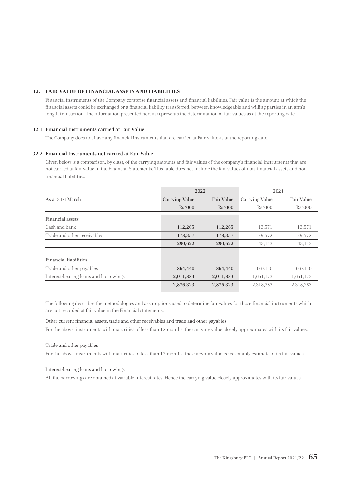## **32. FAIR VALUE OF FINANCIAL ASSETS AND LIABILITIES**

Financial instruments of the Company comprise financial assets and financial liabilities. Fair value is the amount at which the financial assets could be exchanged or a financial liability transferred, between knowledgeable and willing parties in an arm's length transaction. The information presented herein represents the determination of fair values as at the reporting date.

## 32.1 Financial Instruments carried at Fair Value

The Company does not have any financial instruments that are carried at Fair value as at the reporting date.

## 32.2 Financial Instruments not carried at Fair Value

Given below is a comparison, by class, of the carrying amounts and fair values of the company's financial instruments that are not carried at fair value in the Financial Statements. This table does not include the fair values of non–financial assets and non– financial liabilities.

|                                       | 2022                  |                   | 2021                  |                   |
|---------------------------------------|-----------------------|-------------------|-----------------------|-------------------|
| As at 31st March                      | <b>Carrying Value</b> | <b>Fair Value</b> | <b>Carrying Value</b> | <b>Fair Value</b> |
|                                       | <b>Rs</b> '000        | <b>Rs</b> '000    | Rs'000                | <b>Rs</b> '000    |
| <b>Financial assets</b>               |                       |                   |                       |                   |
| Cash and bank                         | 112,265               | 112,265           | 13,571                | 13,571            |
| Trade and other receivables           | 178,357               | 178,357           | 29,572                | 29,572            |
|                                       | 290,622               | 290,622           | 43,143                | 43,143            |
|                                       |                       |                   |                       |                   |
| <b>Financial liabilities</b>          |                       |                   |                       |                   |
| Trade and other payables              | 864,440               | 864,440           | 667,110               | 667,110           |
| Interest-bearing loans and borrowings | 2,011,883             | 2,011,883         | 1,651,173             | 1,651,173         |
|                                       | 2,876,323             | 2,876,323         | 2,318,283             | 2,318,283         |

The following describes the methodologies and assumptions used to determine fair values for those financial instruments which are not recorded at fair value in the Financial statements:

## Other current financial assets, trade and other receivables and trade and other payables

For the above, instruments with maturities of less than 12 months, the carrying value closely approximates with its fair values.

### Trade and other payables

For the above, instruments with maturities of less than 12 months, the carrying value is reasonably estimate of its fair values.

### Interest-bearing loans and borrowings

All the borrowings are obtained at variable interest rates. Hence the carrying value closely approximates with its fair values.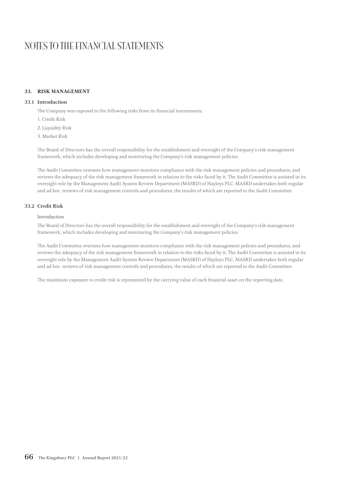## **33. RISK MANAGEMENT**

#### 33.1 Introduction

The Company was exposed to the following risks from its financial instruments;

- 1. Credit Risk
- 2. Liquidity Risk
- 3. Market Risk

The Board of Directors has the overall responsibility for the establishment and oversight of the Company's risk management framework, which includes developing and monitoring the Company's risk management policies.

The Audit Committee oversees how management monitors compliance with the risk management policies and procedures, and reviews the adequacy of the risk management framework in relation to the risks faced by it. The Audit Committee is assisted in its oversight role by the Management Audit System Review Department (MASRD) of Hayleys PLC. MASRD undertakes both regular and ad hoc reviews of risk management controls and procedures, the results of which are reported to the Audit Committee.

#### 33.2 Credit Risk

#### Introduction

The Board of Directors has the overall responsibility for the establishment and oversight of the Company's risk management framework, which includes developing and monitoring the Company's risk management policies.

The Audit Committee oversees how management monitors compliance with the risk management policies and procedures, and reviews the adequacy of the risk management framework in relation to the risks faced by it. The Audit Committee is assisted in its oversight role by the Management Audit System Review Department (MASRD) of Hayleys PLC. MASRD undertakes both regular and ad hoc reviews of risk management controls and procedures, the results of which are reported to the Audit Committee.

The maximum exposure to credit risk is represented by the carrying value of each financial asset on the reporting date.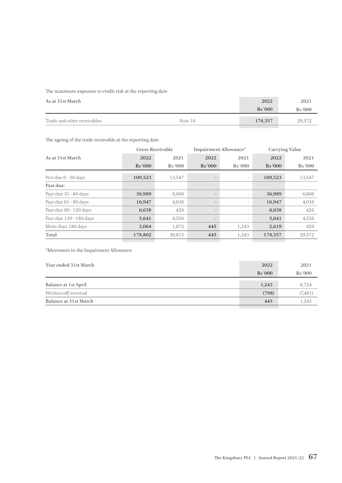## The maximum exposure to credit risk at the reporting date

| As at 31st March            |         | 2022           | 2021    |
|-----------------------------|---------|----------------|---------|
|                             |         | <b>Rs</b> '000 | Rs '000 |
| Trade and other receivables | Note 16 | 178,357        | 29,572  |

## The ageing of the trade receivable at the reporting date

|                         | <b>Gross Receivable</b> | Impairment Allowance* |                | <b>Carrying Value</b> |                |                |
|-------------------------|-------------------------|-----------------------|----------------|-----------------------|----------------|----------------|
| As at 31st March        | 2022                    | 2021                  | 2022           | 2021                  | 2022           | 2021           |
|                         | <b>Rs</b> '000          | <b>Rs</b> '000        | <b>Rs</b> '000 | <b>Rs</b> '000        | <b>Rs</b> '000 | <b>Rs</b> '000 |
| Not due 0 - 30 days     | 109,523                 | 13,547                |                | $\sim$                | 109,523        | 13,547         |
| Past due:               |                         |                       |                |                       |                |                |
| Past due 31 - 60 days   | 36,989                  | 6,606                 |                | ٠                     | 36,989         | 6,606          |
| Past due 61 - 90 days   | 16,947                  | 4,038                 |                |                       | 16,947         | 4,038          |
| Past due 90 - 120 days  | 6,638                   | 426                   |                |                       | 6,638          | 426            |
| Past due 120 - 180 days | 5,641                   | 4,526                 |                | $\sim$                | 5,641          | 4,526          |
| More than 180 days      | 3,064                   | 1,672                 | 445            | 1,243                 | 2,619          | 429            |
| Total                   | 178,802                 | 30,815                | 445            | 1,243                 | 178,357        | 29,572         |
|                         |                         |                       |                |                       |                |                |

## \*Movement in the Impairment Allowance

| Year ended 31st March | 2022           | 2021           |
|-----------------------|----------------|----------------|
|                       | <b>Rs</b> '000 | <b>Rs</b> '000 |
| Balance at 1st April  | 1,243          | 8,724          |
| Written-off/reversal  | (798)          | (7, 481)       |
| Balance at 31st March | 445            | 1,243          |
|                       |                |                |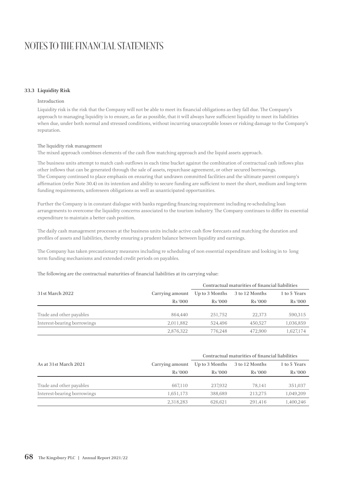### 33.3 Liquidity Risk

#### Introduction

Liquidity risk is the risk that the Company will not be able to meet its financial obligations as they fall due. The Company's approach to managing liquidity is to ensure, as far as possible, that it will always have sufficient liquidity to meet its liabilities when due, under both normal and stressed conditions, without incurring unacceptable losses or risking damage to the Company's reputation.

#### The liquidity risk management

The mixed approach combines elements of the cash flow matching approach and the liquid assets approach.

The business units attempt to match cash outflows in each time bucket against the combination of contractual cash inflows plus other inflows that can be generated through the sale of assets, repurchase agreement, or other secured borrowings. The Company continued to place emphasis on ensuring that undrawn committed facilities and the ultimate parent company's affirmation (refer Note 30.4) on its intention and ability to secure funding are sufficient to meet the short, medium and long-term funding requirements, unforeseen obligations as well as unanticipated opportunities.

Further the Company is in constant dialogue with banks regarding financing requirement including re-scheduling loan arrangements to overcome the liquidity concerns associated to the tourism industry. The Company continues to differ its essential expenditure to maintain a better cash position.

The daily cash management processes at the business units include active cash flow forecasts and matching the duration and profiles of assets and liabilities, thereby ensuring a prudent balance between liquidity and earnings.

The Company has taken precautionary measures including re scheduling of non essential expenditure and looking in to long term funding mechanisms and extended credit periods on payables.

#### The following are the contractual maturities of financial liabilities at its carrying value:

|                             |                 | Contractual maturities of financial liabilities |                |              |  |
|-----------------------------|-----------------|-------------------------------------------------|----------------|--------------|--|
| 31st March 2022             | Carrying amount | Up to 3 Months                                  | 3 to 12 Months | 1 to 5 Years |  |
|                             | <b>Rs</b> '000  | Rs'000                                          | Rs'000         | Rs '000      |  |
| Trade and other payables    | 864,440         | 251,752                                         | 22,373         | 590,315      |  |
| Interest-bearing borrowings | 2,011,882       | 524,496                                         | 450,527        | 1,036,859    |  |
|                             | 2,876,322       | 776,248                                         | 472,900        | 1,627,174    |  |

|                             |                 | Contractual maturities of financial liabilities |                |                |
|-----------------------------|-----------------|-------------------------------------------------|----------------|----------------|
| As at 31st March 2021       | Carrying amount | Up to 3 Months                                  | 3 to 12 Months | 1 to 5 Years   |
|                             | <b>Rs</b> '000  | <b>Rs</b> '000                                  | <b>Rs</b> '000 | <b>Rs</b> '000 |
|                             |                 |                                                 |                |                |
| Trade and other payables    | 667,110         | 237,932                                         | 78.141         | 351,037        |
| Interest-bearing borrowings | 1,651,173       | 388,689                                         | 213.275        | 1,049,209      |
|                             | 2,318,283       | 626,621                                         | 291,416        | 1,400,246      |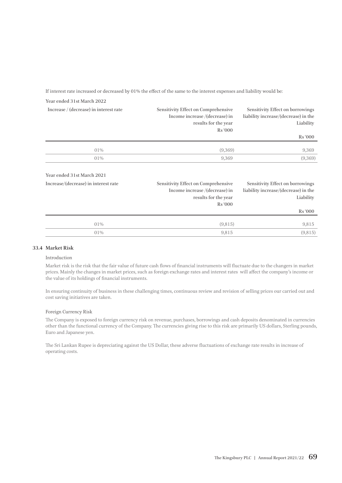If interest rate increased or decreased by 01% the effect of the same to the interest expenses and liability would be:

| Year ended 31st March 2022             |                                                                                                                 |                                                                                                         |
|----------------------------------------|-----------------------------------------------------------------------------------------------------------------|---------------------------------------------------------------------------------------------------------|
| Increase / (decrease) in interest rate | Sensitivity Effect on Comprehensive<br>Income increase /(decrease) in<br>results for the year<br><b>Rs</b> '000 | Sensitivity Effect on borrowings<br>liability increase/(decrease) in the<br>Liability<br><b>Rs</b> '000 |
|                                        |                                                                                                                 |                                                                                                         |
| 01%                                    | (9,369)                                                                                                         | 9,369                                                                                                   |
| 01%                                    | 9,369                                                                                                           | (9,369)                                                                                                 |
| Year ended 31st March 2021             |                                                                                                                 |                                                                                                         |
| Increase/(decrease) in interest rate   | Sensitivity Effect on Comprehensive<br>Income increase /(decrease) in<br>results for the year<br><b>Rs</b> '000 | Sensitivity Effect on borrowings<br>liability increase/(decrease) in the<br>Liability                   |
|                                        |                                                                                                                 | <b>Rs</b> '000                                                                                          |
| 01%                                    | (9,815)                                                                                                         | 9,815                                                                                                   |
| 01%                                    | 9,815                                                                                                           | (9,815)                                                                                                 |
|                                        |                                                                                                                 |                                                                                                         |

## 33.4 Market Risk

## Introduction

Market risk is the risk that the fair value of future cash flows of financial instruments will fluctuate due to the changers in market prices. Mainly the changes in market prices, such as foreign exchange rates and interest rates will affect the company's income or the value of its holdings of financial instruments.

In ensuring continuity of business in these challenging times, continuous review and revision of selling prices our carried out and cost saving initiatives are taken.

#### Foreign Currency Risk

The Company is exposed to foreign currency risk on revenue, purchases, borrowings and cash deposits denominated in currencies other than the functional currency of the Company. The currencies giving rise to this risk are primarily US dollars, Sterling pounds, Euro and Japanese yen.

The Sri Lankan Rupee is depreciating against the US Dollar, these adverse fluctuations of exchange rate results in increase of operating costs.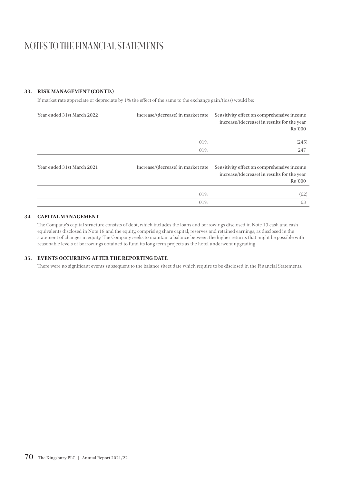## **33. RISK MANAGEMENT (CONTD.)**

If market rate appreciate or depreciate by 1% the effect of the same to the exchange gain/(loss) would be:

| Year ended 31st March 2022 | Increase/(decrease) in market rate | Sensitivity effect on comprehensive income<br>increase/(decrease) in results for the year<br><b>Rs</b> '000 |
|----------------------------|------------------------------------|-------------------------------------------------------------------------------------------------------------|
|                            | 01%                                | (245)                                                                                                       |
|                            | 01%                                | 247                                                                                                         |
| Year ended 31st March 2021 | Increase/(decrease) in market rate | Sensitivity effect on comprehensive income<br>increase/(decrease) in results for the year<br><b>Rs</b> '000 |
|                            | 01%                                | (62)                                                                                                        |
|                            | 01%                                | 63                                                                                                          |

## **34. CAPITAL MANAGEMENT**

The Company's capital structure consists of debt, which includes the loans and borrowings disclosed in Note 19 cash and cash equivalents disclosed in Note 18 and the equity, comprising share capital, reserves and retained earnings, as disclosed in the statement of changes in equity. The Company seeks to maintain a balance between the higher returns that might be possible with reasonable levels of borrowings obtained to fund its long term projects as the hotel underwent upgrading.

## **35. EVENTS OCCURRING AFTER THE REPORTING DATE**

There were no significant events subsequent to the balance sheet date which require to be disclosed in the Financial Statements.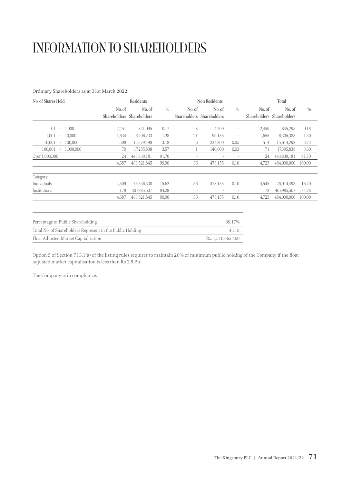# INFORMATION TO SHAREHOLDERS

### Ordinary Shareholders as at 31st March 2022

| No. of Shares Held                            |                                     | Residents   |       |        | Non Residents                       |                          |                                     |             |        |
|-----------------------------------------------|-------------------------------------|-------------|-------|--------|-------------------------------------|--------------------------|-------------------------------------|-------------|--------|
|                                               | No. of<br>Shareholders Shareholders | No. of      | 0/0   | No. of | No. of<br>Shareholders Shareholders | 0/0                      | No. of<br>Shareholders Shareholders | No. of      | 0/0    |
| 01<br>$-1,000$                                | 2,451                               | 841,095     | 0.17  | 8      | 4,200                               | $\overline{\phantom{a}}$ | 2,459                               | 845,295     | 0.18   |
| 1,001<br>10,000<br>$\overline{\phantom{a}}$   | 1,634                               | 6,206,233   | 1.28  | 21     | 99,155                              | $\overline{\phantom{a}}$ | 1,655                               | 6,305,388   | 1.30   |
| 10,001<br>100,000<br>$\overline{\phantom{a}}$ | 508                                 | 15,379,498  | 3.18  | 6      | 234,800                             | 0.05                     | 514                                 | 15,614,298  | 3.23   |
| $100,001 - 1,000,000$                         | 70                                  | 17,255,838  | 3.57  |        | 140,000                             | 0.03                     | 71                                  | 17,395,838  | 3.60   |
| Over 1,000,000                                | 24                                  | 443,839,181 | 91.70 | ٠      | $\overline{\phantom{a}}$            | $\overline{\phantom{a}}$ | 24                                  | 443,839,181 | 91.70  |
|                                               | 4,687                               | 483,521,845 | 99.90 | 36     | 478,155                             | 0.10                     | 4,723                               | 484,000,000 | 100.00 |
| Category                                      |                                     |             |       |        |                                     |                          |                                     |             |        |
| Individuals                                   | 4,509                               | 75,536,338  | 15.62 | 36     | 478,155                             | 0.10                     | 4,545                               | 76,014,493  | 15.70  |
| Institutions                                  | 178                                 | 407,985,507 | 84.28 | ٠      |                                     | $\overline{\phantom{a}}$ | 178                                 | 407,985,507 | 84.28  |
|                                               | 4,687                               | 483,521,845 | 99.90 | 36     | 478,155                             | 0.10                     | 4,723                               | 484,000,000 | 100.00 |
|                                               |                                     |             |       |        |                                     |                          |                                     |             |        |

| Percentage of Public Shareholding                         | 39.17%            |
|-----------------------------------------------------------|-------------------|
| Total No. of Shareholders Represent in the Public Holding | 4.719             |
| Float Adjusted Market Capitalisation                      | Rs. 1,516,662,400 |

Option 5 of Section 7.13.1(a) of the listing rules requires to maintain 20% of minimum public holding of the Company if the float adjusted market capitalisation is less than Rs 2.5 Bn.

The Company is in compliance.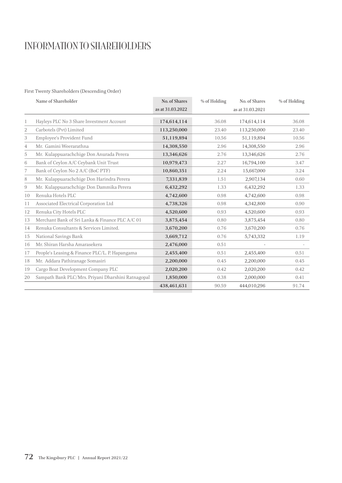## INFORMATION TO SHAREHOLDERS

### First Twenty Shareholders (Descending Order)

|    | Name of Shareholder                                | <b>No. of Shares</b> | % of Holding | No. of Shares    | % of Holding |
|----|----------------------------------------------------|----------------------|--------------|------------------|--------------|
|    |                                                    | as at 31.03.2022     |              | as at 31.03.2021 |              |
| 1  | Hayleys PLC No 3 Share Investment Account          | 174,614,114          | 36.08        | 174,614,114      | 36.08        |
| 2  | Carbotels (Pvt) Limited                            | 113,250,000          | 23.40        | 113,250,000      | 23.40        |
| 3  | Employee's Provident Fund                          | 51,119,894           | 10.56        | 51,119,894       | 10.56        |
| 4  | Mr. Gamini Weerarathna                             | 14,308,550           | 2.96         | 14,308,550       | 2.96         |
| 5  | Mr. Kulappuarachchige Don Anurada Perera           | 13,346,626           | 2.76         | 13,346,626       | 2.76         |
| 6  | Bank of Ceylon A/C Ceybank Unit Trust              | 10,979,473           | 2.27         | 16,794,100       | 3.47         |
| 7  | Bank of Ceylon No 2 A/C (BoC PTF)                  | 10,860,351           | 2.24         | 15,667,000       | 3.24         |
| 8  | Mr. Kulappuarachchige Don Harindra Perera          | 7,331,839            | 1.51         | 2,907,134        | 0.60         |
| 9  | Mr. Kulappuarachchige Don Dammika Perera           | 6,432,292            | 1.33         | 6,432,292        | 1.33         |
| 10 | Renuka Hotels PLC                                  | 4,742,600            | 0.98         | 4,742,600        | 0.98         |
| 11 | Associated Electrical Corporation Ltd              | 4,738,326            | 0.98         | 4,342,800        | 0.90         |
| 12 | Renuka City Hotels PLC                             | 4,520,600            | 0.93         | 4,520,600        | 0.93         |
| 13 | Merchant Bank of Sri Lanka & Finance PLC A/C 01    | 3,875,454            | 0.80         | 3,875,454        | 0.80         |
| 14 | Renuka Consultants & Services Limited.             | 3,670,200            | 0.76         | 3,670,200        | 0.76         |
| 15 | National Savings Bank                              | 3,669,712            | 0.76         | 5,743,332        | 1.19         |
| 16 | Mr. Shiran Harsha Amarasekera                      | 2,476,000            | 0.51         |                  |              |
| 17 | People's Leasing & Finance PLC/L. P. Hapangama     | 2,455,400            | 0.51         | 2,455,400        | 0.51         |
| 18 | Mr. Addara Pathiranage Somasiri                    | 2,200,000            | 0.45         | 2,200,000        | 0.45         |
| 19 | Cargo Boat Development Company PLC                 | 2,020,200            | 0.42         | 2,020,200        | 0.42         |
| 20 | Sampath Bank PLC/Mrs. Priyani Dharshini Ratnagopal | 1,850,000            | 0.38         | 2,000,000        | 0.41         |
|    |                                                    | 438,461,631          | 90.59        | 444,010,296      | 91.74        |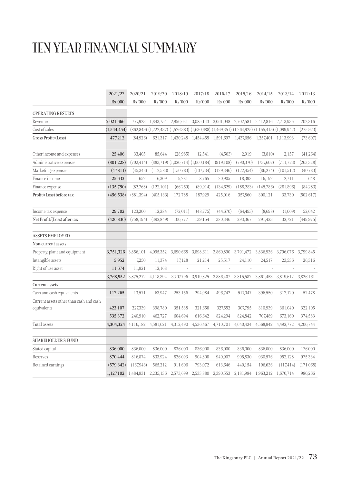# TEN YEAR FINANCIAL SUMMARY

|                                                        | 2021/22             | 2020/21         | 2019/20            | 2018/19                                                                                       | 2017/18             | 2016/17                  | 2015/16              | 2014/15                       | 2013/14                                                               | 2012/13         |
|--------------------------------------------------------|---------------------|-----------------|--------------------|-----------------------------------------------------------------------------------------------|---------------------|--------------------------|----------------------|-------------------------------|-----------------------------------------------------------------------|-----------------|
|                                                        | <b>Rs</b> '000      | Rs '000         | <b>Rs</b> '000     | Rs '000                                                                                       | Rs '000             | <b>Rs</b> '000           | <b>Rs</b> '000       | <b>Rs</b> '000                | <b>Rs</b> '000                                                        | Rs '000         |
| <b>OPERATING RESULTS</b>                               |                     |                 |                    |                                                                                               |                     |                          |                      |                               |                                                                       |                 |
| Revenue                                                | 2,021,666           | 777,923         |                    | 1,843,754 2,956,631                                                                           |                     | 3,085,143 3,061,048      |                      | 2,702,581 2,412,816 2,213,935 |                                                                       | 202,316         |
| Cost of sales                                          | (1,544,454)         |                 |                    | (862,849) (1,222,437) (1,526,383) (1,630,688) (1,469,351) (1,264,925) (1,155,415) (1,099,942) |                     |                          |                      |                               |                                                                       | (275, 923)      |
| Gross Profit/(Loss)                                    | 477,212             | (84,926)        |                    | 621,317 1,430,248                                                                             | 1,454,455 1,591,697 |                          | 1,437,656            | 1,257,401                     | 1,113,993                                                             | (73,607)        |
|                                                        |                     |                 |                    |                                                                                               |                     |                          |                      |                               |                                                                       |                 |
| Other income and expenses                              | 25,406              | 33,405          | 85,644             | (28, 985)                                                                                     | 12,541              | (4,503)                  | 2,919                | (3,810)                       | 2,157                                                                 | (41,264)        |
| Administrative expenses                                | (801,228)           | (702, 414)      |                    | $(883,719)$ $(1,020,714)$ $(1,060,184)$                                                       |                     | (919, 108)               | (790,370)            | (737,602)                     | (711, 723)                                                            | (263,328)       |
| Marketing expenses<br>Finance income                   | (47, 811)<br>25,633 | (45,343)<br>652 | (112,583)<br>6,309 | (150, 783)<br>9,281                                                                           | (137,734)<br>8,765  | (129, 346)<br>20,905     | (122, 454)<br>18,393 | (86,274)<br>16,192            | (101,512)<br>12,711                                                   | (40,783)<br>648 |
| Finance expense                                        | (135,750)           | (82, 768)       | (122, 101)         | (66, 259)                                                                                     | (89, 914)           | (134, 629)               | (188, 283)           | (145,786)                     | (281, 896)                                                            | (84, 283)       |
| Profit/(Loss) before tax                               | (456, 538)          | (881, 394)      | (405, 133)         | 172,788                                                                                       | 187,929             | 425,016                  | 357,860              | 300,121                       | 33,730                                                                | (502, 617)      |
|                                                        |                     |                 |                    |                                                                                               |                     |                          |                      |                               |                                                                       |                 |
| Income tax expense                                     | 29,702              | 123,200         | 12,284             | (72,011)                                                                                      | (48, 775)           | (44,670)                 | (64, 493)            | (8,698)                       | (1,009)                                                               | 52,642          |
| Net Profit/(Loss) after tax                            | (426, 836)          | (758, 194)      | (392, 849)         | 100,777                                                                                       | 139,154             | 380,346                  | 293,367              | 291,423                       | 32,721                                                                | (449, 975)      |
|                                                        |                     |                 |                    |                                                                                               |                     |                          |                      |                               |                                                                       |                 |
| <b>ASSETS EMPLOYED</b>                                 |                     |                 |                    |                                                                                               |                     |                          |                      |                               |                                                                       |                 |
| Non-current assets                                     |                     |                 |                    |                                                                                               |                     |                          |                      |                               |                                                                       |                 |
| Property, plant and equipment                          | 3,751,326           | 3,856,101       |                    | 4,095,352 3,690,668                                                                           | 3,898,611           | 3,860,890                | 3,791,472 3,836,936  |                               | 3,796,076 3,799,845                                                   |                 |
| Intangible assets                                      | 5,952               | 7,250           | 11,374             | 17,128                                                                                        | 21,214              | 25,517                   | 24,110               | 24,517                        | 23,536                                                                | 26,316          |
| Right of use asset                                     | 11,674              | 11,921          | 12,168             |                                                                                               | ÷,                  | $\overline{\phantom{a}}$ | i,                   |                               | i,                                                                    |                 |
|                                                        | 3,768,952 3,875,272 |                 | 4,118,894          |                                                                                               |                     |                          |                      |                               | 3,707,796 3,919,825 3,886,407 3,815,582 3,861,453 3,819,612 3,826,161 |                 |
| Current assets                                         |                     |                 |                    |                                                                                               |                     |                          |                      |                               |                                                                       |                 |
| Cash and cash equivalents                              | 112,265             | 13,571          | 63,947             | 253,156                                                                                       | 294,984             | 496,742                  | 517,047              | 396,550                       | 312,120                                                               | 52,478          |
| Current assets other than cash and cash<br>equivalents | 423,107             | 227,339         | 398,780            | 351,538                                                                                       | 321,658             | 327,552                  | 307,795              | 310,939                       | 361,040                                                               | 322,105         |
|                                                        | 535,372             | 240,910         | 462,727            | 604,694                                                                                       | 616,642             | 824,294                  | 824,842              | 707,489                       | 673,160                                                               | 374,583         |
| Total assets                                           | 4,304,324           | 4,116,182       | 4,581,621          | 4,312,490                                                                                     | 4,536,467           | 4,710,701                | 4,640,424            | 4,568,942                     | 4,492,772                                                             | 4,200,744       |
|                                                        |                     |                 |                    |                                                                                               |                     |                          |                      |                               |                                                                       |                 |
| <b>SHAREHOLDER'S FUND</b>                              |                     |                 |                    |                                                                                               |                     |                          |                      |                               |                                                                       |                 |
| Stated capital                                         | 836,000             | 836,000         | 836,000            | 836,000                                                                                       | 836,000             | 836,000                  | 836,000              | 836,000                       | 836,000                                                               | 176,000         |
| Reserves                                               | 870,444             | 816,874         | 833,924            | 826,093                                                                                       | 904,808             | 940,907                  | 905,830              | 930,576                       | 952,128                                                               | 975,334         |
| Retained earnings                                      | (579, 342)          | (167,943)       | 565,212            | 911,606                                                                                       | 793,072             | 613,646                  | 440,154              | 196,636                       | (117, 414)                                                            | (171,068)       |
|                                                        | 1,127,102           | 1,484,931       | 2,235,136          | 2,573,699                                                                                     | 2,533,880           | 2,390,553                | 2,181,984            | 1,963,212                     | 1,670,714                                                             | 980,266         |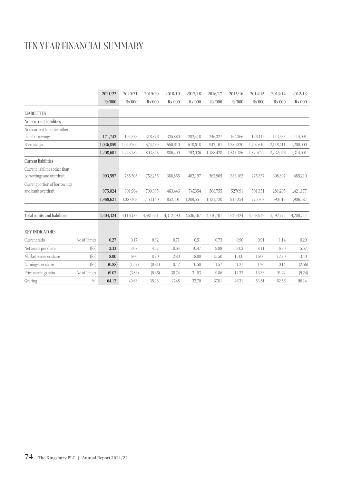## TEN YEAR FINANCIAL SUMMARY

|                                |             | 2021/22        | 2020/21        | 2019/20        | 2018/19        | 2017/18        | 2016/17        | 2015/16        | 2014/15        | 2013/14        | 2012/13        |
|--------------------------------|-------------|----------------|----------------|----------------|----------------|----------------|----------------|----------------|----------------|----------------|----------------|
|                                |             | <b>Rs</b> '000 | <b>Rs</b> '000 | <b>Rs</b> '000 | <b>Rs</b> '000 | <b>Rs</b> '000 | <b>Rs</b> '000 | <b>Rs</b> '000 | <b>Rs</b> '000 | <b>Rs</b> '000 | <b>Rs</b> '000 |
| <b>LIABILITIES</b>             |             |                |                |                |                |                |                |                |                |                |                |
| Non-current liabilities        |             |                |                |                |                |                |                |                |                |                |                |
| Non-current liabilities other  |             |                |                |                |                |                |                |                |                |                |                |
| than borrowings                |             | 171,742        | 194,573        | 318,876        | 335,880        | 282,418        | 246,327        | 164,366        | 126,412        | 113,635        | 114,091        |
| <b>Borrowings</b>              |             | 1,036,859      | 1,049,209      | 574,469        | 550,610        | 510,618        | 942,101        | 1,380,820      | 1,702,610      | 2,118,411      | 1,200,000      |
|                                |             | 1,208,601      | 1,243,782      | 893,345        | 886,490        | 793,036        | 1,188,428      | 1,545,186      | 1,829,022      | 2,232,046      | 1,314,091      |
| <b>Current liabilities</b>     |             |                |                |                |                |                |                |                |                |                |                |
| Current liabilities other than |             |                |                |                |                |                |                |                |                |                |                |
| borrowings and overdraft       |             | 993,597        | 785,505        | 752,255        | 388,855        | 462,197        | 562,965        | 386,163        | 275,357        | 308,807        | 485,210        |
| Current portion of borrowings  |             |                |                |                |                |                |                |                |                |                |                |
| and bank overdraft             |             | 975,024        | 601,964        | 700,885        | 463,446        | 747,354        | 568,755        | 527,091        | 501,351        | 281,205        | 1,421,177      |
|                                |             | 1,968,621      | 1,387,469      | 1,453,140      | 852,301        | 1,209,551      | 1,131,720      | 913,254        | 776,708        | 590,012        | 1,906,387      |
|                                |             |                |                |                |                |                |                |                |                |                |                |
| Total equity and liabilities   |             | 4,304,324      | 4,116,182      | 4,581,621      | 4,312,490      | 4,536,467      | 4,710,701      | 4,640,424      | 4,568,942      | 4,492,772      | 4,200,744      |
| <b>KEY INDICATORS</b>          |             |                |                |                |                |                |                |                |                |                |                |
| Current ratio                  | No of Times | 0.27           | 0.17           | 0.32           | 0.71           | 0.51           | 0.73           | 0.90           | 0.91           | 1.14           | 0.20           |
| Net assets per share           | (Rs)        | 2.33           | 3.07           | 4.62           | 10.64          | 10.47          | 9.88           | 9.02           | 8.11           | 6.90           | 5.57           |
| Market price per share         | (Rs)        | 8.00           | 6.00           | 8.70           | 12.80          | 18.00          | 15.50          | 15.00          | 16.00          | 12.80          | 13.40          |
| Earnings per share             | (Rs)        | (0.88)         | (1.57)         | (0.81)         | 0.42           | 0.58           | 1.57           | 1.21           | 1.20           | 0.14           | (2.56)         |
| Price earnings ratio           | No of Times | (9.07)         | (3.83)         | (5.36)         | 30.74          | 31.03          | 9.86           | 12.37          | 13.33          | 91.42          | (5.24)         |
| Gearing                        | $\%$        | 64.12          | 49.68          | 35.93          | 27.48          | 32.70          | 37.81          | 46.21          | 53.51          | 62.56          | 96.14          |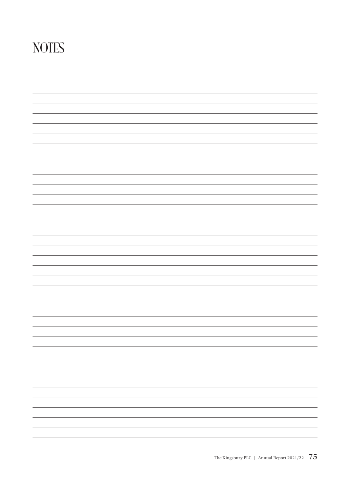# **NOTES**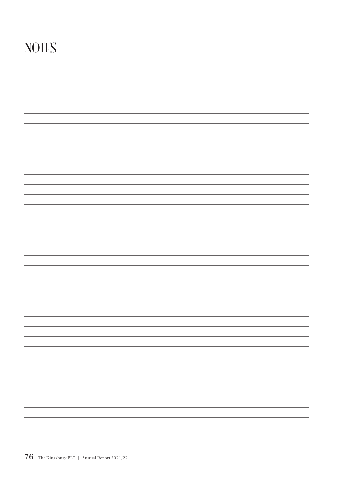# **NOTES**

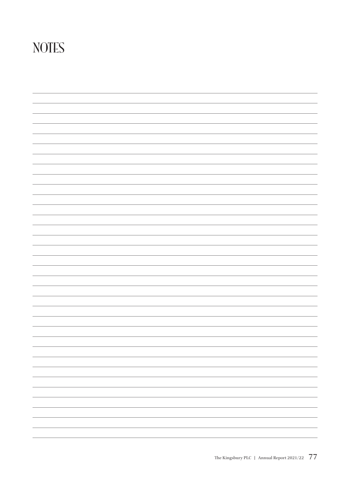# **NOTES**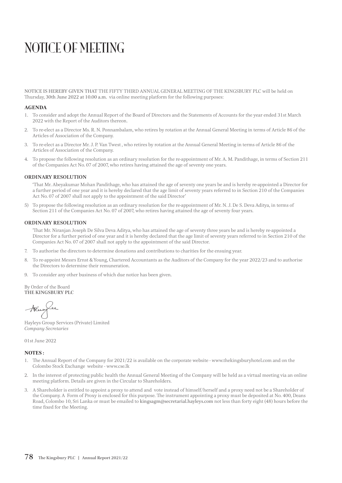# NOTICE OF MEETING

NOTICE IS HEREBY GIVEN THAT THE FIFTY THIRD ANNUAL GENERAL MEETING OF THE KINGSBURY PLC will be held on Thursday, 30th June 2022 at 10.00 a.m. via online meeting platform for the following purposes:

### **AGENDA**

- 1. To consider and adopt the Annual Report of the Board of Directors and the Statements of Accounts for the year ended 31st March 2022 with the Report of the Auditors thereon.
- 2. To re-elect as a Director Ms. R. N. Ponnambalam, who retires by rotation at the Annual General Meeting in terms of Article 86 of the Articles of Association of the Company.
- 3. To re-elect as a Director Mr. J. P. Van Twest , who retires by rotation at the Annual General Meeting in terms of Article 86 of the Articles of Association of the Company.
- 4. To propose the following resolution as an ordinary resolution for the re-appointment of Mr. A. M. Pandithage, in terms of Section 211 of the Companies Act No. 07 of 2007, who retires having attained the age of seventy one years.

### ORDINARY RESOLUTION

'That Mr. Abeyakumar Mohan Pandithage, who has attained the age of seventy one years be and is hereby re-appointed a Director for a further period of one year and it is hereby declared that the age limit of seventy years referred to in Section 210 of the Companies Act No. 07 of 2007 shall not apply to the appointment of the said Director'

5) To propose the following resolution as an ordinary resolution for the re-appointment of Mr. N. J. De S. Deva Aditya, in terms of Section 211 of the Companies Act No. 07 of 2007, who retires having attained the age of seventy four years.

### ORDINARY RESOLUTION

'That Mr. Niranjan Joseph De Silva Deva Aditya, who has attained the age of seventy three years be and is hereby re-appointed a Director for a further period of one year and it is hereby declared that the age limit of seventy years referred to in Section 210 of the Companies Act No. 07 of 2007 shall not apply to the appointment of the said Director.

- 7. To authorise the directors to determine donations and contributions to charities for the ensuing year.
- 8. To re-appoint Messrs Ernst & Young, Chartered Accountants as the Auditors of the Company for the year 2022/23 and to authorise the Directors to determine their remuneration.
- 9. To consider any other business of which due notice has been given.

By Order of the Board THE KINGSBURY PLC

Henrylee

Hayleys Group Services (Private) Limited *Company Secretaries*

01st June 2022

### **NOTES :**

- 1. The Annual Report of the Company for 2021/22 is available on the corporate website www.thekingsburyhotel.com and on the Colombo Stock Exchange website - www.cse.lk
- 2. In the interest of protecting public health the Annual General Meeting of the Company will be held as a virtual meeting via an online meeting platform. Details are given in the Circular to Shareholders.
- 3. A Shareholder is entitled to appoint a proxy to attend and vote instead of himself/herself and a proxy need not be a Shareholder of the Company. A Form of Proxy is enclosed for this purpose. The instrument appointing a proxy must be deposited at No. 400, Deans Road, Colombo 10, Sri Lanka or must be emailed to kingsagm@secretarial.hayleys.com not less than forty eight (48) hours before the time fixed for the Meeting.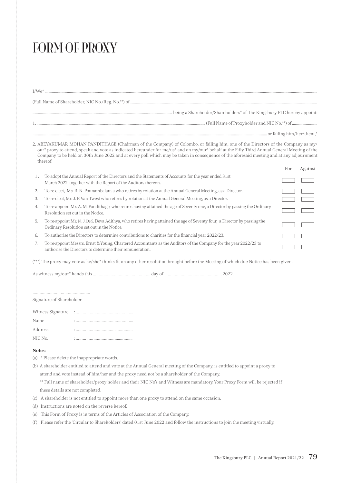## FORM OF PROXY

|        | thereof:                 | 2. ABEYAKUMAR MOHAN PANDITHAGE (Chairman of the Company) of Colombo, or failing him, one of the Directors of the Company as my/<br>our* proxy to attend, speak and vote as indicated hereunder for me/us* and on my/our* behalf at the Fifty Third Annual General Meeting of the<br>Company to be held on 30th June 2022 and at every poll which may be taken in consequence of the aforesaid meeting and at any adjournment |     |         |
|--------|--------------------------|------------------------------------------------------------------------------------------------------------------------------------------------------------------------------------------------------------------------------------------------------------------------------------------------------------------------------------------------------------------------------------------------------------------------------|-----|---------|
|        |                          |                                                                                                                                                                                                                                                                                                                                                                                                                              | For | Against |
| 1.     |                          | To adopt the Annual Report of the Directors and the Statements of Accounts for the year ended 31st<br>March 2022 together with the Report of the Auditors thereon.                                                                                                                                                                                                                                                           |     |         |
| 2.     |                          | To re-elect, Ms. R. N. Ponnambalam a who retires by rotation at the Annual General Meeting, as a Director.                                                                                                                                                                                                                                                                                                                   |     |         |
| 3.     |                          | To re-elect, Mr. J. P. Van Twest who retires by rotation at the Annual General Meeting, as a Director.                                                                                                                                                                                                                                                                                                                       |     |         |
| 4.     |                          | To re-appoint Mr. A. M. Pandithage, who retires having attained the age of Seventy one, a Director by passing the Ordinary<br>Resolution set out in the Notice.                                                                                                                                                                                                                                                              |     |         |
| 5.     |                          | To re-appoint Mr. N. J. De S. Deva Adithya, who retires having attained the age of Seventy four, a Director by passing the<br>Ordinary Resolution set out in the Notice.                                                                                                                                                                                                                                                     |     |         |
| 6.     |                          | To authorise the Directors to determine contributions to charities for the financial year 2022/23.                                                                                                                                                                                                                                                                                                                           |     |         |
| 7.     |                          | To re-appoint Messrs. Ernst & Young, Chartered Accountants as the Auditors of the Company for the year 2022/23 to<br>authorise the Directors to determine their remuneration.                                                                                                                                                                                                                                                |     |         |
|        |                          | (***) The proxy may vote as he/she* thinks fit on any other resolution brought before the Meeting of which due Notice has been given.                                                                                                                                                                                                                                                                                        |     |         |
|        |                          |                                                                                                                                                                                                                                                                                                                                                                                                                              |     |         |
|        | Signature of Shareholder |                                                                                                                                                                                                                                                                                                                                                                                                                              |     |         |
|        |                          |                                                                                                                                                                                                                                                                                                                                                                                                                              |     |         |
| Name   |                          |                                                                                                                                                                                                                                                                                                                                                                                                                              |     |         |
|        | Address                  |                                                                                                                                                                                                                                                                                                                                                                                                                              |     |         |
|        | NIC No.                  |                                                                                                                                                                                                                                                                                                                                                                                                                              |     |         |
| Notes: |                          |                                                                                                                                                                                                                                                                                                                                                                                                                              |     |         |
|        |                          | (a) * Please delete the inappropriate words.                                                                                                                                                                                                                                                                                                                                                                                 |     |         |
|        |                          | (b) A shareholder entitled to attend and vote at the Annual General meeting of the Company, is entitled to appoint a proxy to                                                                                                                                                                                                                                                                                                |     |         |
|        |                          | attend and vote instead of him/her and the proxy need not be a shareholder of the Company.                                                                                                                                                                                                                                                                                                                                   |     |         |
|        |                          | ** Full name of shareholder/proxy holder and their NIC No's and Witness are mandatory. Your Proxy Form will be rejected if<br>these details are not completed.                                                                                                                                                                                                                                                               |     |         |

- (c) A shareholder is not entitled to appoint more than one proxy to attend on the same occasion.
- (d) Instructions are noted on the reverse hereof.
- (e) This Form of Proxy is in terms of the Articles of Association of the Company.
- (f ) Please refer the 'Circular to Shareholders' dated 01st June 2022 and follow the instructions to join the meeting virtually.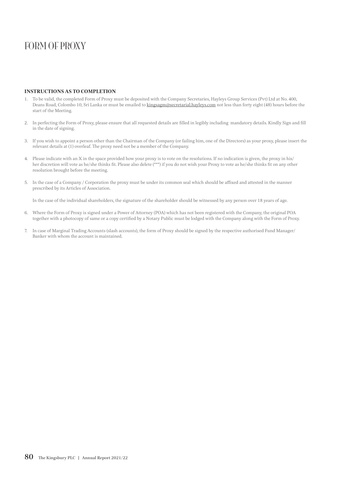### FORM OF PROXY

### **INSTRUCTIONS AS TO COMPLETION**

- 1. To be valid, the completed Form of Proxy must be deposited with the Company Secretaries, Hayleys Group Services (Pvt) Ltd at No. 400, Deans Road, Colombo 10, Sri Lanka or must be emailed to kingsagm@secretarial.hayleys.com not less than forty eight (48) hours before the start of the Meeting.
- 2. In perfecting the Form of Proxy, please ensure that all requested details are filled in legibly including mandatory details. Kindly Sign and fill in the date of signing.
- 3. If you wish to appoint a person other than the Chairman of the Company (or failing him, one of the Directors) as your proxy, please insert the relevant details at (1) overleaf. The proxy need not be a member of the Company.
- 4. Please indicate with an X in the space provided how your proxy is to vote on the resolutions. If no indication is given, the proxy in his/ her discretion will vote as he/she thinks fit. Please also delete (\*\*\*) if you do not wish your Proxy to vote as he/she thinks fit on any other resolution brought before the meeting.
- 5. In the case of a Company / Corporation the proxy must be under its common seal which should be affixed and attested in the manner prescribed by its Articles of Association.

In the case of the individual shareholders, the signature of the shareholder should be witnessed by any person over 18 years of age.

- 6. Where the Form of Proxy is signed under a Power of Attorney (POA) which has not been registered with the Company, the original POA together with a photocopy of same or a copy certified by a Notary Public must be lodged with the Company along with the Form of Proxy.
- 7. In case of Marginal Trading Accounts (slash accounts), the form of Proxy should be signed by the respective authorised Fund Manager/ Banker with whom the account is maintained.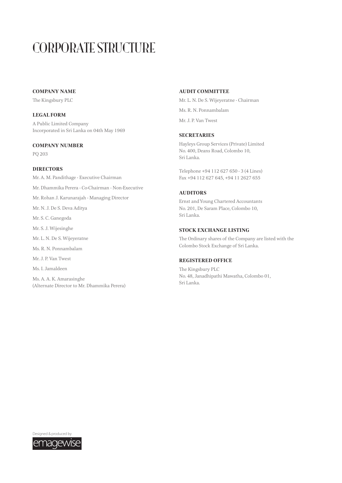# CORPORATE STRUCTURE

### **COMPANY NAME**

The Kingsbury PLC

### **LEGAL FORM**

A Public Limited Company Incorporated in Sri Lanka on 04th May 1969

### **COMPANY NUMBER**

PQ 203

### **DIRECTORS**

Mr. A. M. Pandithage - Executive Chairman Mr. Dhammika Perera - Co-Chairman - Non-Executive Mr. Rohan J. Karunarajah - Managing Director Mr. N. J. De S. Deva Aditya Mr. S. C. Ganegoda Mr. S. J. Wijesinghe Mr. L. N. De S. Wijeyeratne Ms. R. N. Ponnambalam Mr. J. P. Van Twest Ms. I. Jamaldeen Ms. A. A. K. Amarasinghe (Alternate Director to Mr. Dhammika Perera)

### **AUDIT COMMITTEE**

Mr. L. N. De S. Wijeyeratne - Chairman

Ms. R. N. Ponnambalam

Mr. J. P. Van Twest

### **SECRETARIES**

Hayleys Group Services (Private) Limited No. 400, Deans Road, Colombo 10, Sri Lanka.

Telephone +94 112 627 650 - 3 (4 Lines) Fax +94 112 627 645, +94 11 2627 655

### **AUDITORS**

Ernst and Young Chartered Accountants No. 201, De Saram Place, Colombo 10, Sri Lanka.

### **STOCK EXCHANGE LISTING**

The Ordinary shares of the Company are listed with the Colombo Stock Exchange of Sri Lanka.

### **REGISTERED OFFICE**

The Kingsbury PLC No. 48, Janadhipathi Mawatha, Colombo 01, Sri Lanka.